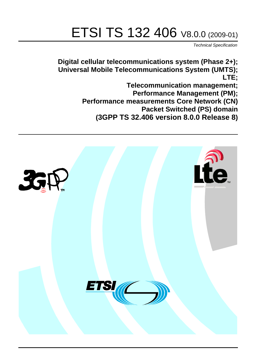# ETSI TS 132 406 V8.0.0 (2009-01)

*Technical Specification*

**Digital cellular telecommunications system (Phase 2+); Universal Mobile Telecommunications System (UMTS); LTE;**

**Telecommunication management;**

**Performance Management (PM);**

**Performance measurements Core Network (CN)**

**Packet Switched (PS) domain**

**(3GPP TS 32.406 version 8.0.0 Release 8)**

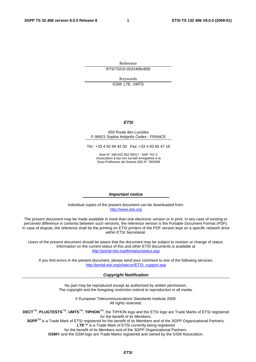Reference RTS/TSGS-0532406v800

Keywords

GSM, LTE, UMTS

#### *ETSI*

#### 650 Route des Lucioles F-06921 Sophia Antipolis Cedex - FRANCE

Tel.: +33 4 92 94 42 00 Fax: +33 4 93 65 47 16

Siret N° 348 623 562 00017 - NAF 742 C Association à but non lucratif enregistrée à la Sous-Préfecture de Grasse (06) N° 7803/88

#### *Important notice*

Individual copies of the present document can be downloaded from: [http://www.etsi.org](http://www.etsi.org/)

The present document may be made available in more than one electronic version or in print. In any case of existing or perceived difference in contents between such versions, the reference version is the Portable Document Format (PDF). In case of dispute, the reference shall be the printing on ETSI printers of the PDF version kept on a specific network drive within ETSI Secretariat.

Users of the present document should be aware that the document may be subject to revision or change of status. Information on the current status of this and other ETSI documents is available at <http://portal.etsi.org/tb/status/status.asp>

If you find errors in the present document, please send your comment to one of the following services: [http://portal.etsi.org/chaircor/ETSI\\_support.asp](http://portal.etsi.org/chaircor/ETSI_support.asp)

#### *Copyright Notification*

No part may be reproduced except as authorized by written permission. The copyright and the foregoing restriction extend to reproduction in all media.

> © European Telecommunications Standards Institute 2009. All rights reserved.

**DECT**TM, **PLUGTESTS**TM, **UMTS**TM, **TIPHON**TM, the TIPHON logo and the ETSI logo are Trade Marks of ETSI registered for the benefit of its Members.

**3GPP**TM is a Trade Mark of ETSI registered for the benefit of its Members and of the 3GPP Organizational Partners. **LTE**™ is a Trade Mark of ETSI currently being registered

for the benefit of its Members and of the 3GPP Organizational Partners.

**GSM**® and the GSM logo are Trade Marks registered and owned by the GSM Association.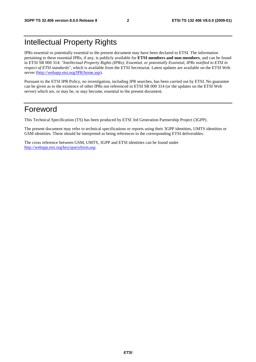### Intellectual Property Rights

IPRs essential or potentially essential to the present document may have been declared to ETSI. The information pertaining to these essential IPRs, if any, is publicly available for **ETSI members and non-members**, and can be found in ETSI SR 000 314: *"Intellectual Property Rights (IPRs); Essential, or potentially Essential, IPRs notified to ETSI in respect of ETSI standards"*, which is available from the ETSI Secretariat. Latest updates are available on the ETSI Web server ([http://webapp.etsi.org/IPR/home.asp\)](http://webapp.etsi.org/IPR/home.asp).

Pursuant to the ETSI IPR Policy, no investigation, including IPR searches, has been carried out by ETSI. No guarantee can be given as to the existence of other IPRs not referenced in ETSI SR 000 314 (or the updates on the ETSI Web server) which are, or may be, or may become, essential to the present document.

### Foreword

This Technical Specification (TS) has been produced by ETSI 3rd Generation Partnership Project (3GPP).

The present document may refer to technical specifications or reports using their 3GPP identities, UMTS identities or GSM identities. These should be interpreted as being references to the corresponding ETSI deliverables.

The cross reference between GSM, UMTS, 3GPP and ETSI identities can be found under [http://webapp.etsi.org/key/queryform.asp.](http://webapp.etsi.org/key/queryform.asp)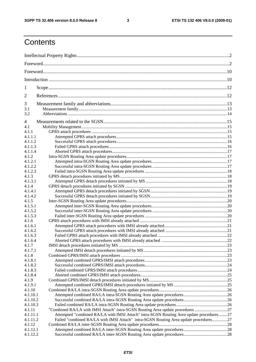## **Contents**

| 1        |                                                                                         |  |  |
|----------|-----------------------------------------------------------------------------------------|--|--|
| 2        |                                                                                         |  |  |
| 3        |                                                                                         |  |  |
| 3.1      |                                                                                         |  |  |
| 3.2      |                                                                                         |  |  |
| 4        |                                                                                         |  |  |
| 4.1      |                                                                                         |  |  |
| 4.1.1    |                                                                                         |  |  |
| 4.1.1.1  |                                                                                         |  |  |
| 4.1.1.2  |                                                                                         |  |  |
| 4.1.1.3  |                                                                                         |  |  |
| 4.1.1.4  |                                                                                         |  |  |
| 4.1.2    |                                                                                         |  |  |
| 4.1.2.1  |                                                                                         |  |  |
| 4.1.2.2  |                                                                                         |  |  |
| 4.1.2.3  |                                                                                         |  |  |
| 4.1.3    |                                                                                         |  |  |
| 4.1.3.1  |                                                                                         |  |  |
| 4.1.4    |                                                                                         |  |  |
| 4.1.4.1  |                                                                                         |  |  |
| 4.1.4.2  |                                                                                         |  |  |
| 4.1.5    |                                                                                         |  |  |
| 4.1.5.1  |                                                                                         |  |  |
| 4.1.5.2  |                                                                                         |  |  |
| 4.1.5.3  |                                                                                         |  |  |
| 4.1.6    |                                                                                         |  |  |
| 4.1.6.1  |                                                                                         |  |  |
| 4.1.6.2  |                                                                                         |  |  |
| 4.1.6.3  |                                                                                         |  |  |
| 4.1.6.4  |                                                                                         |  |  |
| 4.1.7    |                                                                                         |  |  |
| 4.1.7.1  |                                                                                         |  |  |
| 4.1.8    |                                                                                         |  |  |
| 4.1.8.1  |                                                                                         |  |  |
| 4.1.8.2  |                                                                                         |  |  |
| 4.1.8.3  |                                                                                         |  |  |
| 4.1.8.4  |                                                                                         |  |  |
| 4.1.9    |                                                                                         |  |  |
| 4.1.9.1  |                                                                                         |  |  |
| 4.1.10   |                                                                                         |  |  |
| 4.1.10.1 |                                                                                         |  |  |
| 4.1.10.2 |                                                                                         |  |  |
| 4.1.10.3 |                                                                                         |  |  |
| 4.1.11   | "Combined RA/LA with IMSI Attach" intra-SGSN Routing Area update procedures 27          |  |  |
| 4.1.11.1 | Attempted "combined RA/LA with IMSI Attach" intra-SGSN Routing Area update procedures27 |  |  |
| 4.1.11.2 | Failed "combined RA/LA with IMSI Attach" intra-SGSN Routing Area update procedures27    |  |  |
| 4.1.12   |                                                                                         |  |  |
| 4.1.12.1 |                                                                                         |  |  |
| 4.1.12.2 |                                                                                         |  |  |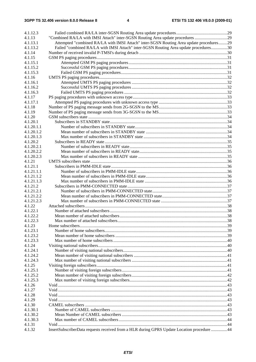| 4.1.12.3   |                                                                                            |  |
|------------|--------------------------------------------------------------------------------------------|--|
| 4.1.13     | "Combined RA/LA with IMSI Attach" inter-SGSN Routing Area update procedures 29             |  |
| 4.1.13.1   | Attempted "combined RA/LA with IMSI Attach" inter-SGSN Routing Area update procedures29    |  |
| 4.1.13.2   | Failed "combined RA/LA with IMSI Attach" inter-SGSN Routing Area update procedures30       |  |
| 4.1.14     |                                                                                            |  |
| 4.1.15     |                                                                                            |  |
| 4.1.15.1   |                                                                                            |  |
| 4.1.15.2   |                                                                                            |  |
| 4.1.15.3   |                                                                                            |  |
| 4.1.16     |                                                                                            |  |
| 4.1.16.1   |                                                                                            |  |
| 4.1.16.2   |                                                                                            |  |
| 4.1.16.3   |                                                                                            |  |
| 4.1.17     |                                                                                            |  |
| 4.1.17.1   |                                                                                            |  |
| 4.1.18     |                                                                                            |  |
| 4.1.19     |                                                                                            |  |
| 4.1.20     |                                                                                            |  |
| 4.1.20.1   |                                                                                            |  |
| 4.1.20.1.1 |                                                                                            |  |
| 4.1.20.1.2 |                                                                                            |  |
| 4.1.20.1.3 |                                                                                            |  |
| 4.1.20.2   |                                                                                            |  |
| 4.1.20.2.1 |                                                                                            |  |
| 4.1.20.2.2 |                                                                                            |  |
| 4.1.20.2.3 |                                                                                            |  |
| 4.1.21     |                                                                                            |  |
| 4.1.21.1   |                                                                                            |  |
| 4.1.21.1.1 |                                                                                            |  |
| 4.1.21.1.2 |                                                                                            |  |
| 4.1.21.1.3 |                                                                                            |  |
| 4.1.21.2   |                                                                                            |  |
| 4.1.21.2.1 |                                                                                            |  |
| 4.1.21.2.2 |                                                                                            |  |
| 4.1.21.2.3 |                                                                                            |  |
| 4.1.22     |                                                                                            |  |
| 4.1.22.1   |                                                                                            |  |
| 4.1.22.2   |                                                                                            |  |
| 4.1.22.3   |                                                                                            |  |
| 4.1.23     |                                                                                            |  |
| 4.1.23.1   |                                                                                            |  |
| 4.1.23.2   |                                                                                            |  |
| 4.1.23.3   |                                                                                            |  |
| 4.1.24     |                                                                                            |  |
| 4.1.24.1   |                                                                                            |  |
| 4.1.24.2   |                                                                                            |  |
| 4.1.24.3   |                                                                                            |  |
| 4.1.25     |                                                                                            |  |
| 4.1.25.1   |                                                                                            |  |
| 4.1.25.2   |                                                                                            |  |
| 4.1.25.3   |                                                                                            |  |
| 4.1.26     |                                                                                            |  |
| 4.1.27     |                                                                                            |  |
| 4.1.28     |                                                                                            |  |
| 4.1.29     |                                                                                            |  |
| 4.1.30     |                                                                                            |  |
| 4.1.30.1   |                                                                                            |  |
| 4.1.30.2   |                                                                                            |  |
| 4.1.30.3   |                                                                                            |  |
| 4.1.31     |                                                                                            |  |
| 4.1.32     | InsertSubscriberData requests received from a HLR during GPRS Update Location procedure 44 |  |
|            |                                                                                            |  |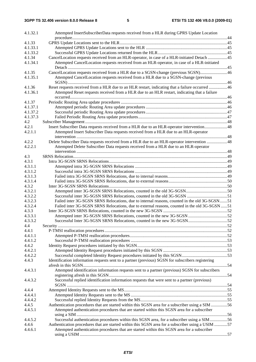| 4.1.32.1 | Attempted InsertSubscriberData requests received from a HLR during GPRS Update Location           |  |
|----------|---------------------------------------------------------------------------------------------------|--|
|          |                                                                                                   |  |
| 4.1.33   |                                                                                                   |  |
| 4.1.33.1 |                                                                                                   |  |
| 4.1.33.2 |                                                                                                   |  |
| 4.1.34   | CancelLocation requests received from an HLR-operator, in case of a HLR-initiated Detach 45       |  |
| 4.1.34.1 | Attempted CancelLocation requests received from an HLR-operator, in case of a HLR-initiated       |  |
| 4.1.35   | CancelLocation requests received from a HLR due to a SGSN-change (previous SGSN)46                |  |
| 4.1.35.1 | Attempted CancelLocation requests received from a HLR due to a SGSN-change (previous              |  |
| 4.1.36   | Reset requests received from a HLR due to an HLR restart, indicating that a failure occurred 46   |  |
| 4.1.36.1 | Attempted Reset requests received from a HLR due to an HLR restart, indicating that a failure     |  |
| 4.1.37   |                                                                                                   |  |
| 4.1.37.1 |                                                                                                   |  |
| 4.1.37.2 |                                                                                                   |  |
| 4.1.37.3 |                                                                                                   |  |
| 4.2      |                                                                                                   |  |
| 4.2.1    | Insert Subscriber Data requests received from a HLR due to an HLR-operator intervention48         |  |
| 4.2.1.1  | Attempted Insert Subscriber Data requests received from a HLR due to an HLR-operator              |  |
| 4.2.2    | Delete Subscriber Data requests received from a HLR due to an HLR-operator intervention 48        |  |
| 4.2.2.1  | Attempted Delete Subscriber Data requests received from a HLR due to an HLR-operator              |  |
| 4.3      |                                                                                                   |  |
| 4.3.1    |                                                                                                   |  |
| 4.3.1.1  |                                                                                                   |  |
| 4.3.1.2  |                                                                                                   |  |
| 4.3.1.3  |                                                                                                   |  |
| 4.3.1.4  |                                                                                                   |  |
| 4.3.2    |                                                                                                   |  |
| 4.3.2.1  |                                                                                                   |  |
| 4.3.2.2  |                                                                                                   |  |
| 4.3.2.3  | Failed inter 3G-SGSN SRNS Relocations, due to internal reasons, counted in the old 3G-SGSN51      |  |
| 4.3.2.4  | Failed inter 3G-SGSN SRNS Relocations, due to external reasons, counted in the old 3G-SGSN 51     |  |
| 4.3.3    |                                                                                                   |  |
| 4.3.3.1  |                                                                                                   |  |
| 4.3.3.2  |                                                                                                   |  |
| 4.4      |                                                                                                   |  |
| 4.4.1    |                                                                                                   |  |
| 4.4.1.1  |                                                                                                   |  |
| 4.4.1.2  |                                                                                                   |  |
| 4.4.2    |                                                                                                   |  |
| 4.4.2.1  |                                                                                                   |  |
| 4.4.2.2  |                                                                                                   |  |
| 4.4.3    | Identification information requests sent to a partner (previous) SGSN for subscribers registering |  |
| 4.4.3.1  | Attempted identification information requests sent to a partner (previous) SGSN for subscribers   |  |
| 4.4.3.2  | Successful replied identification information requests that were sent to a partner (previous)     |  |
| 4.4.4    |                                                                                                   |  |
| 4.4.4.1  |                                                                                                   |  |
| 4.4.4.2  |                                                                                                   |  |
| 4.4.5    | Authentication procedures that are started within this SGSN area for a subscriber using a SIM 56  |  |
| 4.4.5.1  | Attempted authentication procedures that are started within this SGSN area for a subscriber       |  |
|          |                                                                                                   |  |
| 4.4.5.2  | Successful authentication procedures within this SGSN area, for a subscriber using a SIM 56       |  |
| 4.4.6    | Authentication procedures that are started within this SGSN area for a subscriber using a USIM 57 |  |
| 4.4.6.1  | Attempted authentication procedures that are started within this SGSN area for a subscriber       |  |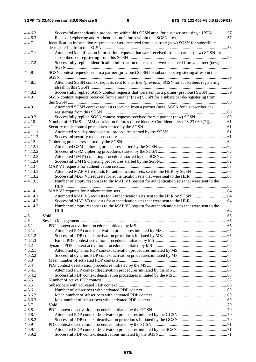| 4.4.6.2              | Successful authentication procedures within this SGSN area, for a subscriber using a USIM 57       |  |
|----------------------|----------------------------------------------------------------------------------------------------|--|
| 4.4.6.3              |                                                                                                    |  |
| 4.4.7                | Identification information requests that were received from a partner (new) SGSN for subscribers   |  |
|                      |                                                                                                    |  |
| 4.4.7.1              | Attempted identification information requests that were received from a partner (new) SGSN for     |  |
|                      |                                                                                                    |  |
| 4.4.7.2              | Successfully replied identification information requests that were received from a partner (new)   |  |
|                      |                                                                                                    |  |
| 4.4.8                | SGSN context requests sent to a partner (previous) SGSN for subscribers registering afresh in this |  |
|                      |                                                                                                    |  |
| 4.4.8.1              | Attempted SGSN context requests sent to a partner (previous) SGSN for subscribers registering      |  |
|                      |                                                                                                    |  |
| 4.4.8.2              | Successfully replied SGSN context requests that were sent to a partner (previous) SGSN 59          |  |
| 4.4.9                | SGSN context requests received from a partner (new) SGSN for a subscriber de-registering from      |  |
|                      |                                                                                                    |  |
| 4.4.9.1              | Attempted SGSN context requests received from a partner (new) SGSN for a subscriber de-            |  |
|                      |                                                                                                    |  |
| 4.4.9.2              |                                                                                                    |  |
| 4.4.10               | Number of P-TMSI - IMSI correlation failures (User Identity Confidentiality (TS 23.060 [2]))61     |  |
| 4.4.11               |                                                                                                    |  |
| 4.4.11.1<br>4.4.11.2 |                                                                                                    |  |
| 4.4.12               |                                                                                                    |  |
| 4.4.12.1             |                                                                                                    |  |
|                      |                                                                                                    |  |
| 4.4.12.2             |                                                                                                    |  |
| 4.4.12.3             |                                                                                                    |  |
| 4.4.12.4             |                                                                                                    |  |
| 4.4.13               |                                                                                                    |  |
| 4.4.13.1             |                                                                                                    |  |
| 4.4.13.2             |                                                                                                    |  |
| 4.4.13.3             | Number of empty responses to the MAP V1 request for authentication sets that were sent to the      |  |
|                      |                                                                                                    |  |
| 4.4.14<br>4.4.14.1   |                                                                                                    |  |
| 4.4.14.2             |                                                                                                    |  |
| 4.4.14.3             |                                                                                                    |  |
|                      | Number of empty responses to the MAP V3 request for authentication sets that were sent to the      |  |
| 4.5                  |                                                                                                    |  |
| 4.6                  |                                                                                                    |  |
| 4.6.1                |                                                                                                    |  |
| 4.6.1.1              |                                                                                                    |  |
| 4.6.1.2              |                                                                                                    |  |
| 4.6.1.3              |                                                                                                    |  |
| 4.6.2                |                                                                                                    |  |
| 4.6.2.1              |                                                                                                    |  |
| 4.6.2.2              |                                                                                                    |  |
| 4.6.3                |                                                                                                    |  |
| 4.6.4                |                                                                                                    |  |
| 4.6.4.1              |                                                                                                    |  |
| 4.6.4.2              |                                                                                                    |  |
| 4.6.5                |                                                                                                    |  |
| 4.6.6                |                                                                                                    |  |
| 4.6.6.1              |                                                                                                    |  |
| 4.6.6.2              |                                                                                                    |  |
| 4.6.6.3              |                                                                                                    |  |
| 4.6.7                |                                                                                                    |  |
| 4.6.8                |                                                                                                    |  |
| 4.6.8.1              |                                                                                                    |  |
| 4.6.8.2              |                                                                                                    |  |
| 4.6.9                |                                                                                                    |  |
| 4.6.9.1              |                                                                                                    |  |
| 4.6.9.2              |                                                                                                    |  |
|                      |                                                                                                    |  |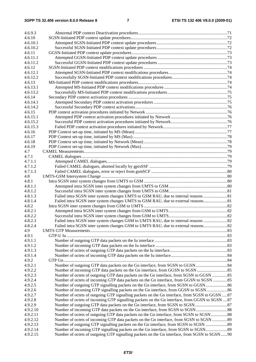| 4.6.9.3  |                                                                                               |  |
|----------|-----------------------------------------------------------------------------------------------|--|
|          |                                                                                               |  |
| 4.6.10   |                                                                                               |  |
| 4.6.10.1 |                                                                                               |  |
| 4.6.10.2 |                                                                                               |  |
| 4.6.11   |                                                                                               |  |
| 4.6.11.1 |                                                                                               |  |
| 4.6.11.2 |                                                                                               |  |
| 4.6.12   |                                                                                               |  |
| 4.6.12.1 |                                                                                               |  |
| 4.6.12.2 |                                                                                               |  |
| 4.6.13   |                                                                                               |  |
| 4.6.13.1 |                                                                                               |  |
| 4.6.13.2 |                                                                                               |  |
| 4.6.14   |                                                                                               |  |
| 4.6.14.1 |                                                                                               |  |
| 4.6.14.2 |                                                                                               |  |
| 4.6.15   |                                                                                               |  |
| 4.6.15.1 |                                                                                               |  |
| 4.6.15.2 |                                                                                               |  |
| 4.6.15.3 |                                                                                               |  |
| 4.6.16   |                                                                                               |  |
| 4.6.17   |                                                                                               |  |
| 4.6.18   |                                                                                               |  |
| 4.6.19   |                                                                                               |  |
|          |                                                                                               |  |
| 4.7      |                                                                                               |  |
| 4.7.1    |                                                                                               |  |
| 4.7.1.1  |                                                                                               |  |
| 4.7.1.2  |                                                                                               |  |
| 4.7.1.3  |                                                                                               |  |
| 4.8      |                                                                                               |  |
| 4.8.1    |                                                                                               |  |
| 4.8.1.1  |                                                                                               |  |
| 4.8.1.2  |                                                                                               |  |
| 4.8.1.3  | Failed intra SGSN inter system changes UMTS to GSM RAU, due to internal reasons 81            |  |
| 4.8.1.4  | Failed intra SGSN inter system changes UMTS to GSM RAU, due to external reasons81             |  |
| 4.8.2    |                                                                                               |  |
| 4.8.2.1  |                                                                                               |  |
| 4.8.2.2  |                                                                                               |  |
| 4.8.2.3  |                                                                                               |  |
| 4.8.2.4  |                                                                                               |  |
| 4.9      |                                                                                               |  |
| 4.9.1    |                                                                                               |  |
| 4.9.1.1  |                                                                                               |  |
| 4.9.1.2  |                                                                                               |  |
| 4.9.1.3  |                                                                                               |  |
| 4.9.1.4  |                                                                                               |  |
| 4.9.2    |                                                                                               |  |
|          |                                                                                               |  |
| 4.9.2.1  |                                                                                               |  |
| 4.9.2.2  |                                                                                               |  |
| 4.9.2.3  | Number of octets of outgoing GTP data packets on the Gn interface, from SGSN to GGSN 85       |  |
| 4.9.2.4  | Number of octets of incoming GTP data packets on the Gn interface, from GGSN to SGSN 85       |  |
| 4.9.2.5  | Number of outgoing GTP signalling packets on the Gn interface, from SGSN to GGSN86            |  |
| 4.9.2.6  | Number of incoming GTP signalling packets on the Gn interface, from GGSN to SGSN 86           |  |
| 4.9.2.7  | Number of octets of outgoing GTP signalling packets on the Gn interface, from SGSN to GGSN 87 |  |
| 4.9.2.8  | Number of octets of incoming GTP signalling packets on the Gn interface, from GGSN to SGSN 87 |  |
| 4.9.2.9  |                                                                                               |  |
| 4.9.2.10 |                                                                                               |  |
| 4.9.2.11 | Number of octets of outgoing GTP data packets on the Gn interface, from SGSN to SGSN 88       |  |
| 4.9.2.12 | Number of octets of incoming GTP data packets on the Gn interface, from SGSN to SGSN 89       |  |
| 4.9.2.13 |                                                                                               |  |
| 4.9.2.14 |                                                                                               |  |
| 4.9.2.15 | Number of octets of outgoing GTP signalling packets on the Gn interface, from SGSN to SGSN90  |  |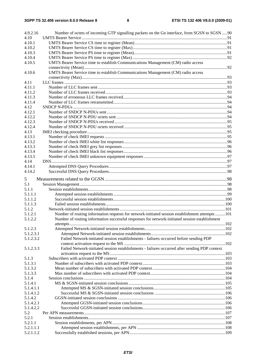| 4.9.2.16  | Number of octets of incoming GTP signalling packets on the Gn interface, from SGSN to SGSN 90   |  |
|-----------|-------------------------------------------------------------------------------------------------|--|
| 4.10      |                                                                                                 |  |
| 4.10.1    |                                                                                                 |  |
| 4.10.2    |                                                                                                 |  |
| 4.10.3    |                                                                                                 |  |
| 4.10.4    |                                                                                                 |  |
| 4.10.5    | UMTS Bearer Service time to establish Communications Management (CM) radio access               |  |
|           |                                                                                                 |  |
| 4.10.6    | UMTS Bearer Service time to establish Communications Management (CM) radio access               |  |
|           |                                                                                                 |  |
| 4.11      |                                                                                                 |  |
| 4.11.1    |                                                                                                 |  |
| 4.11.2    |                                                                                                 |  |
| 4.11.3    |                                                                                                 |  |
| 4.11.4    |                                                                                                 |  |
| 4.12      |                                                                                                 |  |
| 4.12.1    |                                                                                                 |  |
| 4.12.2    |                                                                                                 |  |
| 4.12.3    |                                                                                                 |  |
| 4.12.4    |                                                                                                 |  |
| 4.13      |                                                                                                 |  |
| 4.13.1    |                                                                                                 |  |
| 4.13.2    |                                                                                                 |  |
| 4.13.3    |                                                                                                 |  |
| 4.13.4    |                                                                                                 |  |
| 4.13.5    |                                                                                                 |  |
| 4.14      |                                                                                                 |  |
| 4.14.1    |                                                                                                 |  |
| 4.14.2    |                                                                                                 |  |
|           |                                                                                                 |  |
| 5         |                                                                                                 |  |
| 5.1       |                                                                                                 |  |
| 5.1.1     |                                                                                                 |  |
| 5.1.1.1   |                                                                                                 |  |
| 5.1.1.2   |                                                                                                 |  |
| 5.1.1.3   |                                                                                                 |  |
| 5.1.2     |                                                                                                 |  |
| 5.1.2.1   | Number of routing information requests for network-initiated session establishment attempts 101 |  |
| 5.1.2.2   | Number of routing information successful responses for network-initiated session establishment  |  |
|           |                                                                                                 |  |
| 5.1.2.3   |                                                                                                 |  |
| 5.1.2.3.1 |                                                                                                 |  |
| 5.1.2.3.2 | Failed Network-initiated session establishments - failures occurred before sending PDP          |  |
|           |                                                                                                 |  |
| 5.1.2.3.3 | Failed Network-initiated session establishments - failures occurred after sending PDP context   |  |
|           |                                                                                                 |  |
| 5.1.3     |                                                                                                 |  |
| 5.1.3.1   |                                                                                                 |  |
| 5.1.3.2   |                                                                                                 |  |
| 5.1.3.3   |                                                                                                 |  |
| 5.1.4     |                                                                                                 |  |
| 5.1.4.1   |                                                                                                 |  |
| 5.1.4.1.1 |                                                                                                 |  |
| 5.1.4.1.2 |                                                                                                 |  |
| 5.1.4.2   |                                                                                                 |  |
| 5.1.4.2.1 |                                                                                                 |  |
| 5.1.4.2.2 |                                                                                                 |  |
| 5.2       |                                                                                                 |  |
| 5.2.1     |                                                                                                 |  |
| 5.2.1.1   |                                                                                                 |  |
| 5.2.1.1.1 |                                                                                                 |  |
| 5.2.1.1.2 |                                                                                                 |  |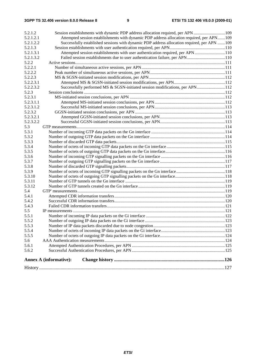#### **3GPP TS 32.406 version 8.0.0 Release 8 9 ETSI TS 132 406 V8.0.0 (2009-01)**

| Attempted session establishments with dynamic PDP address allocation required, per APN109<br>5.2.1.2.1<br>Successfully established sessions with dynamic PDP address allocation required, per APN 109<br>5.2.1.2.2<br>5.2.1.3<br>Attempted session establishments with user authentication required, per APN110<br>5.2.1.3.1<br>Failed session establishments due to user authentication failure, per APN110<br>5.2.1.3.2<br>5.2.2<br>5.2.2.1<br>5.2.2.2<br>5.2.2.3<br>5.2.2.3.1<br>Successfully performed MS & SGSN-initiated session modifications, per APN112<br>5.2.2.3.2<br>5.2.3<br>5.2.3.1<br>5.2.3.1.1<br>5.2.3.1.2<br>5.2.3.2<br>5.2.3.2.1<br>5.2.3.2.2<br>5.3<br>5.3.1<br>5.3.2<br>5.3.3<br>5.3.4<br>5.3.5<br>5.3.6<br>5.3.7<br>5.3.8<br>5.3.9<br>5.3.10<br>5.3.11<br>5.3.12<br>5.4<br>5.4.1<br>5.4.2<br>5.4.3<br>5.5<br>5.5.1<br>5.5.2<br>5.5.3<br>5.5.4<br>5.5.5<br>5.6<br>5.6.1<br>5.6.2<br><b>Annex A (informative):</b> | 5.2.1.2 | Session establishments with dynamic PDP address allocation required, per APN 109 |  |  |  |  |
|----------------------------------------------------------------------------------------------------------------------------------------------------------------------------------------------------------------------------------------------------------------------------------------------------------------------------------------------------------------------------------------------------------------------------------------------------------------------------------------------------------------------------------------------------------------------------------------------------------------------------------------------------------------------------------------------------------------------------------------------------------------------------------------------------------------------------------------------------------------------------------------------------------------------------------------|---------|----------------------------------------------------------------------------------|--|--|--|--|
|                                                                                                                                                                                                                                                                                                                                                                                                                                                                                                                                                                                                                                                                                                                                                                                                                                                                                                                                        |         |                                                                                  |  |  |  |  |
|                                                                                                                                                                                                                                                                                                                                                                                                                                                                                                                                                                                                                                                                                                                                                                                                                                                                                                                                        |         |                                                                                  |  |  |  |  |
|                                                                                                                                                                                                                                                                                                                                                                                                                                                                                                                                                                                                                                                                                                                                                                                                                                                                                                                                        |         |                                                                                  |  |  |  |  |
|                                                                                                                                                                                                                                                                                                                                                                                                                                                                                                                                                                                                                                                                                                                                                                                                                                                                                                                                        |         |                                                                                  |  |  |  |  |
|                                                                                                                                                                                                                                                                                                                                                                                                                                                                                                                                                                                                                                                                                                                                                                                                                                                                                                                                        |         |                                                                                  |  |  |  |  |
|                                                                                                                                                                                                                                                                                                                                                                                                                                                                                                                                                                                                                                                                                                                                                                                                                                                                                                                                        |         |                                                                                  |  |  |  |  |
|                                                                                                                                                                                                                                                                                                                                                                                                                                                                                                                                                                                                                                                                                                                                                                                                                                                                                                                                        |         |                                                                                  |  |  |  |  |
|                                                                                                                                                                                                                                                                                                                                                                                                                                                                                                                                                                                                                                                                                                                                                                                                                                                                                                                                        |         |                                                                                  |  |  |  |  |
|                                                                                                                                                                                                                                                                                                                                                                                                                                                                                                                                                                                                                                                                                                                                                                                                                                                                                                                                        |         |                                                                                  |  |  |  |  |
|                                                                                                                                                                                                                                                                                                                                                                                                                                                                                                                                                                                                                                                                                                                                                                                                                                                                                                                                        |         |                                                                                  |  |  |  |  |
|                                                                                                                                                                                                                                                                                                                                                                                                                                                                                                                                                                                                                                                                                                                                                                                                                                                                                                                                        |         |                                                                                  |  |  |  |  |
|                                                                                                                                                                                                                                                                                                                                                                                                                                                                                                                                                                                                                                                                                                                                                                                                                                                                                                                                        |         |                                                                                  |  |  |  |  |
|                                                                                                                                                                                                                                                                                                                                                                                                                                                                                                                                                                                                                                                                                                                                                                                                                                                                                                                                        |         |                                                                                  |  |  |  |  |
|                                                                                                                                                                                                                                                                                                                                                                                                                                                                                                                                                                                                                                                                                                                                                                                                                                                                                                                                        |         |                                                                                  |  |  |  |  |
|                                                                                                                                                                                                                                                                                                                                                                                                                                                                                                                                                                                                                                                                                                                                                                                                                                                                                                                                        |         |                                                                                  |  |  |  |  |
|                                                                                                                                                                                                                                                                                                                                                                                                                                                                                                                                                                                                                                                                                                                                                                                                                                                                                                                                        |         |                                                                                  |  |  |  |  |
|                                                                                                                                                                                                                                                                                                                                                                                                                                                                                                                                                                                                                                                                                                                                                                                                                                                                                                                                        |         |                                                                                  |  |  |  |  |
|                                                                                                                                                                                                                                                                                                                                                                                                                                                                                                                                                                                                                                                                                                                                                                                                                                                                                                                                        |         |                                                                                  |  |  |  |  |
|                                                                                                                                                                                                                                                                                                                                                                                                                                                                                                                                                                                                                                                                                                                                                                                                                                                                                                                                        |         |                                                                                  |  |  |  |  |
|                                                                                                                                                                                                                                                                                                                                                                                                                                                                                                                                                                                                                                                                                                                                                                                                                                                                                                                                        |         |                                                                                  |  |  |  |  |
|                                                                                                                                                                                                                                                                                                                                                                                                                                                                                                                                                                                                                                                                                                                                                                                                                                                                                                                                        |         |                                                                                  |  |  |  |  |
|                                                                                                                                                                                                                                                                                                                                                                                                                                                                                                                                                                                                                                                                                                                                                                                                                                                                                                                                        |         |                                                                                  |  |  |  |  |
|                                                                                                                                                                                                                                                                                                                                                                                                                                                                                                                                                                                                                                                                                                                                                                                                                                                                                                                                        |         |                                                                                  |  |  |  |  |
|                                                                                                                                                                                                                                                                                                                                                                                                                                                                                                                                                                                                                                                                                                                                                                                                                                                                                                                                        |         |                                                                                  |  |  |  |  |
|                                                                                                                                                                                                                                                                                                                                                                                                                                                                                                                                                                                                                                                                                                                                                                                                                                                                                                                                        |         |                                                                                  |  |  |  |  |
|                                                                                                                                                                                                                                                                                                                                                                                                                                                                                                                                                                                                                                                                                                                                                                                                                                                                                                                                        |         |                                                                                  |  |  |  |  |
|                                                                                                                                                                                                                                                                                                                                                                                                                                                                                                                                                                                                                                                                                                                                                                                                                                                                                                                                        |         |                                                                                  |  |  |  |  |
|                                                                                                                                                                                                                                                                                                                                                                                                                                                                                                                                                                                                                                                                                                                                                                                                                                                                                                                                        |         |                                                                                  |  |  |  |  |
|                                                                                                                                                                                                                                                                                                                                                                                                                                                                                                                                                                                                                                                                                                                                                                                                                                                                                                                                        |         |                                                                                  |  |  |  |  |
|                                                                                                                                                                                                                                                                                                                                                                                                                                                                                                                                                                                                                                                                                                                                                                                                                                                                                                                                        |         |                                                                                  |  |  |  |  |
|                                                                                                                                                                                                                                                                                                                                                                                                                                                                                                                                                                                                                                                                                                                                                                                                                                                                                                                                        |         |                                                                                  |  |  |  |  |
|                                                                                                                                                                                                                                                                                                                                                                                                                                                                                                                                                                                                                                                                                                                                                                                                                                                                                                                                        |         |                                                                                  |  |  |  |  |
|                                                                                                                                                                                                                                                                                                                                                                                                                                                                                                                                                                                                                                                                                                                                                                                                                                                                                                                                        |         |                                                                                  |  |  |  |  |
|                                                                                                                                                                                                                                                                                                                                                                                                                                                                                                                                                                                                                                                                                                                                                                                                                                                                                                                                        |         |                                                                                  |  |  |  |  |
|                                                                                                                                                                                                                                                                                                                                                                                                                                                                                                                                                                                                                                                                                                                                                                                                                                                                                                                                        |         |                                                                                  |  |  |  |  |
|                                                                                                                                                                                                                                                                                                                                                                                                                                                                                                                                                                                                                                                                                                                                                                                                                                                                                                                                        |         |                                                                                  |  |  |  |  |
|                                                                                                                                                                                                                                                                                                                                                                                                                                                                                                                                                                                                                                                                                                                                                                                                                                                                                                                                        |         |                                                                                  |  |  |  |  |
|                                                                                                                                                                                                                                                                                                                                                                                                                                                                                                                                                                                                                                                                                                                                                                                                                                                                                                                                        |         |                                                                                  |  |  |  |  |
|                                                                                                                                                                                                                                                                                                                                                                                                                                                                                                                                                                                                                                                                                                                                                                                                                                                                                                                                        |         |                                                                                  |  |  |  |  |
|                                                                                                                                                                                                                                                                                                                                                                                                                                                                                                                                                                                                                                                                                                                                                                                                                                                                                                                                        |         |                                                                                  |  |  |  |  |
|                                                                                                                                                                                                                                                                                                                                                                                                                                                                                                                                                                                                                                                                                                                                                                                                                                                                                                                                        |         |                                                                                  |  |  |  |  |
|                                                                                                                                                                                                                                                                                                                                                                                                                                                                                                                                                                                                                                                                                                                                                                                                                                                                                                                                        |         |                                                                                  |  |  |  |  |
|                                                                                                                                                                                                                                                                                                                                                                                                                                                                                                                                                                                                                                                                                                                                                                                                                                                                                                                                        |         |                                                                                  |  |  |  |  |
|                                                                                                                                                                                                                                                                                                                                                                                                                                                                                                                                                                                                                                                                                                                                                                                                                                                                                                                                        |         |                                                                                  |  |  |  |  |
|                                                                                                                                                                                                                                                                                                                                                                                                                                                                                                                                                                                                                                                                                                                                                                                                                                                                                                                                        |         |                                                                                  |  |  |  |  |
|                                                                                                                                                                                                                                                                                                                                                                                                                                                                                                                                                                                                                                                                                                                                                                                                                                                                                                                                        |         |                                                                                  |  |  |  |  |
|                                                                                                                                                                                                                                                                                                                                                                                                                                                                                                                                                                                                                                                                                                                                                                                                                                                                                                                                        |         |                                                                                  |  |  |  |  |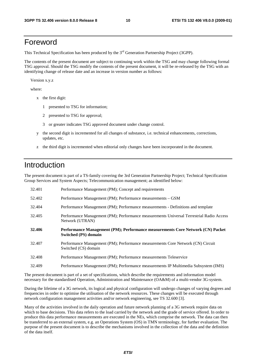### Foreword

This Technical Specification has been produced by the 3<sup>rd</sup> Generation Partnership Project (3GPP).

The contents of the present document are subject to continuing work within the TSG and may change following formal TSG approval. Should the TSG modify the contents of the present document, it will be re-released by the TSG with an identifying change of release date and an increase in version number as follows:

Version x.y.z

where:

- x the first digit:
	- 1 presented to TSG for information;
	- 2 presented to TSG for approval;
	- 3 or greater indicates TSG approved document under change control.
- y the second digit is incremented for all changes of substance, i.e. technical enhancements, corrections, updates, etc.
- z the third digit is incremented when editorial only changes have been incorporated in the document.

### Introduction

The present document is part of a TS-family covering the 3rd Generation Partnership Project; Technical Specification Group Services and System Aspects; Telecommunication management; as identified below:

| 32.401 | Performance Management (PM); Concept and requirements                                                         |
|--------|---------------------------------------------------------------------------------------------------------------|
| 52.402 | Performance Management (PM); Performance measurements - GSM                                                   |
| 32.404 | Performance Management (PM); Performance measurements - Definitions and template                              |
| 32.405 | Performance Management (PM); Performance measurements Universal Terrestrial Radio Access<br>Network (UTRAN)   |
| 32.406 | Performance Management (PM); Performance measurements Core Network (CN) Packet<br><b>Switched (PS) domain</b> |
| 32.407 | Performance Management (PM); Performance measurements Core Network (CN) Circuit<br>Switched (CS) domain       |
| 32.408 | Performance Management (PM); Performance measurements Teleservice                                             |
| 32.409 | Performance Management (PM); Performance measurements IP Multimedia Subsystem (IMS)                           |

The present document is part of a set of specifications, which describe the requirements and information model necessary for the standardised Operation, Administration and Maintenance (OA&M) of a multi-vendor 3G-system.

During the lifetime of a 3G network, its logical and physical configuration will undergo changes of varying degrees and frequencies in order to optimise the utilisation of the network resources. These changes will be executed through network configuration management activities and/or network engineering, see TS 32.600 [3].

Many of the activities involved in the daily operation and future network planning of a 3G network require data on which to base decisions. This data refers to the load carried by the network and the grade of service offered. In order to produce this data performance measurements are executed in the NEs, which comprise the network. The data can then be transferred to an external system, e.g. an Operations System (OS) in TMN terminology, for further evaluation. The purpose of the present document is to describe the mechanisms involved in the collection of the data and the definition of the data itself.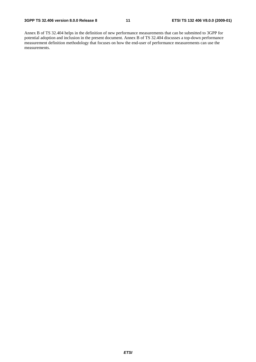Annex B of TS 32.404 helps in the definition of new performance measurements that can be submitted to 3GPP for potential adoption and inclusion in the present document. Annex B of TS 32.404 discusses a top-down performance measurement definition methodology that focuses on how the end-user of performance measurements can use the measurements.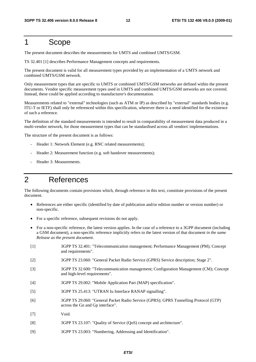### 1 Scope

The present document describes the measurements for UMTS and combined UMTS/GSM.

TS 32.401 [1] describes Performance Management concepts and requirements.

The present document is valid for all measurement types provided by an implementation of a UMTS network and combined UMTS/GSM network.

Only measurement types that are specific to UMTS or combined UMTS/GSM networks are defined within the present documents. Vendor specific measurement types used in UMTS and combined UMTS/GSM networks are not covered. Instead, these could be applied according to manufacturer's documentation.

Measurements related to "external" technologies (such as ATM or IP) as described by "external" standards bodies (e.g. ITU-T or IETF) shall only be referenced within this specification, wherever there is a need identified for the existence of such a reference.

The definition of the standard measurements is intended to result in comparability of measurement data produced in a multi-vendor network, for those measurement types that can be standardised across all vendors' implementations.

The structure of the present document is as follows:

- Header 1: Network Element (e.g. RNC related measurements);
- Header 2: Measurement function (e.g. soft handover measurements);
- Header 3: Measurements.

### 2 References

The following documents contain provisions which, through reference in this text, constitute provisions of the present document.

- References are either specific (identified by date of publication and/or edition number or version number) or non-specific.
- For a specific reference, subsequent revisions do not apply.
- For a non-specific reference, the latest version applies. In the case of a reference to a 3GPP document (including a GSM document), a non-specific reference implicitly refers to the latest version of that document *in the same Release as the present document*.
- [1] 3GPP TS 32.401: "Telecommunication management; Performance Management (PM); Concept and requirements".
- [2] 3GPP TS 23.060: "General Packet Radio Service (GPRS) Service description; Stage 2".
- [3] 3GPP TS 32.600: "Telecommunication management; Configuration Management (CM); Concept and high-level requirements".
- [4] 3GPP TS 29.002: "Mobile Application Part (MAP) specification".
- [5] 3GPP TS 25.413: "UTRAN Iu Interface RANAP signalling".
- [6] 3GPP TS 29.060: "General Packet Radio Service (GPRS); GPRS Tunnelling Protocol (GTP) across the Gn and Gp interface".
- [7] Void.
- [8] 3GPP TS 23.107: "Quality of Service (QoS) concept and architecture".
- [9] 3GPP TS 23.003: "Numbering, Addressing and Identification".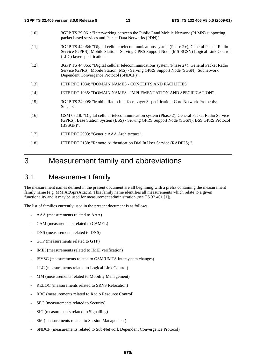- [10] 3GPP TS 29.061: "Interworking between the Public Land Mobile Network (PLMN) supporting packet based services and Packet Data Networks (PDN)".
- [11] 3GPP TS 44.064: "Digital cellular telecommunications system (Phase 2+); General Packet Radio Service (GPRS); Mobile Station - Serving GPRS Support Node (MS-SGSN) Logical Link Control (LLC) layer specification".
- [12] 3GPP TS 44.065: "Digital cellular telecommunications system (Phase 2+); General Packet Radio Service (GPRS); Mobile Station (MS) - Serving GPRS Support Node (SGSN); Subnetwork Dependent Convergence Protocol (SNDCP)".
- [13] IETF RFC 1034: "DOMAIN NAMES CONCEPTS AND FACILITIES".
- [14] IETF RFC 1035: "DOMAIN NAMES IMPLEMENTATION AND SPECIFICATION".
- [15] 3GPP TS 24.008: "Mobile Radio Interface Layer 3 specification; Core Network Protocols; Stage 3".
- [16] GSM 08.18: "Digital cellular telecommunication system (Phase 2); General Packet Radio Service (GPRS); Base Station System (BSS) - Serving GPRS Support Node (SGSN); BSS GPRS Protocol (BSSGP)".
- [17] IETF RFC 2903: "Generic AAA Architecture".
- [18] IETF RFC 2138: "Remote Authentication Dial In User Service (RADIUS) ".

### 3 Measurement family and abbreviations

### 3.1 Measurement family

The measurement names defined in the present document are all beginning with a prefix containing the measurement family name (e.g. MM.AttGprsAttach). This family name identifies all measurements which relate to a given functionality and it may be used for measurement administration (see TS 32.401 [1]).

The list of families currently used in the present document is as follows:

- AAA (measurements related to AAA)
- CAM (measurements related to CAMEL)
- DNS (measurements related to DNS)
- GTP (measurements related to GTP)
- IMEI (measurements related to IMEI verification)
- ISYSC (measurements related to GSM/UMTS Intersystem changes)
- LLC (measurements related to Logical Link Control)
- MM (measurements related to Mobility Management)
- RELOC (measurements related to SRNS Relocation)
- RRC (measurements related to Radio Resource Control)
- SEC (measurements related to Security)
- SIG (measurements related to Signalling)
- SM (measurements related to Session Management)
- SNDCP (measurements related to Sub-Network Dependent Convergence Protocol)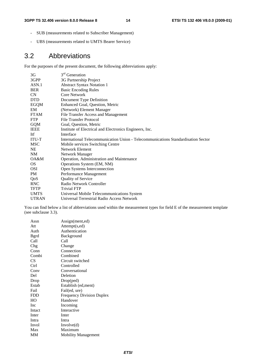- SUB (measurements related to Subscriber Management)
- UBS (measurements related to UMTS Bearer Service)

### 3.2 Abbreviations

For the purposes of the present document, the following abbreviations apply:

| 3G           | 3 <sup>rd</sup> Generation                                                        |  |
|--------------|-----------------------------------------------------------------------------------|--|
| 3GPP         | 3G Partnership Project                                                            |  |
| ASN.1        | <b>Abstract Syntax Notation 1</b>                                                 |  |
| <b>BER</b>   | <b>Basic Encoding Rules</b>                                                       |  |
| <b>CN</b>    | Core Network                                                                      |  |
| <b>DTD</b>   | Document Type Definition                                                          |  |
| EGQM         | Enhanced Goal, Question, Metric                                                   |  |
| EM           | (Network) Element Manager                                                         |  |
| <b>FTAM</b>  | File Transfer Access and Management                                               |  |
| <b>FTP</b>   | File Transfer Protocol                                                            |  |
| <b>GQM</b>   | Goal, Question, Metric                                                            |  |
| IEEE         | Institute of Electrical and Electronics Engineers, Inc.                           |  |
| Itf          | Interface                                                                         |  |
| <b>ITU-T</b> | International Telecommunication Union - Telecommunications Standardisation Sector |  |
| MSC          | Mobile services Switching Centre                                                  |  |
| <b>NE</b>    | Network Element                                                                   |  |
| NM           | Network Manager                                                                   |  |
| OA&M         | Operation, Administration and Maintenance                                         |  |
| OS.          | Operations System (EM, NM)                                                        |  |
| <b>OSI</b>   | Open Systems Interconnection                                                      |  |
| PM           | Performance Management                                                            |  |
| QoS          | Quality of Service                                                                |  |
| <b>RNC</b>   | Radio Network Controller                                                          |  |
| <b>TFTP</b>  | <b>Trivial FTP</b>                                                                |  |
| <b>UMTS</b>  | Universal Mobile Telecommunications System                                        |  |
| <b>UTRAN</b> | Universal Terrestrial Radio Access Network                                        |  |

You can find below a list of abbreviations used within the measurement types for field E of the measurement template (see subclause 3.3).

| Assn         | Assign(ment,ed)                  |
|--------------|----------------------------------|
| Att          | Attempt(s,ed)                    |
| Auth         | Authentication                   |
| <b>B</b> grd | Background                       |
| Call         | Call                             |
| Chg          | Change                           |
| Conn         | Connection                       |
| Combi        | Combined                         |
| CS           | Circuit switched                 |
| Ctrl         | Controlled                       |
| Conv         | Conversational                   |
| Del          | Deletion                         |
| Drop         | Drop(ped)                        |
| Estab        | Establish (ed, ment)             |
| Fail         | Fail(ed, ure)                    |
| <b>FDD</b>   | <b>Frequency Division Duplex</b> |
| HO           | Handover                         |
| Inc          | Incoming                         |
| Intact       | Interactive                      |
| Inter        | Inter                            |
| Intra        | Intra                            |
| Invol        | Involve(d)                       |
| Max          | Maximum                          |
| MМ           | <b>Mobility Management</b>       |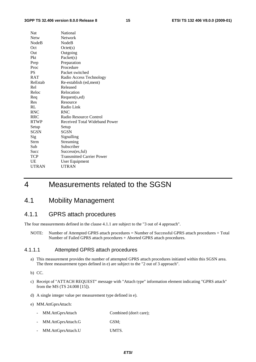#### **3GPP TS 32.406 version 8.0.0 Release 8 15 ETSI TS 132 406 V8.0.0 (2009-01)**

| Nat          | National                         |
|--------------|----------------------------------|
| Netw         | <b>Network</b>                   |
| NodeB        | NodeB                            |
| Oct          | Octet(s)                         |
| Out          | Outgoing                         |
| Pkt          | Packet(s)                        |
| Prep         | Preparation                      |
| Proc         | Procedure                        |
| <b>PS</b>    | Packet switched                  |
| <b>RAT</b>   | Radio Access Technology          |
| ReEstab      | Re-establish (ed, ment)          |
| Rel          | Released                         |
| Reloc        | Relocation                       |
| Req          | Request(s,ed)                    |
| Res          | Resource                         |
| RL           | Radio Link                       |
| <b>RNC</b>   | <b>RNC</b>                       |
| <b>RRC</b>   | Radio Resource Control           |
| <b>RTWP</b>  | Received Total Wideband Power    |
| Setup        | Setup                            |
| <b>SGSN</b>  | <b>SGSN</b>                      |
| Sig          | Signalling                       |
| Strm         | Streaming                        |
| Sub          | Subscriber                       |
| Succ         | Success(es, ful)                 |
| <b>TCP</b>   | <b>Transmitted Carrier Power</b> |
| UE           | User Equipment                   |
| <b>UTRAN</b> | <b>UTRAN</b>                     |
|              |                                  |

### 4 Measurements related to the SGSN

### 4.1 Mobility Management

#### 4.1.1 GPRS attach procedures

The four measurements defined in the clause 4.1.1 are subject to the "3 out of 4 approach".

NOTE: Number of Attempted GPRS attach procedures = Number of Successful GPRS attach procedures + Total Number of Failed GPRS attach procedures + Aborted GPRS attach procedures.

#### 4.1.1.1 Attempted GPRS attach procedures

- a) This measurement provides the number of attempted GPRS attach procedures initiated within this SGSN area. The three measurement types defined in e) are subject to the "2 out of 3 approach".
- b) CC.
- c) Receipt of "ATTACH REQUEST" message with "Attach type" information element indicating "GPRS attach" from the MS (TS 24.008 [15]).
- d) A single integer value per measurement type defined in e).

#### e) MM.AttGprsAttach:

- MM.AttGprsAttach Combined (don't care);
- MM.AttGprsAttach.G GSM;
- MM.AttGprsAttach.U UMTS.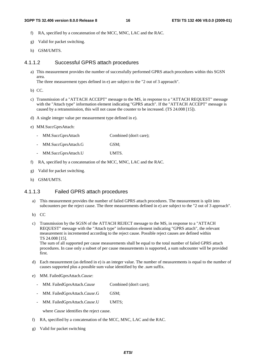- f) RA, specified by a concatenation of the MCC, MNC, LAC and the RAC.
- g) Valid for packet switching.
- h) GSM/UMTS.

#### 4.1.1.2 Successful GPRS attach procedures

a) This measurement provides the number of successfully performed GPRS attach procedures within this SGSN area.

The three measurement types defined in e) are subject to the "2 out of 3 approach".

- b) CC.
- c) Transmission of a "ATTACH ACCEPT" message to the MS, in response to a "ATTACH REQUEST" message with the "Attach type" information element indicating "GPRS attach". If the "ATTACH ACCEPT" message is caused by a retransmission, this will not cause the counter to be increased. (TS 24.008 [15]).
- d) A single integer value per measurement type defined in e).
- e) MM.SuccGprsAttach:
	- MM.SuccGprsAttach Combined (don't care);
	- MM.SuccGprsAttach.G GSM;
	- MM.SuccGprsAttach.U UMTS.
- f) RA, specified by a concatenation of the MCC, MNC, LAC and the RAC.
- g) Valid for packet switching.
- h) GSM/UMTS.

#### 4.1.1.3 Failed GPRS attach procedures

- a) This measurement provides the number of failed GPRS attach procedures. The measurement is split into subcounters per the reject cause. The three measurements defined in e) are subject to the "2 out of 3 approach".
- b) CC
- c) Transmission by the SGSN of the ATTACH REJECT message to the MS, in response to a "ATTACH REQUEST" message with the "Attach type" information element indicating "GPRS attach", the relevant measurement is incremented according to the reject cause. Possible reject causes are defined within TS 24.008 [15].

The sum of all supported per cause measurements shall be equal to the total number of failed GPRS attach procedures. In case only a subset of per cause measurements is supported, a sum subcounter will be provided first.

- d) Each measurement (as defined in e) is an integer value. The number of measurements is equal to the number of causes supported plus a possible sum value identified by the *.sum* suffix.
- e) MM. FailedGprsAttach.*Cause*:
	- MM. FailedGprsAttach.*Cause* Combined (don't care);
	- MM. FailedGprsAttach.*Cause*.G GSM;
	- MM. FailedGprsAttach.*Cause*.U UMTS;

where *Cause* identifies the reject cause.

- f) RA, specified by a concatenation of the MCC, MNC, LAC and the RAC.
- g) Valid for packet switching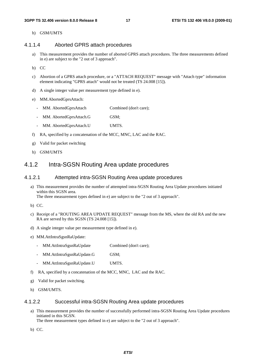#### h) GSM/UMTS

#### 4.1.1.4 Aborted GPRS attach procedures

- a) This measurement provides the number of aborted GPRS attach procedures. The three measurements defined in e) are subject to the "2 out of 3 approach".
- b) CC
- c) Abortion of a GPRS attach procedure, or a "ATTACH REQUEST" message with "Attach type" information element indicating "GPRS attach" would not be treated (TS 24.008 [15]).
- d) A single integer value per measurement type defined in e).
- e) MM.AbortedGprsAttach:
	- MM. AbortedGprsAttach Combined (don't care);
	- MM. AbortedGprsAttach.G GSM;
	- MM. AbortedGprsAttach.U UMTS.
- f) RA, specified by a concatenation of the MCC, MNC, LAC and the RAC.
- g) Valid for packet switching
- h) GSM/UMTS

#### 4.1.2 Intra-SGSN Routing Area update procedures

#### 4.1.2.1 Attempted intra-SGSN Routing Area update procedures

- a) This measurement provides the number of attempted intra-SGSN Routing Area Update procedures initiated within this SGSN area. The three measurement types defined in e) are subject to the "2 out of 3 approach".
- b) CC.
- c) Receipt of a "ROUTING AREA UPDATE REQUEST" message from the MS, where the old RA and the new RA are served by this SGSN (TS 24.008 [15]).
- d) A single integer value per measurement type defined in e).
- e) MM.AttIntraSgsnRaUpdate:
	- MM.AttIntraSgsnRaUpdate Combined (don't care);
	- MM.AttIntraSgsnRaUpdate.G GSM;
	- MM.AttIntraSgsnRaUpdate.U UMTS.
- f) RA, specified by a concatenation of the MCC, MNC, LAC and the RAC.
- g) Valid for packet switching.
- h) GSM/UMTS.

#### 4.1.2.2 Successful intra-SGSN Routing Area update procedures

a) This measurement provides the number of successfully performed intra-SGSN Routing Area Update procedures initiated in this SGSN.

The three measurement types defined in e) are subject to the "2 out of 3 approach".

b) CC.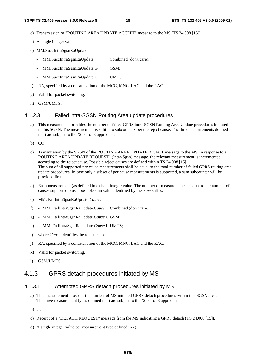- c) Transmission of "ROUTING AREA UPDATE ACCEPT" message to the MS (TS 24.008 [15]).
- d) A single integer value.
- e) MM.SuccIntraSgsnRaUpdate:
	- MM.SuccIntraSgsnRaUpdate Combined (don't care);
	- MM.SuccIntraSgsnRaUpdate.G GSM;
	- MM.SuccIntraSgsnRaUpdate.U UMTS.
- f) RA, specified by a concatenation of the MCC, MNC, LAC and the RAC.
- g) Valid for packet switching.
- h) GSM/UMTS.

#### 4.1.2.3 Failed intra-SGSN Routing Area update procedures

- a) This measurement provides the number of failed GPRS intra-SGSN Routing Area Update procedures initiated in this SGSN. The measurement is split into subcounters per the reject cause. The three measurements defined in e) are subject to the "2 out of 3 approach".
- b) CC
- c) Transmission by the SGSN of the ROUTING AREA UPDATE REJECT message to the MS, in response to a " ROUTING AREA UPDATE REQUEST" (Intra-Sgsn) message, the relevant measurement is incremented according to the reject cause. Possible reject causes are defined within TS 24.008 [15]. The sum of all supported per cause measurements shall be equal to the total number of failed GPRS routing area update procedures. In case only a subset of per cause measurements is supported, a sum subcounter will be provided first.
- d) Each measurement (as defined in e) is an integer value. The number of measurements is equal to the number of causes supported plus a possible sum value identified by the *.sum* suffix.
- e) MM. FailIntraSgsnRaUpdate.*Cause*:
- f) MM. FailIntraSgsnRaUpdate.*Cause* Combined (don't care);
- g) MM. FailIntraSgsnRaUpdate.*Cause*.G GSM;
- h) MM. FailIntraSgsnRaUpdate.*Cause*.U UMTS;
- i) where *Cause* identifies the reject cause.
- j) RA, specified by a concatenation of the MCC, MNC, LAC and the RAC.
- k) Valid for packet switching.
- l) GSM/UMTS.

#### 4.1.3 GPRS detach procedures initiated by MS

#### 4.1.3.1 Attempted GPRS detach procedures initiated by MS

- a) This measurement provides the number of MS initiated GPRS detach procedures within this SGSN area. The three measurement types defined in e) are subject to the "2 out of 3 approach".
- b) CC.
- c) Receipt of a "DETACH REQUEST" message from the MS indicating a GPRS detach (TS 24.008 [15]).
- d) A single integer value per measurement type defined in e).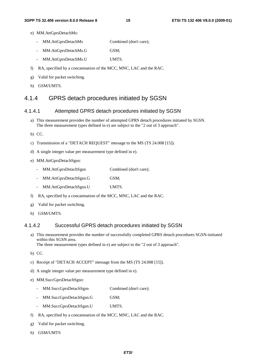- e) MM.AttGprsDetachMs:
	- MM.AttGprsDetachMs Combined (don't care);
	- MM.AttGprsDetachMs.G GSM;
	- MM.AttGprsDetachMs.U UMTS.
- f) RA, specified by a concatenation of the MCC, MNC, LAC and the RAC.
- g) Valid for packet switching.
- h) GSM/UMTS.

### 4.1.4 GPRS detach procedures initiated by SGSN

#### 4.1.4.1 Attempted GPRS detach procedures initiated by SGSN

- a) This measurement provides the number of attempted GPRS detach procedures initiated by SGSN. The three measurement types defined in e) are subject to the "2 out of 3 approach".
- b) CC.
- c) Transmission of a "DETACH REQUEST" message to the MS (TS 24.008 [15]).
- d) A single integer value per measurement type defined in e).
- e) MM.AttGprsDetachSgsn:
	- MM.AttGprsDetachSgsn Combined (don't care);
	- MM.AttGprsDetachSgsn.G GSM;
	- MM.AttGprsDetachSgsn.U UMTS.
- f) RA, specified by a concatenation of the MCC, MNC, LAC and the RAC.
- g) Valid for packet switching.
- h) GSM/UMTS.

#### 4.1.4.2 Successful GPRS detach procedures initiated by SGSN

- a) This measurement provides the number of successfully completed GPRS detach procedures SGSN-initiated within this SGSN area. The three measurement types defined in e) are subject to the "2 out of 3 approach".
- b) CC.
- c) Receipt of "DETACH ACCEPT" message from the MS (TS 24.008 [15]).
- d) A single integer value per measurement type defined in e).
- e) MM.SuccGprsDetachSgsn:
	- MM.SuccGprsDetachSgsn Combined (don't care);
	- MM.SuccGprsDetachSgsn.G GSM;
	- MM.SuccGprsDetachSgsn.U UMTS.
- f) RA, specified by a concatenation of the MCC, MNC, LAC and the RAC.
- g) Valid for packet switching.
- h) GSM/UMTS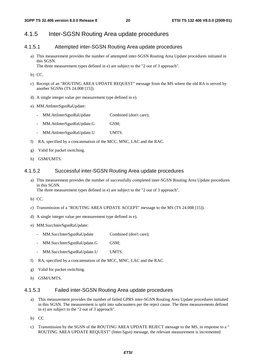### 4.1.5 Inter-SGSN Routing Area update procedures

#### 4.1.5.1 Attempted inter-SGSN Routing Area update procedures

- a) This measurement provides the number of attempted inter-SGSN Routing Area Update procedures initiated in this SGSN. The three measurement types defined in e) are subject to the "2 out of 3 approach".
- b) CC.
- c) Receipt of an "ROUTING AREA UPDATE REQUEST" message from the MS where the old RA is served by another SGSNs (TS 24.008 [15]).
- d) A single integer value per measurement type defined in e).
- e) MM.AttInterSgsnRaUpdate:
	- MM.AttInterSgsnRaUpdate Combined (don't care);
	- MM.AttInterSgsnRaUpdate.G GSM;
	- MM.AttInterSgsnRaUpdate.U UMTS.
- f) RA, specified by a concatenation of the MCC, MNC, LAC and the RAC.
- g) Valid for packet switching.
- h) GSM/UMTS.

#### 4.1.5.2 Successful inter-SGSN Routing Area update procedures

- a) This measurement provides the number of successfully completed inter-SGSN Routing Area Update procedures in this SGSN. The three measurement types defined in e) are subject to the "2 out of 3 approach".
- b) CC.
- c) Transmission of a "ROUTING AREA UPDATE ACCEPT" message to the MS (TS 24.008 [15]).
- d) A single integer value per measurement type defined in e).
- e) MM.SuccInterSgsnRaUpdate:
	- MM.SuccInterSgsnRaUpdate Combined (don't care);
	- MM.SuccInterSgsnRaUpdate.G GSM;
	- MM.SuccInterSgsnRaUpdate.U UMTS.
- f) RA, specified by a concatenation of the MCC, MNC, LAC and the RAC.
- g) Valid for packet switching.
- h) GSM/UMTS.

#### 4.1.5.3 Failed inter-SGSN Routing Area update procedures

- a) This measurement provides the number of failed GPRS inter-SGSN Routing Area Update procedures initiated in this SGSN. The measurement is split into subcounters per the reject cause. The three measurements defined in e) are subject to the "2 out of 3 approach".
- b) CC
- c) Transmission by the SGSN of the ROUTING AREA UPDATE REJECT message to the MS, in response to a " ROUTING AREA UPDATE REQUEST" (Inter-Sgsn) message, the relevant measurement is incremented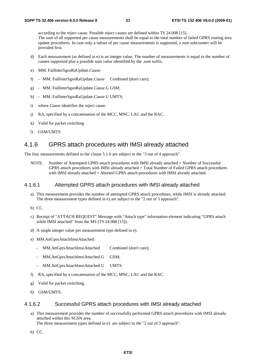according to the reject cause. Possible reject causes are defined within TS 24.008 [15]. The sum of all supported per cause measurements shall be equal to the total number of failed GPRS routing area update procedures. In case only a subset of per cause measurements is supported, a sum subcounter will be provided first.

- d) Each measurement (as defined in e) is an integer value. The number of measurements is equal to the number of causes supported plus a possible sum value identified by the *.sum* suffix.
- e) MM. FailInterSgsnRaUpdate.*Cause*:
- f) MM. FailInterSgsnRaUpdate.*Cause* Combined (don't care);
- g) MM. FailInterSgsnRaUpdate.*Cause*.G GSM;
- h) MM. FailInterSgsnRaUpdate.*Cause*.U UMTS;
- i) where *Cause* identifies the reject cause.
- j) RA, specified by a concatenation of the MCC, MNC, LAC and the RAC.
- k) Valid for packet switching
- l) GSM/UMTS

### 4.1.6 GPRS attach procedures with IMSI already attached

The four measurements defined in the clause 5.1.6 are subject to the "3 out of 4 approach".

NOTE: Number of Attempted GPRS attach procedures with IMSI already attached = Number of Successful GPRS attach procedures with IMSI already attached + Total Number of Failed GPRS attach procedures with IMSI already attached + Aborted GPRS attach procedures with IMSI already attached.

#### 4.1.6.1 Attempted GPRS attach procedures with IMSI already attached

- a) This measurement provides the number of attempted GPRS attach procedures, while IMSI is already attached. The three measurement types defined in e) are subject to the "2 out of 3 approach".
- b) CC.
- c) Receipt of "ATTACH REQUEST" Message with "Attach type" information element indicating "GPRS attach while IMSI attached" from the MS (TS 24.008 [15]).
- d) A single integer value per measurement type defined in e).
- e) MM.AttGprsAttachImsiAttached:
	- MM.AttGprsAttachImsiAttached Combined (don't care);
	- MM.AttGprsAttachImsiAttached.G GSM;
	- MM.AttGprsAttachImsiAttached.U UMTS.
- f) RA, specified by a concatenation of the MCC, MNC, LAC and the RAC.
- g) Valid for packet switching.
- h) GSM/UMTS.

#### 4.1.6.2 Successful GPRS attach procedures with IMSI already attached

a) This measurement provides the number of successfully performed GPRS attach procedures with IMSI already attached within this SGSN area.

The three measurement types defined in e) are subject to the "2 out of 3 approach".

b) CC.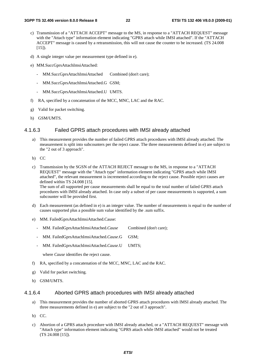- c) Transmission of a "ATTACH ACCEPT" message to the MS, in response to a "ATTACH REQUEST" message with the "Attach type" information element indicating "GPRS attach while IMSI attached". If the "ATTACH ACCEPT" message is caused by a retransmission, this will not cause the counter to be increased. (TS 24.008 [15]).
- d) A single integer value per measurement type defined in e).
- e) MM.SuccGprsAttachImsiAttached:
	- MM.SuccGprsAttachImsiAttached Combined (don't care);
	- MM.SuccGprsAttachImsiAttached.G GSM;
	- MM.SuccGprsAttachImsiAttached.U UMTS.
- f) RA, specified by a concatenation of the MCC, MNC, LAC and the RAC.
- g) Valid for packet switching.
- h) GSM/UMTS.

#### 4.1.6.3 Failed GPRS attach procedures with IMSI already attached

- a) This measurement provides the number of failed GPRS attach procedures with IMSI already attached. The measurement is split into subcounters per the reject cause. The three measurements defined in e) are subject to the "2 out of 3 approach".
- b) CC
- c) Transmission by the SGSN of the ATTACH REJECT message to the MS, in response to a "ATTACH REQUEST" message with the "Attach type" information element indicating "GPRS attach while IMSI attached", the relevant measurement is incremented according to the reject cause. Possible reject causes are defined within TS 24.008 [15]. The sum of all supported per cause measurements shall be equal to the total number of failed GPRS attach

procedures with IMSI already attached. In case only a subset of per cause measurements is supported, a sum subcounter will be provided first.

- d) Each measurement (as defined in e) is an integer value. The number of measurements is equal to the number of causes supported plus a possible sum value identified by the .sum suffix.
- e) MM. FailedGprsAttachImsiAttached.Cause:
	- MM. FailedGprsAttachImsiAttached.*Cause* Combined (don't care);
	- MM. FailedGprsAttachImsiAttached.*Cause*.G GSM;
	- MM. FailedGprsAttachImsiAttached.*Cause*.U UMTS;

where *Cause* identifies the reject cause.

- f) RA, specified by a concatenation of the MCC, MNC, LAC and the RAC.
- g) Valid for packet switching.
- h) GSM/UMTS.

#### 4.1.6.4 Aborted GPRS attach procedures with IMSI already attached

- a) This measurement provides the number of aborted GPRS attach procedures with IMSI already attached. The three measurements defined in e) are subject to the "2 out of 3 approach".
- b) CC.
- c) Abortion of a GPRS attach procedure with IMSI already attached, or a "ATTACH REQUEST" message with "Attach type" information element indicating "GPRS attach while IMSI attached" would not be treated (TS 24.008 [15]).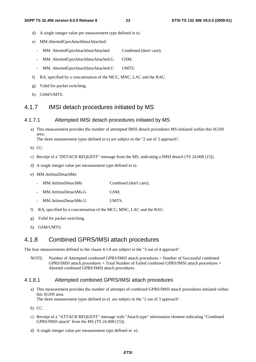- d) A single integer value per measurement type defined in e).
- e) MM.AbortedGprsAttachImsiAttached:
	- MM. AbortedGprsAttachImsiAttached Combined (don't care);
	- MM. AbortedGprsAttachImsiAttached.G GSM;
	- MM. AbortedGprsAttachImsiAttached.U UMTS.
- f) RA, specified by a concatenation of the MCC, MNC, LAC and the RAC.
- g) Valid for packet switching.
- h) GSM/UMTS.

#### 4.1.7 IMSI detach procedures initiated by MS

#### 4.1.7.1 Attempted IMSI detach procedures initiated by MS

a) This measurement provides the number of attempted IMSI detach procedures MS-initiated within this SGSN area. The three measurement types defined in e) are subject to the "2 out of 3 approach".

b) CC.

- c) Receipt of a "DETACH REQUEST" message from the MS, indicating a IMSI detach (TS 24.008 [15]).
- d) A single integer value per measurement type defined in e).
- e) MM.AttImsiDetachMs:
	- MM.AttImsiDetachMs Combined (don't care);
	- MM.AttImsiDetachMs.G GSM;
	- MM.AttImsiDetachMs.U UMTS.
- f) RA, specified by a concatenation of the MCC, MNC, LAC and the RAC.
- g) Valid for packet switching.
- h) GSM/UMTS.

#### 4.1.8 Combined GPRS/IMSI attach procedures

The four measurements defined in the clause 4.1.8 are subject to the "3 out of 4 approach".

NOTE: Number of Attempted combined GPRS/IMSI attach procedures = Number of Successful combined GPRS/IMSI attach procedures + Total Number of Failed combined GPRS/IMSI attach procedures + Aborted combined GPRS/IMSI attach procedures.

#### 4.1.8.1 Attempted combined GPRS/IMSI attach procedures

a) This measurement provides the number of attempts of combined GPRS/IMSI attach procedures initiated within this SGSN area. The three measurement types defined in e) are subject to the "2 out of 3 approach".

- b) CC.
- c) Receipt of a "ATTACH REQUEST" message with "Attach type" information element indicating "Combined GPRS/IMSI attach" from the MS (TS 24.008 [15]).
- d) A single integer value per measurement type defined in e) .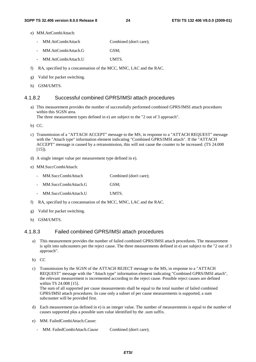- e) MM.AttCombiAttach:
	- MM.AttCombiAttach Combined (don't care);
	- MM.AttCombiAttach.G GSM;
	- MM.AttCombiAttach.U UMTS.
- f) RA, specified by a concatenation of the MCC, MNC, LAC and the RAC.
- g) Valid for packet switching.
- h) GSM/UMTS.

#### 4.1.8.2 Successful combined GPRS/IMSI attach procedures

a) This measurement provides the number of successfully performed combined GPRS/IMSI attach procedures within this SGSN area. The three measurement types defined in e) are subject to the "2 out of 3 approach".

b) CC.

- c) Transmission of a "ATTACH ACCEPT" message to the MS, in response to a "ATTACH REQUEST" message with the "Attach type" information element indicating "Combined GPRS/IMSI attach". If the "ATTACH ACCEPT" message is caused by a retransmission, this will not cause the counter to be increased. (TS 24.008  $[15]$ ).
- d) A single integer value per measurement type defined in e).
- e) MM.SuccCombiAttach:

| MM.SuccCombiAttach | Combined (don't care); |
|--------------------|------------------------|
|                    |                        |

- MM.SuccCombiAttach.G GSM;
- MM.SuccCombiAttach.U UMTS.
- f) RA, specified by a concatenation of the MCC, MNC, LAC and the RAC.
- g) Valid for packet switching.
- h) GSM/UMTS.

#### 4.1.8.3 Failed combined GPRS/IMSI attach procedures

a) This measurement provides the number of failed combined GPRS/IMSI attach procedures. The measurement is split into subcounters per the reject cause. The three measurements defined in e) are subject to the "2 out of 3 approach".

b) CC

- c) Transmission by the SGSN of the ATTACH REJECT message to the MS, in response to a "ATTACH REQUEST" message with the "Attach type" information element indicating "Combined GPRS/IMSI attach", the relevant measurement is incremented according to the reject cause. Possible reject causes are defined within TS 24.008 [15]. The sum of all supported per cause measurements shall be equal to the total number of failed combined GPRS/IMSI attach procedures. In case only a subset of per cause measurements is supported, a sum subcounter will be provided first.
- d) Each measurement (as defined in e) is an integer value. The number of measurements is equal to the number of causes supported plus a possible sum value identified by the .sum suffix.
- e) MM. FailedCombiAttach.Cause:
	- MM. FailedCombiAttach.*Cause* Combined (don't care);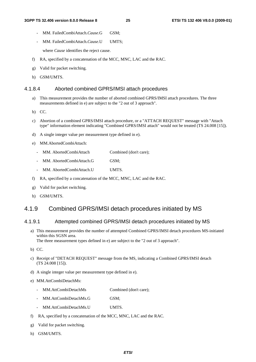- MM. FailedCombiAttach.*Cause*.G GSM;
- MM. FailedCombiAttach.*Cause*.U UMTS;

where *Cause* identifies the reject cause.

- f) RA, specified by a concatenation of the MCC, MNC, LAC and the RAC.
- g) Valid for packet switching.
- h) GSM/UMTS.

#### 4.1.8.4 Aborted combined GPRS/IMSI attach procedures

- a) This measurement provides the number of aborted combined GPRS/IMSI attach procedures. The three measurements defined in e) are subject to the "2 out of 3 approach".
- b) CC.
- c) Abortion of a combined GPRS/IMSI attach procedure, or a "ATTACH REQUEST" message with "Attach type" information element indicating "Combined GPRS/IMSI attach" would not be treated (TS 24.008 [15]).
- d) A single integer value per measurement type defined in e).
- e) MM.AbortedCombiAttach:
	- MM. AbortedCombiAttach Combined (don't care);
	- MM. AbortedCombiAttach.G GSM;
	- MM. AbortedCombiAttach.U UMTS.
- f) RA, specified by a concatenation of the MCC, MNC, LAC and the RAC.
- g) Valid for packet switching.
- h) GSM/UMTS.

### 4.1.9 Combined GPRS/IMSI detach procedures initiated by MS

#### 4.1.9.1 Attempted combined GPRS/IMSI detach procedures initiated by MS

a) This measurement provides the number of attempted Combined GPRS/IMSI detach procedures MS-initiated within this SGSN area.

The three measurement types defined in e) are subject to the "2 out of 3 approach".

- b) CC.
- c) Receipt of "DETACH REQUEST" message from the MS, indicating a Combined GPRS/IMSI detach (TS 24.008 [15]).
- d) A single integer value per measurement type defined in e).
- e) MM.AttCombiDetachMs:
	- MM.AttCombiDetachMs Combined (don't care);
	- MM.AttCombiDetachMs.G GSM;
	- MM.AttCombiDetachMs.U UMTS.
- f) RA, specified by a concatenation of the MCC, MNC, LAC and the RAC.
- g) Valid for packet switching.
- h) GSM/UMTS.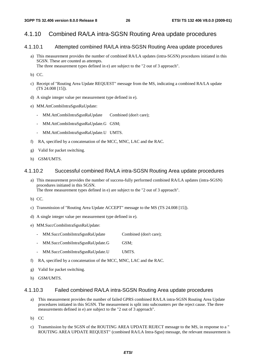### 4.1.10 Combined RA/LA intra-SGSN Routing Area update procedures

#### 4.1.10.1 Attempted combined RA/LA intra-SGSN Routing Area update procedures

- a) This measurement provides the number of combined RA/LA updates (intra-SGSN) procedures initiated in this SGSN. These are counted as attempts. The three measurement types defined in e) are subject to the "2 out of 3 approach".
- b) CC.
- c) Receipt of "Routing Area Update REQUEST" message from the MS, indicating a combined RA/LA update (TS 24.008 [15]).
- d) A single integer value per measurement type defined in e).
- e) MM.AttCombiIntraSgsnRaUpdate:
	- MM.AttCombiIntraSgsnRaUpdate Combined (don't care);
	- MM.AttCombiIntraSgsnRaUpdate.G GSM;
	- MM.AttCombiIntraSgsnRaUpdate.U UMTS.
- f) RA, specified by a concatenation of the MCC, MNC, LAC and the RAC.
- g) Valid for packet switching.
- h) GSM/UMTS.

#### 4.1.10.2 Successful combined RA/LA intra-SGSN Routing Area update procedures

- a) This measurement provides the number of success-fully performed combined RA/LA updates (intra-SGSN) procedures initiated in this SGSN. The three measurement types defined in e) are subject to the "2 out of 3 approach".
- b) CC.
- c) Transmission of "Routing Area Update ACCEPT" message to the MS (TS 24.008 [15]).
- d) A single integer value per measurement type defined in e).
- e) MM.SuccCombiIntraSgsnRaUpdate:
	- MM.SuccCombiIntraSgsnRaUpdate Combined (don't care);
	- MM.SuccCombiIntraSgsnRaUpdate.G GSM;
	- MM.SuccCombiIntraSgsnRaUpdate.U UMTS.
- f) RA, specified by a concatenation of the MCC, MNC, LAC and the RAC.
- g) Valid for packet switching.
- h) GSM/UMTS.

#### 4.1.10.3 Failed combined RA/LA intra-SGSN Routing Area update procedures

- a) This measurement provides the number of failed GPRS combined RA/LA intra-SGSN Routing Area Update procedures initiated in this SGSN. The measurement is split into subcounters per the reject cause. The three measurements defined in e) are subject to the "2 out of 3 approach".
- b) CC
- c) Transmission by the SGSN of the ROUTING AREA UPDATE REJECT message to the MS, in response to a " ROUTING AREA UPDATE REQUEST" (combined RA/LA Intra-Sgsn) message, the relevant measurement is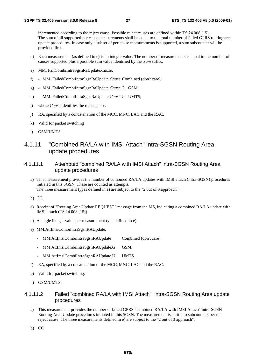incremented according to the reject cause. Possible reject causes are defined within TS 24.008 [15]. The sum of all supported per cause measurements shall be equal to the total number of failed GPRS routing area update procedures. In case only a subset of per cause measurements is supported, a sum subcounter will be provided first.

- d) Each measurement (as defined in e) is an integer value. The number of measurements is equal to the number of causes supported plus a possible sum value identified by the *.sum* suffix.
- e) MM. FailCombiIntraSgsnRaUpdate.*Cause*:
- f) MM. FailedCombiIntraSgsnRaUpdate.*Cause* Combined (don't care);
- g) MM. FailedCombiIntraSgsnRaUpdate.*Cause*.G GSM;
- h) MM. FailedCombiIntraSgsnRaUpdate.*Cause*.U UMTS;
- i) where *Cause* identifies the reject cause.
- j) RA, specified by a concatenation of the MCC, MNC, LAC and the RAC.
- k) Valid for packet switching
- l) GSM/UMTS

### 4.1.11 "Combined RA/LA with IMSI Attach" intra-SGSN Routing Area update procedures

#### 4.1.11.1 Attempted "combined RA/LA with IMSI Attach" intra-SGSN Routing Area update procedures

- a) This measurement provides the number of combined RA/LA updates with IMSI attach (intra-SGSN) procedures initiated in this SGSN. These are counted as attempts. The three measurement types defined in e) are subject to the "2 out of 3 approach".
- b) CC.
- c) Receipt of "Routing Area Update REQUEST" message from the MS, indicating a combined RA/LA update with IMSI attach (TS 24.008 [15]).
- d) A single integer value per measurement type defined in e).
- e) MM.AttImsiCombiIntraSgsnRAUpdate:
	- MM.AttImsiCombiIntraSgsnRAUpdate Combined (don't care);
	- MM.AttImsiCombiIntraSgsnRAUpdate.G GSM;
	- MM.AttImsiCombiIntraSgsnRAUpdate.U UMTS.
- f) RA, specified by a concatenation of the MCC, MNC, LAC and the RAC.
- g) Valid for packet switching.
- h) GSM/UMTS.

#### 4.1.11.2 Failed "combined RA/LA with IMSI Attach" intra-SGSN Routing Area update procedures

- a) This measurement provides the number of failed GPRS "combined RA/LA with IMSI Attach" intra-SGSN Routing Area Update procedures initiated in this SGSN. The measurement is split into subcounters per the reject cause. The three measurements defined in e) are subject to the "2 out of 3 approach".
- b) CC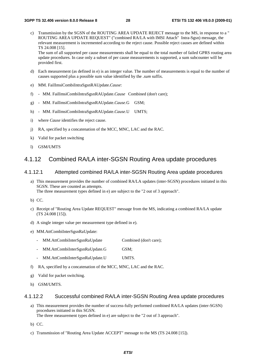c) Transmission by the SGSN of the ROUTING AREA UPDATE REJECT message to the MS, in response to a " ROUTING AREA UPDATE REQUEST" ("combined RA/LA with IMSI Attach" Intra-Sgsn) message, the relevant measurement is incremented according to the reject cause. Possible reject causes are defined within TS 24.008 [15].

The sum of all supported per cause measurements shall be equal to the total number of failed GPRS routing area update procedures. In case only a subset of per cause measurements is supported, a sum subcounter will be provided first.

- d) Each measurement (as defined in e) is an integer value. The number of measurements is equal to the number of causes supported plus a possible sum value identified by the *.sum* suffix.
- e) MM. FailImsiCombiIntraSgsnRAUpdate.*Cause*:
- f) MM. FailImsiCombiIntraSgsnRAUpdate.*Cause* Combined (don't care);
- g) MM. FailImsiCombiIntraSgsnRAUpdate.*Cause*.G GSM;
- h) MM. FailImsiCombiIntraSgsnRAUpdate.*Cause*.U UMTS;
- i) where *Cause* identifies the reject cause.
- j) RA, specified by a concatenation of the MCC, MNC, LAC and the RAC.
- k) Valid for packet switching
- l) GSM/UMTS

#### 4.1.12 Combined RA/LA inter-SGSN Routing Area update procedures

#### 4.1.12.1 Attempted combined RA/LA inter-SGSN Routing Area update procedures

a) This measurement provides the number of combined RA/LA updates (inter-SGSN) procedures initiated in this SGSN. These are counted as attempts.

The three measurement types defined in e) are subject to the "2 out of 3 approach".

- b) CC.
- c) Receipt of "Routing Area Update REQUEST" message from the MS, indicating a combined RA/LA update (TS 24.008 [15]).
- d) A single integer value per measurement type defined in e).
- e) MM.AttCombiInterSgsnRaUpdate:
	- MM.AttCombiInterSgsnRaUpdate Combined (don't care);
	- MM.AttCombiInterSgsnRaUpdate.G GSM;
	- MM.AttCombiInterSgsnRaUpdate.U UMTS.
- f) RA, specified by a concatenation of the MCC, MNC, LAC and the RAC.
- g) Valid for packet switching.
- h) GSM/UMTS.

#### 4.1.12.2 Successful combined RA/LA inter-SGSN Routing Area update procedures

- a) This measurement provides the number of success-fully performed combined RA/LA updates (inter-SGSN) procedures initiated in this SGSN. The three measurement types defined in e) are subject to the "2 out of 3 approach".
- b) CC.
- c) Transmission of "Routing Area Update ACCEPT" message to the MS (TS 24.008 [15]).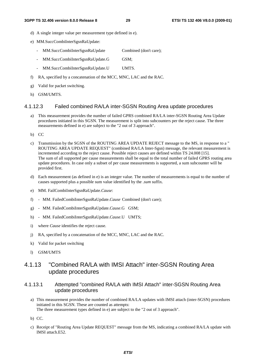- d) A single integer value per measurement type defined in e).
- e) MM.SuccCombiInterSgsnRaUpdate:
	- MM.SuccCombiInterSgsnRaUpdate Combined (don't care);
	- MM.SuccCombiInterSgsnRaUpdate.G GSM;
	- MM.SuccCombiInterSgsnRaUpdate.U UMTS.
- f) RA, specified by a concatenation of the MCC, MNC, LAC and the RAC.
- g) Valid for packet switching.
- h) GSM/UMTS.

#### 4.1.12.3 Failed combined RA/LA inter-SGSN Routing Area update procedures

- a) This measurement provides the number of failed GPRS combined RA/LA inter-SGSN Routing Area Update procedures initiated in this SGSN. The measurement is split into subcounters per the reject cause. The three measurements defined in e) are subject to the "2 out of 3 approach".
- b) CC
- c) Transmission by the SGSN of the ROUTING AREA UPDATE REJECT message to the MS, in response to a " ROUTING AREA UPDATE REQUEST" (combined RA/LA Inter-Sgsn) message, the relevant measurement is incremented according to the reject cause. Possible reject causes are defined within TS 24.008 [15]. The sum of all supported per cause measurements shall be equal to the total number of failed GPRS routing area update procedures. In case only a subset of per cause measurements is supported, a sum subcounter will be provided first.
- d) Each measurement (as defined in e) is an integer value. The number of measurements is equal to the number of causes supported plus a possible sum value identified by the *.sum* suffix.
- e) MM. FailCombiInterSgsnRaUpdate.*Cause*:
- f) MM. FailedCombiInterSgsnRaUpdate.*Cause* Combined (don't care);
- g) MM. FailedCombiInterSgsnRaUpdate.*Cause*.G GSM;
- h) MM. FailedCombiInterSgsnRaUpdate.*Cause*.U UMTS;
- i) where *Cause* identifies the reject cause.
- j) RA, specified by a concatenation of the MCC, MNC, LAC and the RAC.
- k) Valid for packet switching
- l) GSM/UMTS

#### 4.1.13 "Combined RA/LA with IMSI Attach" inter-SGSN Routing Area update procedures

#### 4.1.13.1 Attempted "combined RA/LA with IMSI Attach" inter-SGSN Routing Area update procedures

- a) This measurement provides the number of combined RA/LA updates with IMSI attach (inter-SGSN) procedures initiated in this SGSN. These are counted as attempts: The three measurement types defined in e) are subject to the "2 out of 3 approach".
- b) CC.
- c) Receipt of "Routing Area Update REQUEST" message from the MS, indicating a combined RA/LA update with IMSI attach.E52.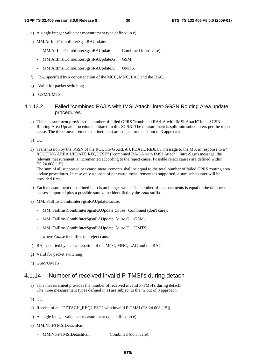- d) A single integer value per measurement type defined in e).
- e) MM.AttImsiCombiInterSgsnRAUpdate:
	- MM.AttImsiCombiInterSgsnRAUpdate Combined (don't care);
	- MM.AttImsiCombiInterSgsnRAUpdate.G GSM;
	- MM.AttImsiCombiInterSgsnRAUpdate.U UMTS.
- f) RA, specified by a concatenation of the MCC, MNC, LAC and the RAC.
- g) Valid for packet switching.
- h) GSM/UMTS.

#### 4.1.13.2 Failed "combined RA/LA with IMSI Attach" inter-SGSN Routing Area update procedures

a) This measurement provides the number of failed GPRS "combined RA/LA with IMSI Attach" inter-SGSN Routing Area Update procedures initiated in this SGSN. The measurement is split into subcounters per the reject cause. The three measurements defined in e) are subject to the "2 out of 3 approach".

b) CC

c) Transmission by the SGSN of the ROUTING AREA UPDATE REJECT message to the MS, in response to a " ROUTING AREA UPDATE REQUEST" ("combined RA/LA with IMSI Attach" Intra-Sgsn) message, the relevant measurement is incremented according to the reject cause. Possible reject causes are defined within TS 24.008 [15].

The sum of all supported per cause measurements shall be equal to the total number of failed GPRS routing area update procedures. In case only a subset of per cause measurements is supported, a sum subcounter will be provided first.

- d) Each measurement (as defined in e) is an integer value. The number of measurements is equal to the number of causes supported plus a possible sum value identified by the *.sum* suffix.
- e) MM. FailImsiCombiInterSgsnRAUpdate.*Cause*:
	- MM. FailImsiCombiInterSgsnRAUpdate.*Cause* Combined (don't care);
	- MM. FailImsiCombiInterSgsnRAUpdate.*Cause*.G GSM;
	- MM. FailImsiCombiInterSgsnRAUpdate.*Cause*.U UMTS;

where *Cause* identifies the reject cause.

- f) RA, specified by a concatenation of the MCC, MNC, LAC and the RAC.
- g) Valid for packet switching
- h) GSM/UMTS

#### 4.1.14 Number of received invalid P-TMSI's during detach

- a) This measurement provides the number of received invalid P-TMSI's during detach. The three measurement types defined in e) are subject to the "2 out of 3 approach".
- b) CC.
- c) Receipt of an "DETACH\_REQUEST" with invalid P-TMSI (TS 24.008 [15]).
- d) A single integer value per measurement type defined in e).
- e) MM.NbrPTMSIDetachFail:
	- MM.NbrPTMSIDetachFail Combined (don't care);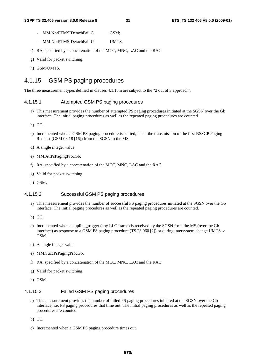- MM.NbrPTMSIDetachFail.G GSM:
- MM.NbrPTMSIDetachFail.U UMTS.
- f) RA, specified by a concatenation of the MCC, MNC, LAC and the RAC.
- g) Valid for packet switching.
- h) GSM/UMTS.

### 4.1.15 GSM PS paging procedures

The three measurement types defined in clauses 4.1.15.n are subject to the "2 out of 3 approach".

#### 4.1.15.1 Attempted GSM PS paging procedures

- a) This measurement provides the number of attempted PS paging procedures initiated at the SGSN over the Gb interface. The initial paging procedures as well as the repeated paging procedures are counted.
- b) CC.
- c) Incremented when a GSM PS paging procedure is started, i.e. at the transmission of the first BSSGP Paging Request (GSM 08.18 [16]) from the SGSN to the MS.
- d) A single integer value.
- e) MM.AttPsPagingProcGb.
- f) RA, specified by a concatenation of the MCC, MNC, LAC and the RAC.
- g) Valid for packet switching.
- h) GSM.

#### 4.1.15.2 Successful GSM PS paging procedures

- a) This measurement provides the number of successful PS paging procedures initiated at the SGSN over the Gb interface. The initial paging procedures as well as the repeated paging procedures are counted.
- b) CC.
- c) Incremented when an uplink\_trigger (any LLC frame) is received by the SGSN from the MS (over the Gb interface) as response to a GSM PS paging procedure (TS 23.060 [2]) or during intersystem change UMTS -> GSM.
- d) A single integer value.
- e) MM.SuccPsPagingProcGb.
- f) RA, specified by a concatenation of the MCC, MNC, LAC and the RAC.
- g) Valid for packet switching.
- h) GSM.

#### 4.1.15.3 Failed GSM PS paging procedures

- a) This measurement provides the number of failed PS paging procedures initiated at the SGSN over the Gb interface, i.e. PS paging procedures that time out. The initial paging procedures as well as the repeated paging procedures are counted.
- b) CC.
- c) Incremented when a GSM PS paging procedure times out.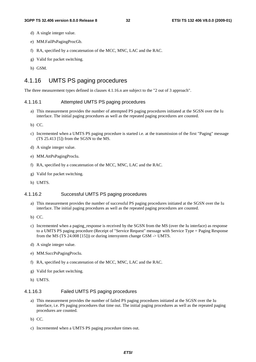- d) A single integer value.
- e) MM.FailPsPagingProcGb.
- f) RA, specified by a concatenation of the MCC, MNC, LAC and the RAC.
- g) Valid for packet switching.
- h) GSM.

### 4.1.16 UMTS PS paging procedures

The three measurement types defined in clauses 4.1.16.n are subject to the "2 out of 3 approach".

#### 4.1.16.1 Attempted UMTS PS paging procedures

- a) This measurement provides the number of attempted PS paging procedures initiated at the SGSN over the Iu interface. The initial paging procedures as well as the repeated paging procedures are counted.
- b) CC.
- c) Incremented when a UMTS PS paging procedure is started i.e. at the transmission of the first "Paging" message (TS 25.413 [5]) from the SGSN to the MS.
- d) A single integer value.
- e) MM.AttPsPagingProcIu.
- f) RA, specified by a concatenation of the MCC, MNC, LAC and the RAC.
- g) Valid for packet switching.
- h) UMTS.

#### 4.1.16.2 Successful UMTS PS paging procedures

- a) This measurement provides the number of successful PS paging procedures initiated at the SGSN over the Iu interface. The initial paging procedures as well as the repeated paging procedures are counted.
- b) CC.
- c) Incremented when a paging\_response is received by the SGSN from the MS (over the Iu interface) as response to a UMTS PS paging procedure (Receipt of "Service Request" message with Service Type = Paging Response from the MS (TS 24.008 [15])) or during intersystem change GSM -> UMTS.
- d) A single integer value.
- e) MM.SuccPsPagingProcIu.
- f) RA, specified by a concatenation of the MCC, MNC, LAC and the RAC.
- g) Valid for packet switching.
- h) UMTS.

#### 4.1.16.3 Failed UMTS PS paging procedures

- a) This measurement provides the number of failed PS paging procedures initiated at the SGSN over the Iu interface, i.e. PS paging procedures that time out. The initial paging procedures as well as the repeated paging procedures are counted.
- b) CC.
- c) Incremented when a UMTS PS paging procedure times out.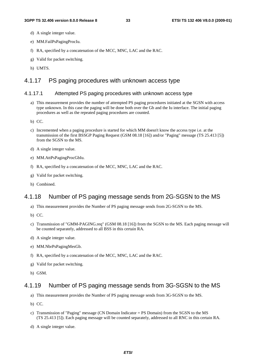- d) A single integer value.
- e) MM.FailPsPagingProcIu.
- f) RA, specified by a concatenation of the MCC, MNC, LAC and the RAC.
- g) Valid for packet switching.
- h) UMTS.

#### 4.1.17 PS paging procedures with unknown access type

#### 4.1.17.1 Attempted PS paging procedures with unknown access type

- a) This measurement provides the number of attempted PS paging procedures initiated at the SGSN with access type unknown. In this case the paging will be done both over the Gb and the Iu interface. The initial paging procedures as well as the repeated paging procedures are counted.
- b) CC.
- c) Incremented when a paging procedure is started for which MM doesn't know the access type i.e. at the transmission of the first BSSGP Paging Request (GSM 08.18 [16]) and/or "Paging" message (TS 25.413 [5]) from the SGSN to the MS.
- d) A single integer value.
- e) MM.AttPsPagingProcGbIu.
- f) RA, specified by a concatenation of the MCC, MNC, LAC and the RAC.
- g) Valid for packet switching.
- h) Combined.

#### 4.1.18 Number of PS paging message sends from 2G-SGSN to the MS

- a) This measurement provides the Number of PS paging message sends from 2G-SGSN to the MS.
- b) CC.
- c) Transmission of "GMM-PAGING.req" (GSM 08.18 [16]) from the SGSN to the MS. Each paging message will be counted separately, addressed to all BSS in this certain RA.
- d) A single integer value.
- e) MM.NbrPsPagingMesGb.
- f) RA, specified by a concatenation of the MCC, MNC, LAC and the RAC.
- g) Valid for packet switching.
- h) GSM.

#### 4.1.19 Number of PS paging message sends from 3G-SGSN to the MS

- a) This measurement provides the Number of PS paging message sends from 3G-SGSN to the MS.
- b) CC.
- c) Transmission of "Paging" message (CN Domain Indicator = PS Domain) from the SGSN to the MS (TS 25.413 [5]). Each paging message will be counted separately, addressed to all RNC in this certain RA.
- d) A single integer value.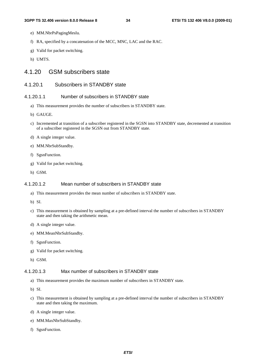- e) MM.NbrPsPagingMesIu.
- f) RA, specified by a concatenation of the MCC, MNC, LAC and the RAC.
- g) Valid for packet switching.
- h) UMTS.

#### 4.1.20 GSM subscribers state

#### 4.1.20.1 Subscribers in STANDBY state

#### 4.1.20.1.1 Number of subscribers in STANDBY state

- a) This measurement provides the number of subscribers in STANDBY state.
- b) GAUGE.
- c) Incremented at transition of a subscriber registered in the SGSN into STANDBY state, decremented at transition of a subscriber registered in the SGSN out from STANDBY state.
- d) A single integer value.
- e) MM.NbrSubStandby.
- f) SgsnFunction.
- g) Valid for packet switching.
- h) GSM.

#### 4.1.20.1.2 Mean number of subscribers in STANDBY state

- a) This measurement provides the mean number of subscribers in STANDBY state.
- b) SI.
- c) This measurement is obtained by sampling at a pre-defined interval the number of subscribers in STANDBY state and then taking the arithmetic mean.
- d) A single integer value.
- e) MM.MeanNbrSubStandby.
- f) SgsnFunction.
- g) Valid for packet switching.
- h) GSM.

#### 4.1.20.1.3 Max number of subscribers in STANDBY state

- a) This measurement provides the maximum number of subscribers in STANDBY state.
- b) SI.
- c) This measurement is obtained by sampling at a pre-defined interval the number of subscribers in STANDBY state and then taking the maximum.
- d) A single integer value.
- e) MM.MaxNbrSubStandby.
- f) SgsnFunction.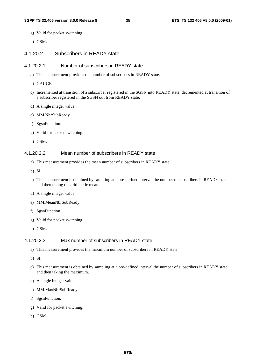- g) Valid for packet switching.
- h) GSM.

#### 4.1.20.2 Subscribers in READY state

#### 4.1.20.2.1 Number of subscribers in READY state

- a) This measurement provides the number of subscribers in READY state.
- b) GAUGE.
- c) Incremented at transition of a subscriber registered in the SGSN into READY state, decremented at transition of a subscriber registered in the SGSN out from READY state.
- d) A single integer value.
- e) MM.NbrSubReady
- f) SgsnFunction.
- g) Valid for packet switching.
- h) GSM.

#### 4.1.20.2.2 Mean number of subscribers in READY state

- a) This measurement provides the mean number of subscribers in READY state.
- b) SI.
- c) This measurement is obtained by sampling at a pre-defined interval the number of subscribers in READY state and then taking the arithmetic mean.
- d) A single integer value.
- e) MM.MeanNbrSubReady.
- f) SgsnFunction.
- g) Valid for packet switching.
- h) GSM.

#### 4.1.20.2.3 Max number of subscribers in READY state

- a) This measurement provides the maximum number of subscribers in READY state.
- b) SI.
- c) This measurement is obtained by sampling at a pre-defined interval the number of subscribers in READY state and then taking the maximum.
- d) A single integer value.
- e) MM.MaxNbrSubReady.
- f) SgsnFunction.
- g) Valid for packet switching.
- h) GSM.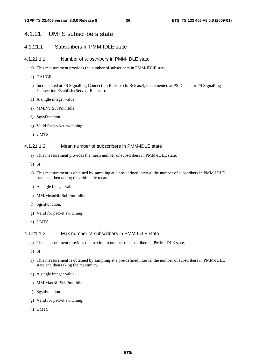# 4.1.21 UMTS subscribers state

# 4.1.21.1 Subscribers in PMM-IDLE state

#### 4.1.21.1.1 Number of subscribers in PMM-IDLE state

- a) This measurement provides the number of subscribers in PMM-IDLE state.
- b) GAUGE.
- c) Incremented at PS Signalling Connection Release (Iu Release), decremented at PS Detach or PS Signalling Connection Establish (Service Request).
- d) A single integer value.
- e) MM.NbrSubPmmIdle.
- f) SgsnFunction.
- g) Valid for packet switching.
- h) UMTS.

#### 4.1.21.1.2 Mean number of subscribers in PMM-IDLE state

- a) This measurement provides the mean number of subscribers in PMM-IDLE state.
- b) SI.
- c) This measurement is obtained by sampling at a pre-defined interval the number of subscribers in PMM-IDLE state and then taking the arithmetic mean.
- d) A single integer value.
- e) MM.MeanNbrSubPmmIdle.
- f) SgsnFunction.
- g) Valid for packet switching.
- h) UMTS.

### 4.1.21.1.3 Max number of subscribers in PMM-IDLE state

- a) This measurement provides the maximum number of subscribers in PMM-IDLE state.
- b) SI.
- c) This measurement is obtained by sampling at a pre-defined interval the number of subscribers in PMM-IDLE state and then taking the maximum.
- d) A single integer value.
- e) MM.MaxNbrSubPmmIdle.
- f) SgsnFunction.
- g) Valid for packet switching.
- h) UMTS.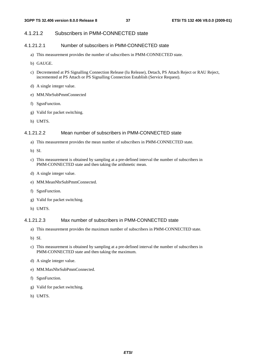### 4.1.21.2 Subscribers in PMM-CONNECTED state

#### 4.1.21.2.1 Number of subscribers in PMM-CONNECTED state

- a) This measurement provides the number of subscribers in PMM-CONNECTED state.
- b) GAUGE.
- c) Decremented at PS Signalling Connection Release (Iu Release), Detach, PS Attach Reject or RAU Reject, incremented at PS Attach or PS Signalling Connection Establish (Service Request).
- d) A single integer value.
- e) MM.NbrSubPmmConnected
- f) SgsnFunction.
- g) Valid for packet switching.
- h) UMTS.

#### 4.1.21.2.2 Mean number of subscribers in PMM-CONNECTED state

- a) This measurement provides the mean number of subscribers in PMM-CONNECTED state.
- b) SI.
- c) This measurement is obtained by sampling at a pre-defined interval the number of subscribers in PMM-CONNECTED state and then taking the arithmetic mean.
- d) A single integer value.
- e) MM.MeanNbrSubPmmConnected.
- f) SgsnFunction.
- g) Valid for packet switching.
- h) UMTS.

# 4.1.21.2.3 Max number of subscribers in PMM-CONNECTED state

- a) This measurement provides the maximum number of subscribers in PMM-CONNECTED state.
- b) SI.
- c) This measurement is obtained by sampling at a pre-defined interval the number of subscribers in PMM-CONNECTED state and then taking the maximum.
- d) A single integer value.
- e) MM.MaxNbrSubPmmConnected.
- f) SgsnFunction.
- g) Valid for packet switching.
- h) UMTS.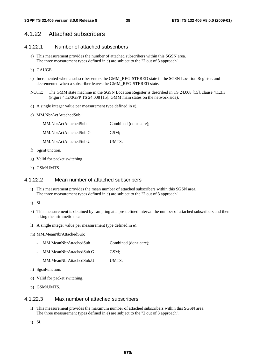# 4.1.22 Attached subscribers

### 4.1.22.1 Number of attached subscribers

- a) This measurement provides the number of attached subscribers within this SGSN area. The three measurement types defined in e) are subject to the "2 out of 3 approach".
- b) GAUGE.
- c) Incremented when a subscriber enters the GMM\_REGISTERED state in the SGSN Location Register, and decremented when a subscriber leaves the GMM\_REGISTERED state.
- NOTE: The GMM state machine in the SGSN Location Register is described in TS 24.008 [15], clause 4.1.3.3 (Figure 4.1c/3GPP TS 24.008 [15]: GMM main states on the network side).
- d) A single integer value per measurement type defined in e).
- e) MM.NbrActAttachedSub:
	- MM.NbrActAttachedSub Combined (don't care);
	- MM.NbrActAttachedSub.G GSM;
	- MM.NbrActAttachedSub.U UMTS.
- f) SgsnFunction.
- g) Valid for packet switching.
- h) GSM/UMTS.

#### 4.1.22.2 Mean number of attached subscribers

- i) This measurement provides the mean number of attached subscribers within this SGSN area. The three measurement types defined in e) are subject to the "2 out of 3 approach".
- j) SI.
- k) This measurement is obtained by sampling at a pre-defined interval the number of attached subscribers and then taking the arithmetic mean.
- l) A single integer value per measurement type defined in e).

m) MM.MeanNbrAttachedSub:

- MM.MeanNbrAttachedSub Combined (don't care);
- MM.MeanNbrAttachedSub.G GSM;
- MM.MeanNbrAttachedSub.U UMTS.
- n) SgsnFunction.
- o) Valid for packet switching.
- p) GSM/UMTS.

### 4.1.22.3 Max number of attached subscribers

i) This measurement provides the maximum number of attached subscribers within this SGSN area. The three measurement types defined in e) are subject to the "2 out of 3 approach".

j) SI.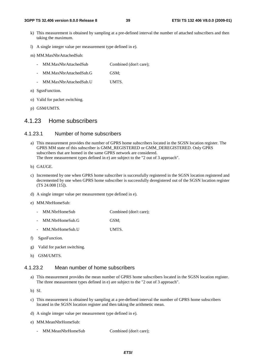- k) This measurement is obtained by sampling at a pre-defined interval the number of attached subscribers and then taking the maximum.
- l) A single integer value per measurement type defined in e).

m) MM.MaxNbrAttachedSub:

- MM.MaxNbrAttachedSub Combined (don't care);
- MM.MaxNbrAttachedSub.G GSM;
- MM.MaxNbrAttachedSub.U UMTS.
- n) SgsnFunction.
- o) Valid for packet switching.
- p) GSM/UMTS.

# 4.1.23 Home subscribers

#### 4.1.23.1 Number of home subscribers

- a) This measurement provides the number of GPRS home subscribers located in the SGSN location register. The GPRS MM state of this subscriber is GMM\_REGISTERED or GMM\_DEREGISTERED. Only GPRS subscribers that are homed in the same GPRS network are considered. The three measurement types defined in e) are subject to the "2 out of 3 approach".
- b) GAUGE.
- c) Incremented by one when GPRS home subscriber is successfully registered in the SGSN location registered and decremented by one when GPRS home subscriber is successfully deregistered out of the SGSN location register (TS 24.008 [15]).
- d) A single integer value per measurement type defined in e).
- e) MM.NbrHomeSub:
	- MM.NbrHomeSub Combined (don't care);
	- MM.NbrHomeSub.G GSM;
	- MM.NbrHomeSub.U UMTS.
- f) SgsnFunction.
- g) Valid for packet switching.
- h) GSM/UMTS.

### 4.1.23.2 Mean number of home subscribers

a) This measurement provides the mean number of GPRS home subscribers located in the SGSN location register. The three measurement types defined in e) are subject to the "2 out of 3 approach".

b) SI.

- c) This measurement is obtained by sampling at a pre-defined interval the number of GPRS home subscribers located in the SGSN location register and then taking the arithmetic mean.
- d) A single integer value per measurement type defined in e).
- e) MM.MeanNbrHomeSub:
	- MM.MeanNbrHomeSub Combined (don't care);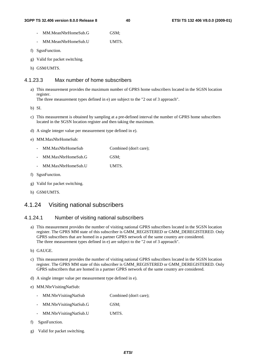- MM.MeanNbrHomeSub.G GSM:
- MM.MeanNbrHomeSub.U UMTS.
- f) SgsnFunction.
- g) Valid for packet switching.
- h) GSM/UMTS.

# 4.1.23.3 Max number of home subscribers

a) This measurement provides the maximum number of GPRS home subscribers located in the SGSN location register.

The three measurement types defined in e) are subject to the "2 out of 3 approach".

b) SI.

- c) This measurement is obtained by sampling at a pre-defined interval the number of GPRS home subscribers located in the SGSN location register and then taking the maximum.
- d) A single integer value per measurement type defined in e).
- e) MM.MaxNbrHomeSub:
	- MM.MaxNbrHomeSub Combined (don't care); - MM.MaxNbrHomeSub.G GSM;
	- MM.MaxNbrHomeSub.U UMTS.
- f) SgsnFunction.
- g) Valid for packet switching.
- h) GSM/UMTS.

# 4.1.24 Visiting national subscribers

### 4.1.24.1 Number of visiting national subscribers

- a) This measurement provides the number of visiting national GPRS subscribers located in the SGSN location register. The GPRS MM state of this subscriber is GMM\_REGISTERED or GMM\_DEREGISTERED. Only GPRS subscribers that are homed in a partner GPRS network of the same country are considered. The three measurement types defined in e) are subject to the "2 out of 3 approach".
- b) GAUGE.
- c) This measurement provides the number of visiting national GPRS subscribers located in the SGSN location register. The GPRS MM state of this subscriber is GMM\_REGISTERED or GMM\_DEREGISTERED. Only GPRS subscribers that are homed in a partner GPRS network of the same country are considered.
- d) A single integer value per measurement type defined in e).
- e) MM.NbrVisitingNatSub:
	- MM.NbrVisitingNatSub Combined (don't care);
	- MM.NbrVisitingNatSub.G GSM;
	- MM.NbrVisitingNatSub.U UMTS.
- f) SgsnFunction.
- g) Valid for packet switching.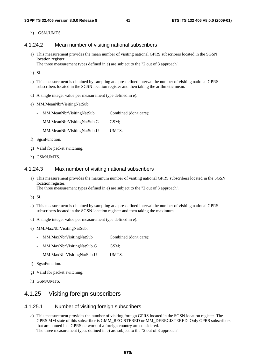h) GSM/UMTS.

#### 4.1.24.2 Mean number of visiting national subscribers

a) This measurement provides the mean number of visiting national GPRS subscribers located in the SGSN location register.

The three measurement types defined in e) are subject to the "2 out of 3 approach".

b) SI.

- c) This measurement is obtained by sampling at a pre-defined interval the number of visiting national GPRS subscribers located in the SGSN location register and then taking the arithmetic mean.
- d) A single integer value per measurement type defined in e).
- e) MM.MeanNbrVisitingNatSub:
	- MM.MeanNbrVisitingNatSub Combined (don't care);
	- MM.MeanNbrVisitingNatSub.G GSM;
	- MM.MeanNbrVisitingNatSub.U UMTS.
- f) SgsnFunction.
- g) Valid for packet switching.
- h) GSM/UMTS.

#### 4.1.24.3 Max number of visiting national subscribers

a) This measurement provides the maximum number of visiting national GPRS subscribers located in the SGSN location register.

The three measurement types defined in e) are subject to the "2 out of 3 approach".

- b) SI.
- c) This measurement is obtained by sampling at a pre-defined interval the number of visiting national GPRS subscribers located in the SGSN location register and then taking the maximum.
- d) A single integer value per measurement type defined in e).
- e) MM.MaxNbrVisitingNatSub:
	- MM.MaxNbrVisitingNatSub Combined (don't care);
	- MM.MaxNbrVisitingNatSub.G GSM;
	- MM.MaxNbrVisitingNatSub.U UMTS.
- f) SgsnFunction.
- g) Valid for packet switching.
- h) GSM/UMTS.

# 4.1.25 Visiting foreign subscribers

#### 4.1.25.1 Number of visiting foreign subscribers

a) This measurement provides the number of visiting foreign GPRS located in the SGSN location register. The GPRS MM state of this subscriber is GMM\_REGISTERED or MM\_DEREGISTERED. Only GPRS subscribers that are homed in a GPRS network of a foreign country are considered. The three measurement types defined in e) are subject to the "2 out of 3 approach".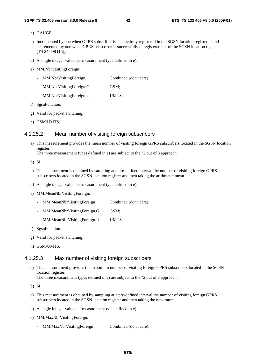- b) GAUGE.
- c) Incremented by one when GPRS subscriber is successfully registered in the SGSN location registered and decremented by one when GPRS subscriber is successfully deregistered out of the SGSN location register (TS 24.008 [15]).
- d) A single integer value per measurement type defined in e).
- e) MM.NbrVisitingForeign:
	- MM.NbrVisitingForeign Combined (don't care);
	- MM.NbrVisitingForeign.G GSM;
	- MM.NbrVisitingForeign.U UMTS.
- f) SgsnFunction.
- g) Valid for packet switching.
- h) GSM/UMTS.

#### 4.1.25.2 Mean number of visiting foreign subscribers

a) This measurement provides the mean number of visiting foreign GPRS subscribers located in the SGSN location register.

The three measurement types defined in e) are subject to the "2 out of 3 approach".

b) SI.

- c) This measurement is obtained by sampling at a pre-defined interval the number of visiting foreign GPRS subscribers located in the SGSN location register and then taking the arithmetic mean.
- d) A single integer value per measurement type defined in e).
- e) MM.MeanNbrVisitingForeign:
	- MM.MeanNbrVisitingForeign Combined (don't care);
	- MM.MeanNbrVisitingForeign.G GSM;
	- MM.MeanNbrVisitingForeign.U UMTS.
- f) SgsnFunction.
- g) Valid for packet switching.
- h) GSM/UMTS.

#### 4.1.25.3 Max number of visiting foreign subscribers

a) This measurement provides the maximum number of visiting foreign GPRS subscribers located in the SGSN location register.

The three measurement types defined in e) are subject to the "2 out of 3 approach".

- c) This measurement is obtained by sampling at a pre-defined interval the number of visiting foreign GPRS subscribers located in the SGSN location register and then taking the maximum.
- d) A single integer value per measurement type defined in e).
- e) MM.MaxNbrVisitingForeign:
	- MM.MaxNbrVisitingForeign Combined (don't care);

b) SI.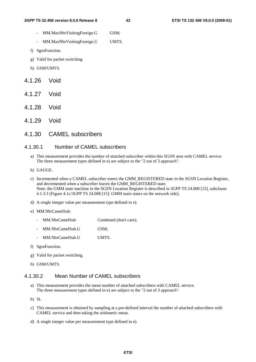- MM.MaxNbrVisitingForeign.G GSM;
- MM.MaxNbrVisitingForeign.U UMTS.
- f) SgsnFunction.
- g) Valid for packet switching.
- h) GSM/UMTS.
- 4.1.26 Void
- 4.1.27 Void
- 4.1.28 Void
- 4.1.29 Void
- 4.1.30 CAMEL subscribers

#### 4.1.30.1 Number of CAMEL subscribers

- a) This measurement provides the number of attached subscriber within this SGSN area with CAMEL service. The three measurement types defined in e) are subject to the "2 out of 3 approach".
- b) GAUGE.
- c) Incremented when a CAMEL subscriber enters the GMM\_REGISTERED state in the SGSN Location Register, and decremented when a subscriber leaves the GMM\_REGISTERED state. Note: the GMM state machine in the SGSN Location Register is described in 3GPP TS 24.008 [15], subclause 4.1.3.3 (Figure 4.1c/3GPP TS 24.008 [15]: GMM main states on the network side).
- d) A single integer value per measurement type defined in e).
- e) MM.NbrCamelSub:
	- MM.NbrCamelSub Combined (don't care);
	- MM.NbrCamelSub.G GSM;
	- MM.NbrCamelSub.U UMTS.
- f) SgsnFunction.
- g) Valid for packet switching.
- h) GSM/UMTS.

# 4.1.30.2 Mean Number of CAMEL subscribers

- a) This measurement provides the mean number of attached subscribers with CAMEL service. The three measurement types defined in e) are subject to the "2 out of 3 approach".
- b) SI.
- c) This measurement is obtained by sampling at a pre-defined interval the number of attached subscribers with CAMEL service and then taking the arithmetic mean.
- d) A single integer value per measurement type defined in e).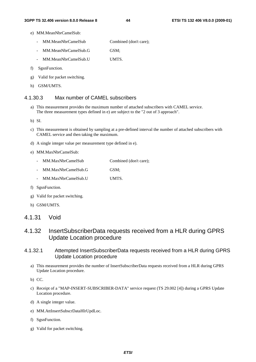- e) MM.MeanNbrCamelSub:
	- MM.MeanNbrCamelSub Combined (don't care);
	- MM.MeanNbrCamelSub.G GSM;
	- MM.MeanNbrCamelSub.U UMTS.
- f) SgsnFunction.
- g) Valid for packet switching.
- h) GSM/UMTS.

# 4.1.30.3 Max number of CAMEL subscribers

a) This measurement provides the maximum number of attached subscribers with CAMEL service. The three measurement types defined in e) are subject to the "2 out of 3 approach".

b) SI.

- c) This measurement is obtained by sampling at a pre-defined interval the number of attached subscribers with CAMEL service and then taking the maximum.
- d) A single integer value per measurement type defined in e).
- e) MM.MaxNbrCamelSub:

|  | MM.MaxNbrCamelSub |  | Combined (don't care); |
|--|-------------------|--|------------------------|
|--|-------------------|--|------------------------|

- MM.MaxNbrCamelSub.G GSM;
- MM.MaxNbrCamelSub.U UMTS.
- f) SgsnFunction.
- g) Valid for packet switching.
- h) GSM/UMTS.

# 4.1.31 Void

# 4.1.32 InsertSubscriberData requests received from a HLR during GPRS Update Location procedure

# 4.1.32.1 Attempted InsertSubscriberData requests received from a HLR during GPRS Update Location procedure

a) This measurement provides the number of InsertSubscriberData requests received from a HLR during GPRS Update Location procedure.

b) CC.

- c) Receipt of a "MAP-INSERT-SUBSCRIBER-DATA" service request (TS 29.002 [4]) during a GPRS Update Location procedure.
- d) A single integer value.
- e) MM.AttInsertSubscrDataHlrUpdLoc.
- f) SgsnFunction.
- g) Valid for packet switching.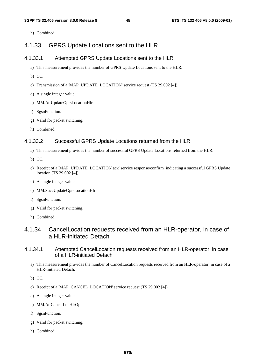h) Combined.

# 4.1.33 GPRS Update Locations sent to the HLR

#### 4.1.33.1 Attempted GPRS Update Locations sent to the HLR

- a) This measurement provides the number of GPRS Update Locations sent to the HLR.
- b) CC.
- c) Transmission of a 'MAP\_UPDATE\_LOCATION' service request (TS 29.002 [4]).
- d) A single integer value.
- e) MM.AttUpdateGprsLocationHlr.
- f) SgsnFunction.
- g) Valid for packet switching.
- h) Combined.

### 4.1.33.2 Successful GPRS Update Locations returned from the HLR

- a) This measurement provides the number of successful GPRS Update Locations returned from the HLR.
- b) CC.
- c) Receipt of a 'MAP\_UPDATE\_LOCATION ack' service response/confirm indicating a successful GPRS Update location (TS 29.002 [4]).
- d) A single integer value.
- e) MM.SuccUpdateGprsLocationHlr.
- f) SgsnFunction.
- g) Valid for packet switching.
- h) Combined.

# 4.1.34 CancelLocation requests received from an HLR-operator, in case of a HLR-initiated Detach

### 4.1.34.1 Attempted CancelLocation requests received from an HLR-operator, in case of a HLR-initiated Detach

- a) This measurement provides the number of CancelLocation requests received from an HLR-operator, in case of a HLR-initiated Detach.
- b) CC.
- c) Receipt of a 'MAP\_CANCEL\_LOCATION' service request (TS 29.002 [4]).
- d) A single integer value.
- e) MM.AttCancelLocHlrOp.
- f) SgsnFunction.
- g) Valid for packet switching.
- h) Combined.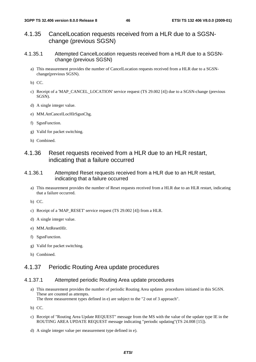- 4.1.35 CancelLocation requests received from a HLR due to a SGSNchange (previous SGSN)
- 4.1.35.1 Attempted CancelLocation requests received from a HLR due to a SGSNchange (previous SGSN)
	- a) This measurement provides the number of CancelLocation requests received from a HLR due to a SGSNchange(previous SGSN).
	- b) CC.
	- c) Receipt of a 'MAP\_CANCEL\_LOCATION' service request (TS 29.002 [4]) due to a SGSN-change (previous SGSN).
	- d) A single integer value.
	- e) MM.AttCancelLocHlrSgsnChg.
	- f) SgsnFunction.
	- g) Valid for packet switching.
	- h) Combined.

# 4.1.36 Reset requests received from a HLR due to an HLR restart, indicating that a failure occurred

- 4.1.36.1 Attempted Reset requests received from a HLR due to an HLR restart, indicating that a failure occurred
	- a) This measurement provides the number of Reset requests received from a HLR due to an HLR restart, indicating that a failure occurred.

b) CC.

- c) Receipt of a 'MAP\_RESET' service request (TS 29.002 [4]) from a HLR.
- d) A single integer value.
- e) MM.AttResetHlr.
- f) SgsnFunction.
- g) Valid for packet switching.
- h) Combined.

# 4.1.37 Periodic Routing Area update procedures

# 4.1.37.1 Attempted periodic Routing Area update procedures

- a) This measurement provides the number of periodic Routing Area updates procedures initiated in this SGSN. These are counted as attempts. The three measurement types defined in e) are subject to the "2 out of 3 approach".
- b) CC.
- c) Receipt of "Routing Area Update REQUEST" message from the MS with the value of the update type IE in the ROUTING AREA UPDATE REQUEST message indicating "periodic updating"(TS 24.008 [15]).
- d) A single integer value per measurement type defined in e).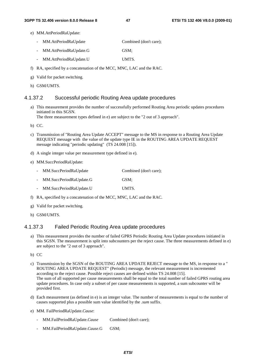- e) MM.AttPeriodRaUpdate:
	- MM.AttPeriodRaUpdate Combined (don't care);
	- MM.AttPeriodRaUpdate.G GSM;
	- MM.AttPeriodRaUpdate.U UMTS.
- f) RA, specified by a concatenation of the MCC, MNC, LAC and the RAC.
- g) Valid for packet switching.
- h) GSM/UMTS.

#### 4.1.37.2 Successful periodic Routing Area update procedures

a) This measurement provides the number of successfully performed Routing Area periodic updates procedures initiated in this SGSN.

The three measurement types defined in e) are subject to the "2 out of 3 approach".

b) CC.

- c) Transmission of "Routing Area Update ACCEPT" message to the MS in response to a Routing Area Update REQUEST message with the value of the update type IE in the ROUTING AREA UPDATE REQUEST message indicating "periodic updating" (TS 24.008 [15]).
- d) A single integer value per measurement type defined in e).
- e) MM.SuccPeriodRaUpdate:
	- MM.SuccPeriodRaUpdate Combined (don't care);
	- MM.SuccPeriodRaUpdate.G GSM;
	- MM.SuccPeriodRaUpdate.U UMTS.
- f) RA, specified by a concatenation of the MCC, MNC, LAC and the RAC.
- g) Valid for packet switching.
- h) GSM/UMTS.

#### 4.1.37.3 Failed Periodic Routing Area update procedures

a) This measurement provides the number of failed GPRS Periodic Routing Area Update procedures initiated in this SGSN. The measurement is split into subcounters per the reject cause. The three measurements defined in e) are subject to the "2 out of 3 approach".

b) CC

- c) Transmission by the SGSN of the ROUTING AREA UPDATE REJECT message to the MS, in response to a " ROUTING AREA UPDATE REQUEST" (Periodic) message, the relevant measurement is incremented according to the reject cause. Possible reject causes are defined within TS 24.008 [15]. The sum of all supported per cause measurements shall be equal to the total number of failed GPRS routing area update procedures. In case only a subset of per cause measurements is supported, a sum subcounter will be provided first.
- d) Each measurement (as defined in e) is an integer value. The number of measurements is equal to the number of causes supported plus a possible sum value identified by the *.sum* suffix.
- e) MM. FailPeriodRaUpdate.*Cause*:
	- MM.FailPeriodRaUpdate.*Cause* Combined (don't care);
	- MM.FailPeriodRaUpdate.*Cause*.G GSM;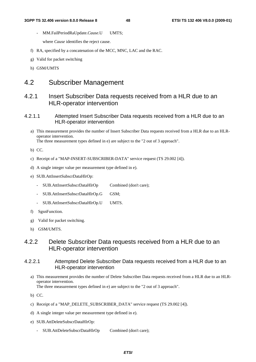- MM.FailPeriodRaUpdate.*Cause*.U UMTS;

where *Cause* identifies the reject cause.

- f) RA, specified by a concatenation of the MCC, MNC, LAC and the RAC.
- g) Valid for packet switching
- h) GSM/UMTS

# 4.2 Subscriber Management

# 4.2.1 Insert Subscriber Data requests received from a HLR due to an HLR-operator intervention

# 4.2.1.1 Attempted Insert Subscriber Data requests received from a HLR due to an HLR-operator intervention

- a) This measurement provides the number of Insert Subscriber Data requests received from a HLR due to an HLRoperator intervention. The three measurement types defined in e) are subject to the "2 out of 3 approach".
- b) CC.
- c) Receipt of a "MAP-INSERT-SUBSCRIBER-DATA" service request (TS 29.002 [4]).
- d) A single integer value per measurement type defined in e).
- e) SUB.AttInsertSubscrDataHlrOp:
	- SUB.AttInsertSubscrDataHlrOp Combined (don't care);
	- SUB.AttInsertSubscrDataHlrOp.G GSM;
	- SUB.AttInsertSubscrDataHlrOp.U UMTS.
- f) SgsnFunction.
- g) Valid for packet switching.
- h) GSM/UMTS.

# 4.2.2 Delete Subscriber Data requests received from a HLR due to an HLR-operator intervention

# 4.2.2.1 Attempted Delete Subscriber Data requests received from a HLR due to an HLR-operator intervention

a) This measurement provides the number of Delete Subscriber Data requests received from a HLR due to an HLRoperator intervention.

The three measurement types defined in e) are subject to the "2 out of 3 approach".

- b) CC.
- c) Receipt of a "MAP\_DELETE\_SUBSCRIBER\_DATA" service request (TS 29.002 [4]).
- d) A single integer value per measurement type defined in e).
- e) SUB.AttDeleteSubscrDataHlrOp:
	- SUB.AttDeleteSubscrDataHlrOp Combined (don't care);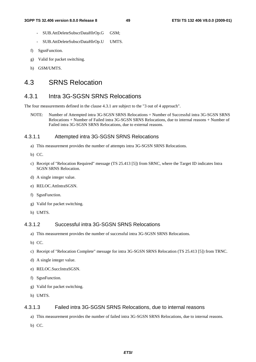- SUB.AttDeleteSubscrDataHlrOp.G GSM;
- SUB.AttDeleteSubscrDataHlrOp.U UMTS.
- f) SgsnFunction.
- g) Valid for packet switching.
- h) GSM/UMTS.

# 4.3 SRNS Relocation

# 4.3.1 Intra 3G-SGSN SRNS Relocations

The four measurements defined in the clause 4.3.1 are subject to the "3 out of 4 approach".

NOTE: Number of Attempted intra 3G-SGSN SRNS Relocations = Number of Successful intra 3G-SGSN SRNS Relocations + Number of Failed intra 3G-SGSN SRNS Relocations, due to internal reasons + Number of Failed intra 3G-SGSN SRNS Relocations, due to external reasons.

### 4.3.1.1 Attempted intra 3G-SGSN SRNS Relocations

- a) This measurement provides the number of attempts intra 3G-SGSN SRNS Relocations.
- b) CC.
- c) Receipt of "Relocation Required" message (TS 25.413 [5]) from SRNC, where the Target ID indicates Intra SGSN SRNS Relocation.
- d) A single integer value.
- e) RELOC.AttIntraSGSN.
- f) SgsnFunction.
- g) Valid for packet switching.
- h) UMTS.

# 4.3.1.2 Successful intra 3G-SGSN SRNS Relocations

- a) This measurement provides the number of successful intra 3G-SGSN SRNS Relocations.
- b) CC.
- c) Receipt of "Relocation Complete" message for intra 3G-SGSN SRNS Relocation (TS 25.413 [5]) from TRNC.
- d) A single integer value.
- e) RELOC.SuccIntraSGSN.
- f) SgsnFunction.
- g) Valid for packet switching.
- h) UMTS.

#### 4.3.1.3 Failed intra 3G-SGSN SRNS Relocations, due to internal reasons

- a) This measurement provides the number of failed intra 3G-SGSN SRNS Relocations, due to internal reasons.
- b) CC.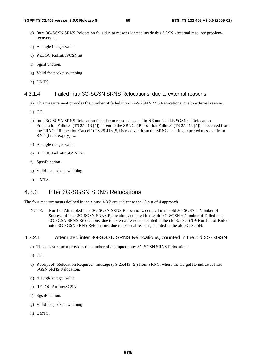- c) Intra 3G-SGSN SRNS Relocation fails due to reasons located inside this SGSN:- internal resource problemrecovery- ...
- d) A single integer value.
- e) RELOC.FailIntraSGSNInt.
- f) SgsnFunction.
- g) Valid for packet switching.
- h) UMTS.

### 4.3.1.4 Failed intra 3G-SGSN SRNS Relocations, due to external reasons

- a) This measurement provides the number of failed intra 3G-SGSN SRNS Relocations, due to external reasons.
- b) CC.
- c) Intra 3G-SGSN SRNS Relocation fails due to reasons located in NE outside this SGSN:- "Relocation Preparation Failure" (TS 25.413 [5]) is sent to the SRNC- "Relocation Failure" (TS 25.413 [5]) is received from the TRNC- "Relocation Cancel" (TS 25.413 [5]) is received from the SRNC- missing expected message from RNC (timer expiry)- ...
- d) A single integer value.
- e) RELOC.FailIntraSGSNExt.
- f) SgsnFunction.
- g) Valid for packet switching.
- h) UMTS.

# 4.3.2 Inter 3G-SGSN SRNS Relocations

The four measurements defined in the clause 4.3.2 are subject to the "3 out of 4 approach".

NOTE: Number Attempted inter 3G-SGSN SRNS Relocations, counted in the old 3G-SGSN = Number of Successful inter 3G-SGSN SRNS Relocations, counted in the old 3G-SGSN + Number of Failed inter 3G-SGSN SRNS Relocations, due to external reasons, counted in the old 3G-SGSN + Number of Failed inter 3G-SGSN SRNS Relocations, due to external reasons, counted in the old 3G-SGSN.

### 4.3.2.1 Attempted inter 3G-SGSN SRNS Relocations, counted in the old 3G-SGSN

- a) This measurement provides the number of attempted inter 3G-SGSN SRNS Relocations.
- b) CC.
- c) Receipt of "Relocation Required" message (TS 25.413 [5]) from SRNC, where the Target ID indicates Inter SGSN SRNS Relocation.
- d) A single integer value.
- e) RELOC.AttInterSGSN.
- f) SgsnFunction.
- g) Valid for packet switching.
- h) UMTS.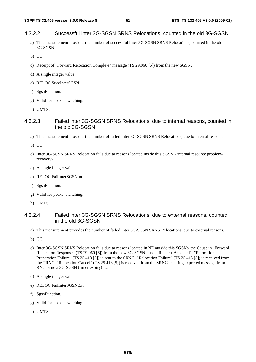# 4.3.2.2 Successful inter 3G-SGSN SRNS Relocations, counted in the old 3G-SGSN

- a) This measurement provides the number of successful Inter 3G-SGSN SRNS Relocations, counted in the old 3G-SGSN.
- b) CC.
- c) Receipt of "Forward Relocation Complete" message (TS 29.060 [6]) from the new SGSN.
- d) A single integer value.
- e) RELOC.SuccInterSGSN.
- f) SgsnFunction.
- g) Valid for packet switching.
- h) UMTS.

### 4.3.2.3 Failed inter 3G-SGSN SRNS Relocations, due to internal reasons, counted in the old 3G-SGSN

- a) This measurement provides the number of failed Inter 3G-SGSN SRNS Relocations, due to internal reasons.
- b) CC.
- c) Inter 3G-SGSN SRNS Relocation fails due to reasons located inside this SGSN:- internal resource problemrecovery- ...
- d) A single integer value.
- e) RELOC.FailInterSGSNInt.
- f) SgsnFunction.
- g) Valid for packet switching.
- h) UMTS.

### 4.3.2.4 Failed inter 3G-SGSN SRNS Relocations, due to external reasons, counted in the old 3G-SGSN

- a) This measurement provides the number of failed Inter 3G-SGSN SRNS Relocations, due to external reasons.
- b) CC.
- c) Inter 3G-SGSN SRNS Relocation fails due to reasons located in NE outside this SGSN:- the Cause in "Forward Relocation Response" (TS 29.060 [6]) from the new 3G-SGSN is not "Request Accepted"- "Relocation Preparation Failure" (TS 25.413 [5]) is sent to the SRNC- "Relocation Failure" (TS 25.413 [5]) is received from the TRNC- "Relocation Cancel" (TS 25.413 [5]) is received from the SRNC- missing expected message from RNC or new 3G-SGSN (timer expiry)- ...
- d) A single integer value.
- e) RELOC.FailInterSGSNExt.
- f) SgsnFunction.
- g) Valid for packet switching.
- h) UMTS.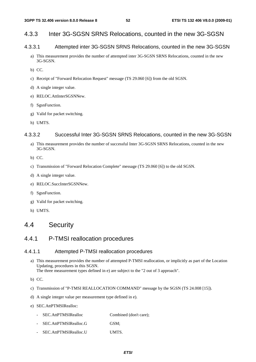# 4.3.3 Inter 3G-SGSN SRNS Relocations, counted in the new 3G-SGSN

# 4.3.3.1 Attempted inter 3G-SGSN SRNS Relocations, counted in the new 3G-SGSN

- a) This measurement provides the number of attempted inter 3G-SGSN SRNS Relocations, counted in the new 3G-SGSN.
- b) CC.
- c) Receipt of "Forward Relocation Request" message (TS 29.060 [6]) from the old SGSN.
- d) A single integer value.
- e) RELOC.AttInterSGSNNew.
- f) SgsnFunction.
- g) Valid for packet switching.
- h) UMTS.

# 4.3.3.2 Successful Inter 3G-SGSN SRNS Relocations, counted in the new 3G-SGSN

- a) This measurement provides the number of successful Inter 3G-SGSN SRNS Relocations, counted in the new 3G-SGSN.
- b) CC.
- c) Transmission of "Forward Relocation Complete" message (TS 29.060 [6]) to the old SGSN.
- d) A single integer value.
- e) RELOC.SuccInterSGSNNew.
- f) SgsnFunction.
- g) Valid for packet switching.
- h) UMTS.

# 4.4 Security

# 4.4.1 P-TMSI reallocation procedures

### 4.4.1.1 Attempted P-TMSI reallocation procedures

- a) This measurement provides the number of attempted P-TMSI reallocation, or implicitly as part of the Location Updating, procedures in this SGSN. The three measurement types defined in e) are subject to the "2 out of 3 approach".
- b) CC.
- c) Transmission of "P-TMSI REALLOCATION COMMAND" message by the SGSN (TS 24.008 [15]).
- d) A single integer value per measurement type defined in e).
- e) SEC.AttPTMSIRealloc:
	- SEC.AttPTMSIRealloc Combined (don't care);
	- SEC.AttPTMSIRealloc.G GSM;
	- SEC.AttPTMSIRealloc.U UMTS.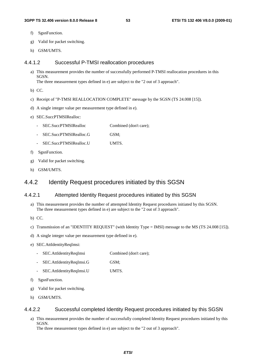- f) SgsnFunction.
- g) Valid for packet switching.
- h) GSM/UMTS.

#### 4.4.1.2 Successful P-TMSI reallocation procedures

- a) This measurement provides the number of successfully performed P-TMSI reallocation procedures in this **SGSN.** The three measurement types defined in e) are subject to the "2 out of 3 approach".
- b) CC.
- c) Receipt of "P-TMSI REALLOCATION COMPLETE" message by the SGSN (TS 24.008 [15]).
- d) A single integer value per measurement type defined in e).
- e) SEC.SuccPTMSIRealloc:
	- SEC.SuccPTMSIRealloc Combined (don't care):
	- SEC.SuccPTMSIRealloc.G GSM;
	- SEC.SuccPTMSIRealloc.U UMTS.
- f) SgsnFunction.
- g) Valid for packet switching.
- h) GSM/UMTS.

# 4.4.2 Identity Request procedures initiated by this SGSN

### 4.4.2.1 Attempted Identity Request procedures initiated by this SGSN

- a) This measurement provides the number of attempted Identity Request procedures initiated by this SGSN. The three measurement types defined in e) are subject to the "2 out of 3 approach".
- b) CC.
- c) Transmission of an "IDENTITY REQUEST" (with Identity Type = IMSI) message to the MS (TS 24.008 [15]).
- d) A single integer value per measurement type defined in e).
- e) SEC.AttIdentityReqImsi:
	- SEC.AttIdentityReqImsi Combined (don't care);
	- SEC.AttIdentityReqImsi.G GSM;
	- SEC.AttIdentityReqImsi.U UMTS.
- f) SgsnFunction.
- g) Valid for packet switching.
- h) GSM/UMTS.

### 4.4.2.2 Successful completed Identity Request procedures initiated by this SGSN

a) This measurement provides the number of successfully completed Identity Request procedures initiated by this SGSN.

The three measurement types defined in e) are subject to the "2 out of 3 approach".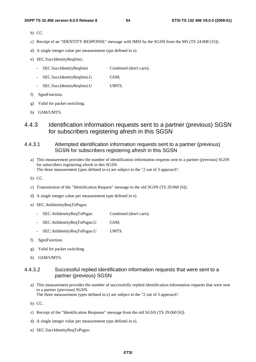- b) CC.
- c) Receipt of an "IDENTITY RESPONSE" message with IMSI by the SGSN from the MS (TS 24.008 [15]).
- d) A single integer value per measurement type defined in e).
- e) SEC.SuccIdentityReqImsi:
	- SEC.SuccIdentityReqImsi Combined (don't care);
	- SEC.SuccIdentityReqImsi.G GSM;
	- SEC.SuccIdentityReqImsi.U UMTS.
- f) SgsnFunction.
- g) Valid for packet switching.
- h) GSM/UMTS.
- 4.4.3 Identification information requests sent to a partner (previous) SGSN for subscribers registering afresh in this SGSN
- 4.4.3.1 Attempted identification information requests sent to a partner (previous) SGSN for subscribers registering afresh in this SGSN
	- a) This measurement provides the number of identification information requests sent to a partner (previous) SGSN for subscribers registering afresh in this SGSN. The three measurement types defined in e) are subject to the "2 out of 3 approach".
	- b) CC.
	- c) Transmission of the "Identification Request" message to the old SGSN (TS 29.060 [6]).
	- d) A single integer value per measurement type defined in e).
	- e) SEC.AttIdentityReqToPsgsn:
		- SEC.AttIdentityReqToPsgsn Combined (don't care);
		- SEC.AttIdentityReqToPsgsn.G GSM;
		- SEC.AttIdentityReqToPsgsn.U UMTS.
	- f) SgsnFunction.
	- g) Valid for packet switching.
	- h) GSM/UMTS.

### 4.4.3.2 Successful replied identification information requests that were sent to a partner (previous) SGSN

a) This measurement provides the number of successfully replied identification information requests that were sent to a partner (previous) SGSN.

The three measurement types defined in e) are subject to the "2 out of 3 approach".

- b) CC.
- c) Receipt of the "Identification Response" message from the old SGSN (TS 29.060 [6]).
- d) A single integer value per measurement type defined in e).
- e) SEC.SuccIdentityReqToPsgsn: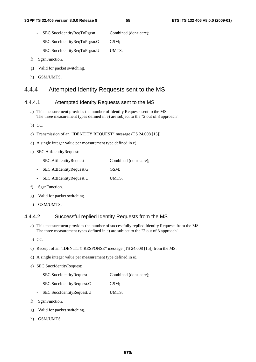- SEC.SuccIdentityReqToPsgsn Combined (don't care);
- SEC.SuccIdentityReqToPsgsn.G GSM;
- SEC.SuccIdentityReqToPsgsn.U UMTS.
- f) SgsnFunction.
- g) Valid for packet switching.
- h) GSM/UMTS.

# 4.4.4 Attempted Identity Requests sent to the MS

### 4.4.4.1 Attempted Identity Requests sent to the MS

- a) This measurement provides the number of Identity Requests sent to the MS. The three measurement types defined in e) are subject to the "2 out of 3 approach".
- b) CC.
- c) Transmission of an "IDENTITY REQUEST" message (TS 24.008 [15]).
- d) A single integer value per measurement type defined in e).
- e) SEC.AttIdentityRequest:
	- SEC.AttIdentityRequest Combined (don't care);
	- SEC.AttIdentityRequest.G GSM;
	- SEC.AttIdentityRequest.U UMTS.
- f) SgsnFunction.
- g) Valid for packet switching.
- h) GSM/UMTS.

### 4.4.4.2 Successful replied Identity Requests from the MS

- a) This measurement provides the number of successfully replied Identity Requests from the MS. The three measurement types defined in e) are subject to the "2 out of 3 approach".
- b) CC.
- c) Receipt of an "IDENTITY RESPONSE" message (TS 24.008 [15]) from the MS.
- d) A single integer value per measurement type defined in e).
- e) SEC.SuccIdentityRequest:
	- SEC.SuccIdentityRequest Combined (don't care);
	- SEC.SuccIdentityRequest.G GSM;
	- SEC.SuccIdentityRequest.U UMTS.
- f) SgsnFunction.
- g) Valid for packet switching.
- h) GSM/UMTS.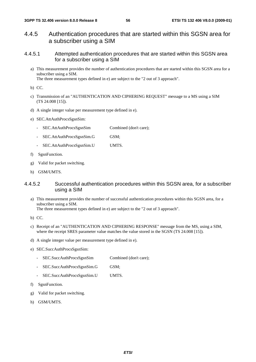- 4.4.5 Authentication procedures that are started within this SGSN area for a subscriber using a SIM
- 4.4.5.1 Attempted authentication procedures that are started within this SGSN area for a subscriber using a SIM
	- a) This measurement provides the number of authentication procedures that are started within this SGSN area for a subscriber using a SIM.

The three measurement types defined in e) are subject to the "2 out of 3 approach".

- b) CC.
- c) Transmission of an "AUTHENTICATION AND CIPHERING REQUEST" message to a MS using a SIM (TS 24.008 [15]).
- d) A single integer value per measurement type defined in e).
- e) SEC.AttAuthProcsSgsnSim:
	- SEC.AttAuthProcsSgsnSim Combined (don't care);
	- SEC.AttAuthProcsSgsnSim.G GSM;
	- SEC.AttAuthProcsSgsnSim.U UMTS.
- f) SgsnFunction.
- g) Valid for packet switching.
- h) GSM/UMTS.

### 4.4.5.2 Successful authentication procedures within this SGSN area, for a subscriber using a SIM

a) This measurement provides the number of successful authentication procedures within this SGSN area, for a subscriber using a SIM.

The three measurement types defined in e) are subject to the "2 out of 3 approach".

- b) CC.
- c) Receipt of an "AUTHENTICATION AND CIPHERING RESPONSE" message from the MS, using a SIM, where the receipt SRES parameter value matches the value stored in the SGSN (TS 24.008 [15]).
- d) A single integer value per measurement type defined in e).
- e) SEC.SuccAuthProcsSgsnSim:
	- SEC.SuccAuthProcsSgsnSim Combined (don't care);
	- SEC.SuccAuthProcsSgsnSim.G GSM;
	- SEC.SuccAuthProcsSgsnSim.U UMTS.
- f) SgsnFunction.
- g) Valid for packet switching.
- h) GSM/UMTS.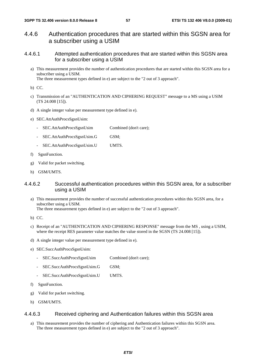- 4.4.6 Authentication procedures that are started within this SGSN area for a subscriber using a USIM
- 4.4.6.1 Attempted authentication procedures that are started within this SGSN area for a subscriber using a USIM
	- a) This measurement provides the number of authentication procedures that are started within this SGSN area for a subscriber using a USIM.

The three measurement types defined in e) are subject to the "2 out of 3 approach".

- b) CC.
- c) Transmission of an "AUTHENTICATION AND CIPHERING REQUEST" message to a MS using a USIM (TS 24.008 [15]).
- d) A single integer value per measurement type defined in e).
- e) SEC.AttAuthProcsSgsnUsim:
	- SEC.AttAuthProcsSgsnUsim Combined (don't care);
	- SEC.AttAuthProcsSgsnUsim.G GSM;
	- SEC.AttAuthProcsSgsnUsim.U UMTS.
- f) SgsnFunction.
- g) Valid for packet switching.
- h) GSM/UMTS.

### 4.4.6.2 Successful authentication procedures within this SGSN area, for a subscriber using a USIM

- a) This measurement provides the number of successful authentication procedures within this SGSN area, for a subscriber using a USIM. The three measurement types defined in e) are subject to the "2 out of 3 approach".
- b) CC.
- c) Receipt of an "AUTHENTICATION AND CIPHERING RESPONSE" message from the MS , using a USIM, where the receipt RES parameter value matches the value stored in the SGSN (TS 24.008 [15]).
- d) A single integer value per measurement type defined in e).
- e) SEC.SuccAuthProcsSgsnUsim:
	- SEC.SuccAuthProcsSgsnUsim Combined (don't care);
	- SEC.SuccAuthProcsSgsnUsim.G GSM;
	- SEC.SuccAuthProcsSgsnUsim.U UMTS.
- f) SgsnFunction.
- g) Valid for packet switching.
- h) GSM/UMTS.

#### 4.4.6.3 Received ciphering and Authentication failures within this SGSN area

a) This measurement provides the number of ciphering and Authentication failures within this SGSN area. The three measurement types defined in e) are subject to the "2 out of 3 approach".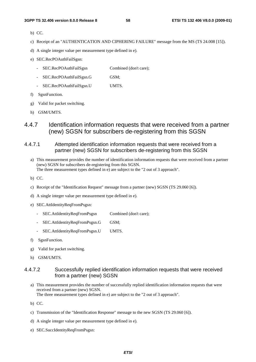- b) CC.
- c) Receipt of an "AUTHENTICATION AND CIPHERING FAILURE" message from the MS (TS 24.008 [15]).
- d) A single integer value per measurement type defined in e).
- e) SEC.RecPOAuthFailSgsn:
	- SEC.RecPOAuthFailSgsn Combined (don't care);
	- SEC.RecPOAuthFailSgsn.G GSM;
	- SEC.RecPOAuthFailSgsn.U UMTS.
- f) SgsnFunction.
- g) Valid for packet switching.
- h) GSM/UMTS.
- 4.4.7 Identification information requests that were received from a partner (new) SGSN for subscribers de-registering from this SGSN
- 4.4.7.1 Attempted identification information requests that were received from a partner (new) SGSN for subscribers de-registering from this SGSN
	- a) This measurement provides the number of identification information requests that were received from a partner (new) SGSN for subscribers de-registering from this SGSN. The three measurement types defined in e) are subject to the "2 out of 3 approach".
	- b) CC.
	- c) Receipt of the "Identification Request" message from a partner (new) SGSN (TS 29.060 [6]).
	- d) A single integer value per measurement type defined in e).
	- e) SEC.AttIdentityReqFromPsgsn:
		- SEC.AttIdentityReqFromPsgsn Combined (don't care);
		- SEC.AttIdentityReqFromPsgsn.G GSM;
		- SEC.AttIdentityReqFromPsgsn.U UMTS.
	- f) SgsnFunction.
	- g) Valid for packet switching.
	- h) GSM/UMTS.

### 4.4.7.2 Successfully replied identification information requests that were received from a partner (new) SGSN

a) This measurement provides the number of successfully replied identification information requests that were received from a partner (new) SGSN. The three measurement types defined in e) are subject to the "2 out of 3 approach".

- b) CC.
- c) Transmission of the "Identification Response" message to the new SGSN (TS 29.060 [6]).
- d) A single integer value per measurement type defined in e).
- e) SEC.SuccIdentityReqFromPsgsn: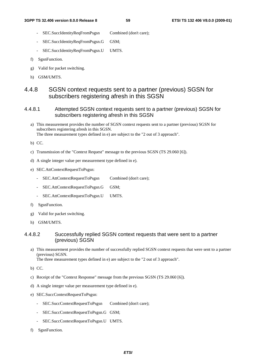- SEC.SuccIdentityReqFromPsgsn Combined (don't care);
- SEC.SuccIdentityReqFromPsgsn.G GSM;
- SEC.SuccIdentityReqFromPsgsn.U UMTS.
- f) SgsnFunction.
- g) Valid for packet switching.
- h) GSM/UMTS.

# 4.4.8 SGSN context requests sent to a partner (previous) SGSN for subscribers registering afresh in this SGSN

## 4.4.8.1 Attempted SGSN context requests sent to a partner (previous) SGSN for subscribers registering afresh in this SGSN

- a) This measurement provides the number of SGSN context requests sent to a partner (previous) SGSN for subscribers registering afresh in this SGSN. The three measurement types defined in e) are subject to the "2 out of 3 approach".
- b) CC.
- c) Transmission of the "Context Request" message to the previous SGSN (TS 29.060 [6]).
- d) A single integer value per measurement type defined in e).
- e) SEC.AttContextRequestToPsgsn:
	- SEC.AttContextRequestToPsgsn Combined (don't care);
	- SEC.AttContextRequestToPsgsn.G GSM;
	- SEC.AttContextRequestToPsgsn.U UMTS.
- f) SgsnFunction.
- g) Valid for packet switching.
- h) GSM/UMTS.

# 4.4.8.2 Successfully replied SGSN context requests that were sent to a partner (previous) SGSN

- a) This measurement provides the number of successfully replied SGSN context requests that were sent to a partner (previous) SGSN. The three measurement types defined in e) are subject to the "2 out of 3 approach".
- b) CC.
- c) Receipt of the "Context Response" message from the previous SGSN (TS 29.060 [6]).
- d) A single integer value per measurement type defined in e).
- e) SEC.SuccContextRequestToPsgsn:
	- SEC.SuccContextRequestToPsgsn Combined (don't care);
	- SEC.SuccContextRequestToPsgsn.G GSM;
	- SEC.SuccContextRequestToPsgsn.U UMTS.
- f) SgsnFunction.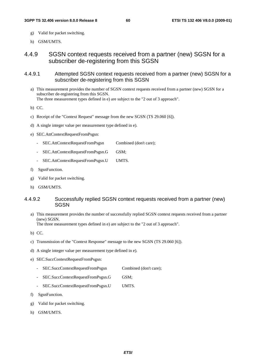- g) Valid for packet switching.
- h) GSM/UMTS.

4.4.9 SGSN context requests received from a partner (new) SGSN for a subscriber de-registering from this SGSN

- 4.4.9.1 Attempted SGSN context requests received from a partner (new) SGSN for a subscriber de-registering from this SGSN
	- a) This measurement provides the number of SGSN context requests received from a partner (new) SGSN for a subscriber de-registering from this SGSN. The three measurement types defined in e) are subject to the "2 out of 3 approach".

b) CC.

- c) Receipt of the "Context Request" message from the new SGSN (TS 29.060 [6]).
- d) A single integer value per measurement type defined in e).
- e) SEC.AttContextRequestFromPsgsn:
	- SEC.AttContextRequestFromPsgsn Combined (don't care);
	- SEC.AttContextRequestFromPsgsn.G GSM;
	- SEC.AttContextRequestFromPsgsn.U UMTS.
- f) SgsnFunction.
- g) Valid for packet switching.
- h) GSM/UMTS.

### 4.4.9.2 Successfully replied SGSN context requests received from a partner (new) **SGSN**

a) This measurement provides the number of successfully replied SGSN context requests received from a partner (new) SGSN.

The three measurement types defined in e) are subject to the "2 out of 3 approach".

- b) CC.
- c) Transmission of the "Context Response" message to the new SGSN (TS 29.060 [6]).
- d) A single integer value per measurement type defined in e).
- e) SEC.SuccContextRequestFromPsgsn:
	- SEC.SuccContextRequestFromPsgsn Combined (don't care);
	- SEC.SuccContextRequestFromPsgsn.G GSM;
	- SEC.SuccContextRequestFromPsgsn.U UMTS.
- f) SgsnFunction.
- g) Valid for packet switching.
- h) GSM/UMTS.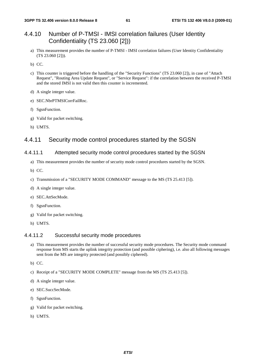# 4.4.10 Number of P-TMSI - IMSI correlation failures (User Identity Confidentiality (TS 23.060 [2]))

a) This measurement provides the number of P-TMSI - IMSI correlation failures (User Identity Confidentiality (TS 23.060 [2])).

b) CC.

- c) This counter is triggered before the handling of the "Security Functions" (TS 23.060 [2]), in case of "Attach Request", "Routing Area Update Request", or "Service Request": if the correlation between the received P-TMSI and the stored IMSI is not valid then this counter is incremented.
- d) A single integer value.
- e) SEC.NbrPTMSICorrFailRnc.
- f) SgsnFunction.
- g) Valid for packet switching.
- h) UMTS.

# 4.4.11 Security mode control procedures started by the SGSN

#### 4.4.11.1 Attempted security mode control procedures started by the SGSN

- a) This measurement provides the number of security mode control procedures started by the SGSN.
- b) CC.
- c) Transmission of a "SECURITY MODE COMMAND" message to the MS (TS 25.413 [5]).
- d) A single integer value.
- e) SEC.AttSecMode.
- f) SgsnFunction.
- g) Valid for packet switching.
- h) UMTS.

#### 4.4.11.2 Successful security mode procedures

- a) This measurement provides the number of successful security mode procedures. The Security mode command response from MS starts the uplink integrity protection (and possible ciphering), i.e. also all following messages sent from the MS are integrity protected (and possibly ciphered).
- b) CC.
- c) Receipt of a "SECURITY MODE COMPLETE" message from the MS (TS 25.413 [5]).
- d) A single integer value.
- e) SEC.SuccSecMode.
- f) SgsnFunction.
- g) Valid for packet switching.
- h) UMTS.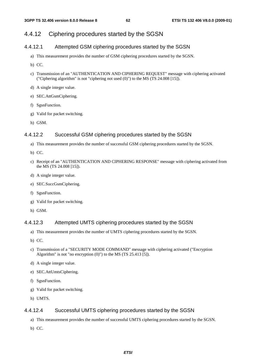# 4.4.12 Ciphering procedures started by the SGSN

### 4.4.12.1 Attempted GSM ciphering procedures started by the SGSN

- a) This measurement provides the number of GSM ciphering procedures started by the SGSN.
- b) CC.
- c) Transmission of an "AUTHENTICATION AND CIPHERING REQUEST" message with ciphering activated ("Ciphering algorithm" is not "ciphering not used (0)") to the MS (TS 24.008 [15]).
- d) A single integer value.
- e) SEC.AttGsmCiphering.
- f) SgsnFunction.
- g) Valid for packet switching.
- h) GSM.

### 4.4.12.2 Successful GSM ciphering procedures started by the SGSN

- a) This measurement provides the number of successful GSM ciphering procedures started by the SGSN.
- b) CC.
- c) Receipt of an "AUTHENTICATION AND CIPHERING RESPONSE" message with ciphering activated from the MS (TS 24.008 [15]).
- d) A single integer value.
- e) SEC.SuccGsmCiphering.
- f) SgsnFunction.
- g) Valid for packet switching.
- h) GSM.

### 4.4.12.3 Attempted UMTS ciphering procedures started by the SGSN

- a) This measurement provides the number of UMTS ciphering procedures started by the SGSN.
- b) CC.
- c) Transmission of a "SECURITY MODE COMMAND" message with ciphering activated ("Encryption Algorithm" is not "no encryption  $(0)$ ") to the MS (TS 25.413 [5]).
- d) A single integer value.
- e) SEC.AttUmtsCiphering.
- f) SgsnFunction.
- g) Valid for packet switching.
- h) UMTS.

### 4.4.12.4 Successful UMTS ciphering procedures started by the SGSN

- a) This measurement provides the number of successful UMTS ciphering procedures started by the SGSN.
- b) CC.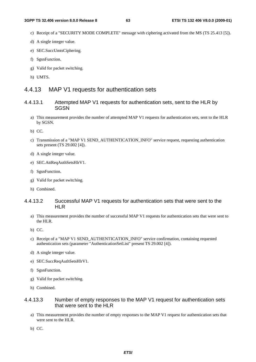- c) Receipt of a "SECURITY MODE COMPLETE" message with ciphering activated from the MS (TS 25.413 [5]).
- d) A single integer value.
- e) SEC.SuccUmtsCiphering.
- f) SgsnFunction.
- g) Valid for packet switching.
- h) UMTS.

# 4.4.13 MAP V1 requests for authentication sets

### 4.4.13.1 Attempted MAP V1 requests for authentication sets, sent to the HLR by **SGSN**

- a) This measurement provides the number of attempted MAP V1 requests for authentication sets, sent to the HLR by SGSN.
- b) CC.
- c) Transmission of a "MAP V1 SEND\_AUTHENTICATION\_INFO" service request, requesting authentication sets present (TS 29.002 [4]).
- d) A single integer value.
- e) SEC.AttReqAuthSetsHlrV1.
- f) SgsnFunction.
- g) Valid for packet switching.
- h) Combined.

### 4.4.13.2 Successful MAP V1 requests for authentication sets that were sent to the HLR

- a) This measurement provides the number of successful MAP V1 requests for authentication sets that were sent to the HLR.
- b) CC.
- c) Receipt of a "MAP V1 SEND\_AUTHENTICATION\_INFO" service confirmation, containing requested authentication sets (parameter "AuthenticationSetList" present TS 29.002 [4]).
- d) A single integer value.
- e) SEC.SuccReqAuthSetsHlrV1.
- f) SgsnFunction.
- g) Valid for packet switching.
- h) Combined.

### 4.4.13.3 Number of empty responses to the MAP V1 request for authentication sets that were sent to the HLR

- a) This measurement provides the number of empty responses to the MAP V1 request for authentication sets that were sent to the HLR.
- b) CC.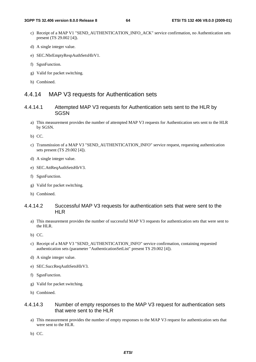- c) Receipt of a MAP V1 "SEND\_AUTHENTICATION\_INFO\_ACK" service confirmation, no Authentication sets present (TS 29.002 [4]).
- d) A single integer value.
- e) SEC.NbrEmptyRespAuthSetsHlrV1.
- f) SgsnFunction.
- g) Valid for packet switching.
- h) Combined.

# 4.4.14 MAP V3 requests for Authentication sets

- 4.4.14.1 Attempted MAP V3 requests for Authentication sets sent to the HLR by SGSN
	- a) This measurement provides the number of attempted MAP V3 requests for Authentication sets sent to the HLR by SGSN.
	- b) CC.
	- c) Transmission of a MAP V3 "SEND\_AUTHENTICATION\_INFO" service request, requesting authentication sets present (TS 29.002 [4]).
	- d) A single integer value.
	- e) SEC.AttReqAuthSetsHlrV3.
	- f) SgsnFunction.
	- g) Valid for packet switching.
	- h) Combined.

## 4.4.14.2 Successful MAP V3 requests for authentication sets that were sent to the HLR

- a) This measurement provides the number of successful MAP V3 requests for authentication sets that were sent to the HLR.
- b) CC.
- c) Receipt of a MAP V3 "SEND\_AUTHENTICATION\_INFO" service confirmation, containing requested authentication sets (parameter "AuthenticationSetList" present TS 29.002 [4]).
- d) A single integer value.
- e) SEC.SuccReqAuthSetsHlrV3.
- f) SgsnFunction.
- g) Valid for packet switching.
- h) Combined.

# 4.4.14.3 Number of empty responses to the MAP V3 request for authentication sets that were sent to the HLR

- a) This measurement provides the number of empty responses to the MAP V3 request for authentication sets that were sent to the HLR.
- b) CC.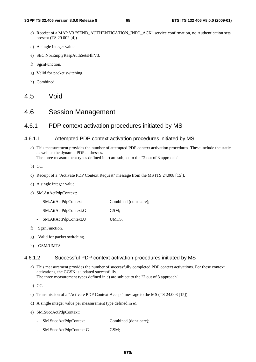- c) Receipt of a MAP V3 "SEND\_AUTHENTICATION\_INFO\_ACK" service confirmation, no Authentication sets present (TS 29.002 [4]).
- d) A single integer value.
- e) SEC.NbrEmptyRespAuthSetsHlrV3.
- f) SgsnFunction.
- g) Valid for packet switching.
- h) Combined.
- 4.5 Void

# 4.6 Session Management

# 4.6.1 PDP context activation procedures initiated by MS

### 4.6.1.1 Attempted PDP context activation procedures initiated by MS

a) This measurement provides the number of attempted PDP context activation procedures. These include the static as well as the dynamic PDP addresses.

The three measurement types defined in e) are subject to the "2 out of 3 approach".

- b) CC.
- c) Receipt of a "Activate PDP Context Request" message from the MS (TS 24.008 [15]).
- d) A single integer value.
- e) SM.AttActPdpContext:
	- SM.AttActPdpContext Combined (don't care);
	- SM.AttActPdpContext.G GSM;
	- SM.AttActPdpContext.U UMTS.
- f) SgsnFunction.
- g) Valid for packet switching.
- h) GSM/UMTS.

## 4.6.1.2 Successful PDP context activation procedures initiated by MS

a) This measurement provides the number of successfully completed PDP context activations. For these context activations, the GGSN is updated successfully. The three measurement types defined in e) are subject to the "2 out of 3 approach".

b) CC.

- c) Transmission of a "Activate PDP Context Accept" message to the MS (TS 24.008 [15]).
- d) A single integer value per measurement type defined in e).
- e) SM.SuccActPdpContext:
	- SM.SuccActPdpContext Combined (don't care);
	- SM.SuccActPdpContext.G GSM;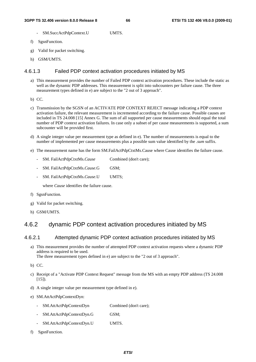- SM.SuccActPdpContext.U UMTS.
- f) SgsnFunction.
- g) Valid for packet switching.
- h) GSM/UMTS.

# 4.6.1.3 Failed PDP context activation procedures initiated by MS

- a) This measurement provides the number of Failed PDP context activation procedures. These include the static as well as the dynamic PDP addresses. This measurement is split into subcounters per failure cause. The three measurement types defined in e) are subject to the "2 out of 3 approach".
- b) CC.
- c) Transmission by the SGSN of an ACTIVATE PDP CONTEXT REJECT message indicating a PDP context activation failure, the relevant measurement is incremented according to the failure cause. Possible causes are included in TS 24.008 [15] Annex G. The sum of all supported per cause measurements should equal the total number of PDP context activation failures. In case only a subset of per cause measurements is supported, a sum subcounter will be provided first.
- d) A single integer value per measurement type as defined in e). The number of measurements is equal to the number of implemented per cause measurements plus a possible sum value identified by the *.sum* suffix.
- e) The measurement name has the form SM.FailActPdpCtxtMs.Cause where Cause identifies the failure cause.
	- SM. FailActPdpCtxtMs.*Cause* Combined (don't care);
	- SM. FailActPdpCtxtMs.*Cause*.G GSM;
	- SM. FailActPdpCtxtMs.*Cause*.U UMTS;

where *Cause* identifies the failure cause.

- f) SgsnFunction.
- g) Valid for packet switching.
- h) GSM/UMTS.

# 4.6.2 dynamic PDP context activation procedures initiated by MS

### 4.6.2.1 Attempted dynamic PDP context activation procedures initiated by MS

- a) This measurement provides the number of attempted PDP context activation requests where a dynamic PDP address is required to be used. The three measurement types defined in e) are subject to the "2 out of 3 approach".
- b) CC.
- c) Receipt of a "Activate PDP Context Request" message from the MS with an empty PDP address (TS 24.008  $[15]$ ).
- d) A single integer value per measurement type defined in e).
- e) SM.AttActPdpContextDyn:
	- SM.AttActPdpContextDyn Combined (don't care);
	- SM.AttActPdpContextDyn.G GSM;
	- SM.AttActPdpContextDyn.U UMTS.
- f) SgsnFunction.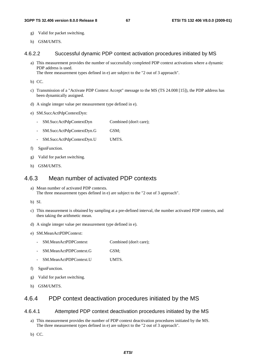- g) Valid for packet switching.
- h) GSM/UMTS.

### 4.6.2.2 Successful dynamic PDP context activation procedures initiated by MS

a) This measurement provides the number of successfully completed PDP context activations where a dynamic PDP address is used. The three measurement types defined in e) are subject to the "2 out of 3 approach".

b) CC.

- c) Transmission of a "Activate PDP Context Accept" message to the MS (TS 24.008 [15]), the PDP address has been dynamically assigned.
- d) A single integer value per measurement type defined in e).
- e) SM.SuccActPdpContextDyn:
	- SM.SuccActPdpContextDyn Combined (don't care);
	- SM.SuccActPdpContextDyn.G GSM;
	- SM.SuccActPdpContextDyn.U UMTS.
- f) SgsnFunction.
- g) Valid for packet switching.
- h) GSM/UMTS.

# 4.6.3 Mean number of activated PDP contexts

- a) Mean number of activated PDP contexts. The three measurement types defined in e) are subject to the "2 out of 3 approach".
- b) SI.
- c) This measurement is obtained by sampling at a pre-defined interval, the number activated PDP contexts, and then taking the arithmetic mean.
- d) A single integer value per measurement type defined in e).
- e) SM.MeanActPDPContext:
	- SM.MeanActPDPContext Combined (don't care);
	- SM.MeanActPDPContext.G GSM;
	- SM.MeanActPDPContext.U UMTS.
- f) SgsnFunction.
- g) Valid for packet switching.
- h) GSM/UMTS.

# 4.6.4 PDP context deactivation procedures initiated by the MS

### 4.6.4.1 Attempted PDP context deactivation procedures initiated by the MS

- a) This measurement provides the number of PDP context deactivation procedures initiated by the MS. The three measurement types defined in e) are subject to the "2 out of 3 approach".
- b) CC.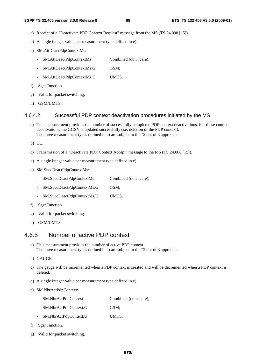- c) Receipt of a "Deactivate PDP Context Request" message from the MS (TS 24.008 [15]).
- d) A single integer value per measurement type defined in e).
- e) SM.AttDeactPdpContextMs:
	- SM.AttDeactPdpContextMs Combined (don't care);
	- SM.AttDeactPdpContextMs.G GSM;
	- SM.AttDeactPdpContextMs.U UMTS.
- f) SgsnFunction.
- g) Valid for packet switching.
- h) GSM/UMTS.

### 4.6.4.2 Successful PDP context deactivation procedures initiated by the MS

- a) This measurement provides the number of successfully completed PDP context deactivations. For these context deactivations, the GGSN is updated successfully (i.e. deletion of the PDP context). The three measurement types defined in e) are subject to the "2 out of 3 approach".
- b) CC.
- c) Transmission of a "Deactivate PDP Context Accept" message to the MS (TS 24.008 [15]).
- d) A single integer value per measurement type defined in e).
- e) SM.SuccDeactPdpContextMs:
	- SM.SuccDeactPdpContextMs Combined (don't care):
	- SM.SuccDeactPdpContextMs.G GSM;
	- SM.SuccDeactPdpContextMs.U UMTS.
- f) SgsnFunction.
- g) Valid for packet switching.
- h) GSM/UMTS.

# 4.6.5 Number of active PDP context

- a) This measurement provides the number of active PDP context. The three measurement types defined in e) are subject to the "2 out of 3 approach".
- b) GAUGE.
- c) The gauge will be incremented when a PDP context is created and will be decremented when a PDP context is deleted.
- d) A single integer value per measurement type defined in e).
- e) SM.NbrActPdpContext:
	- SM.NbrActPdpContext Combined (don't care);
	- SM.NbrActPdpContext.G GSM;
	- SM.NbrActPdpContext.U UMTS.
- f) SgsnFunction.
- g) Valid for packet switching.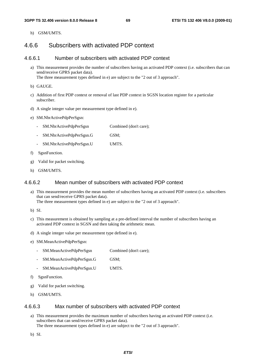h) GSM/UMTS.

# 4.6.6 Subscribers with activated PDP context

### 4.6.6.1 Number of subscribers with activated PDP context

- a) This measurement provides the number of subscribers having an activated PDP context (i.e. subscribers that can send/receive GPRS packet data). The three measurement types defined in e) are subject to the "2 out of 3 approach".
- b) GAUGE.
- c) Addition of first PDP context or removal of last PDP context in SGSN location register for a particular subscriber.
- d) A single integer value per measurement type defined in e).
- e) SM.NbrActivePdpPerSgsn:
	- SM.NbrActivePdpPerSgsn Combined (don't care);
	- SM.NbrActivePdpPerSgsn.G GSM;
	- SM.NbrActivePdpPerSgsn.U UMTS.
- f) SgsnFunction.
- g) Valid for packet switching.
- h) GSM/UMTS.

# 4.6.6.2 Mean number of subscribers with activated PDP context

a) This measurement provides the mean number of subscribers having an activated PDP context (i.e. subscribers that can send/receive GPRS packet data).

The three measurement types defined in e) are subject to the "2 out of 3 approach".

- b) SI.
- c) This measurement is obtained by sampling at a pre-defined interval the number of subscribers having an activated PDP context in SGSN and then taking the arithmetic mean.
- d) A single integer value per measurement type defined in e).
- e) SM.MeanActivePdpPerSgsn:
	- SM.MeanActivePdpPerSgsn Combined (don't care);
	- SM.MeanActivePdpPerSgsn.G GSM;
	- SM.MeanActivePdpPerSgsn.U UMTS.
- f) SgsnFunction.
- g) Valid for packet switching.
- h) GSM/UMTS.

#### 4.6.6.3 Max number of subscribers with activated PDP context

a) This measurement provides the maximum number of subscribers having an activated PDP context (i.e. subscribers that can send/receive GPRS packet data).

The three measurement types defined in e) are subject to the "2 out of 3 approach".

b) SI.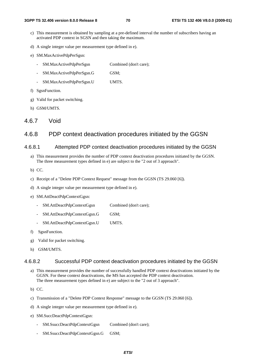- c) This measurement is obtained by sampling at a pre-defined interval the number of subscribers having an activated PDP context in SGSN and then taking the maximum.
- d) A single integer value per measurement type defined in e).
- e) SM.MaxActivePdpPerSgsn:
	- SM.MaxActivePdpPerSgsn Combined (don't care);
	- SM.MaxActivePdpPerSgsn.G GSM;
	- SM.MaxActivePdpPerSgsn.U UMTS.
- f) SgsnFunction.
- g) Valid for packet switching.
- h) GSM/UMTS.
- 4.6.7 Void

# 4.6.8 PDP context deactivation procedures initiated by the GGSN

#### 4.6.8.1 Attempted PDP context deactivation procedures initiated by the GGSN

- a) This measurement provides the number of PDP context deactivation procedures initiated by the GGSN. The three measurement types defined in e) are subject to the "2 out of 3 approach".
- b) CC.
- c) Receipt of a "Delete PDP Context Request" message from the GGSN (TS 29.060 [6]).
- d) A single integer value per measurement type defined in e).
- e) SM.AttDeactPdpContextGgsn:
	- SM.AttDeactPdpContextGgsn Combined (don't care):
	- SM.AttDeactPdpContextGgsn.G GSM;
	- SM.AttDeactPdpContextGgsn.U UMTS.
- f) SgsnFunction.
- g) Valid for packet switching.
- h) GSM/UMTS.

### 4.6.8.2 Successful PDP context deactivation procedures initiated by the GGSN

a) This measurement provides the number of successfully handled PDP context deactivations initiated by the GGSN. For these context deactivations, the MS has accepted the PDP context deactivation. The three measurement types defined in e) are subject to the "2 out of 3 approach".

b) CC.

- c) Transmission of a "Delete PDP Context Response" message to the GGSN (TS 29.060 [6]).
- d) A single integer value per measurement type defined in e).
- e) SM.SuccDeactPdpContextGgsn:
	- SM.SsuccDeactPdpContextGgsn Combined (don't care);
	- SM.SsuccDeactPdpContextGgsn.G GSM;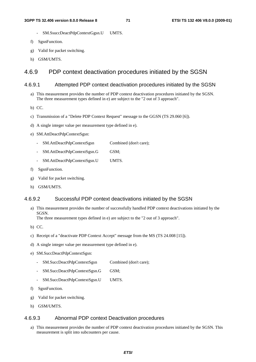- SM.SsuccDeactPdpContextGgsn.U UMTS.
- f) SgsnFunction.
- g) Valid for packet switching.
- h) GSM/UMTS.

# 4.6.9 PDP context deactivation procedures initiated by the SGSN

#### 4.6.9.1 Attempted PDP context deactivation procedures initiated by the SGSN

a) This measurement provides the number of PDP context deactivation procedures initiated by the SGSN. The three measurement types defined in e) are subject to the "2 out of 3 approach".

b) CC.

- c) Transmission of a "Delete PDP Context Request" message to the GGSN (TS 29.060 [6]).
- d) A single integer value per measurement type defined in e).
- e) SM.AttDeactPdpContextSgsn:
	- SM.AttDeactPdpContextSgsn Combined (don't care);
	- SM.AttDeactPdpContextSgsn.G GSM;
	- SM.AttDeactPdpContextSgsn.U UMTS.
- f) SgsnFunction.
- g) Valid for packet switching.
- h) GSM/UMTS.

#### 4.6.9.2 Successful PDP context deactivations initiated by the SGSN

a) This measurement provides the number of successfully handled PDP context deactivations initiated by the SGSN.

The three measurement types defined in e) are subject to the "2 out of 3 approach".

- b) CC.
- c) Receipt of a "deactivate PDP Context Accept" message from the MS (TS 24.008 [15]).
- d) A single integer value per measurement type defined in e).
- e) SM.SuccDeactPdpContextSgsn:
	- SM.SuccDeactPdpContextSgsn Combined (don't care);
	- SM.SuccDeactPdpContextSgsn.G GSM;
	- SM.SuccDeactPdpContextSgsn.U UMTS.
- f) SgsnFunction.
- g) Valid for packet switching.
- h) GSM/UMTS.

### 4.6.9.3 Abnormal PDP context Deactivation procedures

a) This measurement provides the number of PDP context deactivation procedures initiated by the SGSN. This measurement is split into subcounters per cause.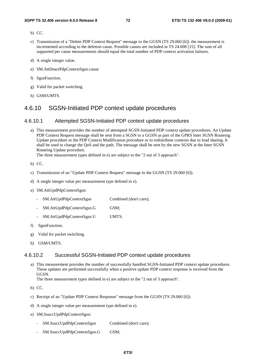- b) CC.
- c) Transmission of a "Delete PDP Context Request" message to the GGSN (TS 29.060 [6]). the measurement is incremented according to the deletion cause. Possible causes are included in TS 24.008 [15]. The sum of all supported per cause measurements should equal the total number of PDP context activation failures.
- d) A single integer value.
- e) SM.AttDeactPdpContextSgsn.cause
- f) SgsnFunction.
- g) Valid for packet switching.
- h) GSM/UMTS.

## 4.6.10 SGSN-Initiated PDP context update procedures

#### 4.6.10.1 Attempted SGSN-Initiated PDP context update procedures

a) This measurement provides the number of attempted SGSN-Initiated PDP context update procedures. An Update PDP Context Request message shall be sent from a SGSN to a GGSN as part of the GPRS Inter SGSN Routeing Update procedure or the PDP Context Modification procedure or to redistribute contexts due to load sharing. It shall be used to change the QoS and the path. The message shall be sent by the new SGSN at the Inter SGSN Routeing Update procedure.

The three measurement types defined in e) are subject to the "2 out of 3 approach".

b) CC.

- c) Transmission of an "Update PDP Context Request" message to the GGSN (TS 29.060 [6]).
- d) A single integer value per measurement type defined in e).
- e) SM.AttUpdPdpContextSgsn:
	- SM.AttUpdPdpContextSgsn Combined (don't care);
	- SM.AttUpdPdpContextSgsn.G GSM;
	- SM.AttUpdPdpContextSgsn.U UMTS.
- f) SgsnFunction.
- g) Valid for packet switching.
- h) GSM/UMTS.

#### 4.6.10.2 Successful SGSN-Initiated PDP context update procedures

a) This measurement provides the number of successfully handled SGSN-Initiated PDP context update procedures. These updates are performed successfully when a positive update PDP context response is received from the GGSN.

The three measurement types defined in e) are subject to the "2 out of 3 approach".

- b) CC.
- c) Receipt of an "Update PDP Context Response" message from the GGSN (TS 29.060 [6]).
- d) A single integer value per measurement type defined in e).
- e) SM.SsuccUpdPdpContextSgsn:
	- SM.SsuccUpdPdpContextSgsn Combined (don't care);
	- SM.SsuccUpdPdpContextSgsn.G GSM;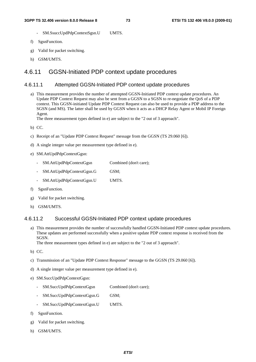- SM.SsuccUpdPdpContextSgsn.U UMTS.
- f) SgsnFunction.
- g) Valid for packet switching.
- h) GSM/UMTS.

## 4.6.11 GGSN-Initiated PDP context update procedures

#### 4.6.11.1 Attempted GGSN-Initiated PDP context update procedures

a) This measurement provides the number of attempted GGSN-Initiated PDP context update procedures. An Update PDP Context Request may also be sent from a GGSN to a SGSN to re-negotiate the QoS of a PDP context. This GGSN-initiated Update PDP Context Request can also be used to provide a PDP address to the SGSN (and MS). The latter shall be used by GGSN when it acts as a DHCP Relay Agent or Mobil IP Foreign Agent.

The three measurement types defined in e) are subject to the "2 out of 3 approach".

- b) CC.
- c) Receipt of an "Update PDP Context Request" message from the GGSN (TS 29.060 [6]).
- d) A single integer value per measurement type defined in e).
- e) SM.AttUpdPdpContextGgsn:
	- SM.AttUpdPdpContextGgsn Combined (don't care);
	- SM.AttUpdPdpContextGgsn.G GSM;
	- SM.AttUpdPdpContextGgsn.U UMTS.
- f) SgsnFunction.
- g) Valid for packet switching.
- h) GSM/UMTS.

### 4.6.11.2 Successful GGSN-Initiated PDP context update procedures

a) This measurement provides the number of successfully handled GGSN-Initiated PDP context update procedures. These updates are performed successfully when a positive update PDP context response is received from the SGSN.

The three measurement types defined in e) are subject to the "2 out of 3 approach".

- b) CC.
- c) Transmission of an "Update PDP Context Response" message to the GGSN (TS 29.060 [6]).
- d) A single integer value per measurement type defined in e).
- e) SM.SuccUpdPdpContextGgsn:
	- SM.SuccUpdPdpContextGgsn Combined (don't care);
	- SM.SuccUpdPdpContextGgsn.G GSM;
	- SM.SuccUpdPdpContextGgsn.U UMTS.
- f) SgsnFunction.
- g) Valid for packet switching.
- h) GSM/UMTS.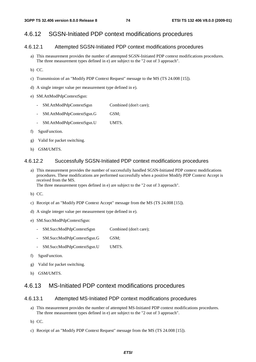# 4.6.12 SGSN-Initiated PDP context modifications procedures

## 4.6.12.1 Attempted SGSN-Initiated PDP context modifications procedures

- a) This measurement provides the number of attempted SGSN-Initiated PDP context modifications procedures. The three measurement types defined in e) are subject to the "2 out of 3 approach".
- b) CC.
- c) Transmission of an "Modify PDP Context Request" message to the MS (TS 24.008 [15]).
- d) A single integer value per measurement type defined in e).
- e) SM.AttModPdpContextSgsn:
	- SM.AttModPdpContextSgsn Combined (don't care);
	- SM.AttModPdpContextSgsn.G GSM;
	- SM.AttModPdpContextSgsn.U UMTS.
- f) SgsnFunction.
- g) Valid for packet switching.
- h) GSM/UMTS.

### 4.6.12.2 Successfully SGSN-Initiated PDP context modifications procedures

a) This measurement provides the number of successfully handled SGSN-Initiated PDP context modifications procedures. These modifications are performed successfully when a positive Modify PDP Context Accept is received from the MS.

The three measurement types defined in e) are subject to the "2 out of 3 approach".

- b) CC.
- c) Receipt of an "Modify PDP Context Accept" message from the MS (TS 24.008 [15]).
- d) A single integer value per measurement type defined in e).
- e) SM.SuccModPdpContextSgsn:
	- SM.SuccModPdpContextSgsn Combined (don't care);
	- SM.SuccModPdpContextSgsn.G GSM;
	- SM.SuccModPdpContextSgsn.U UMTS.
- f) SgsnFunction.
- g) Valid for packet switching.
- h) GSM/UMTS.

## 4.6.13 MS-Initiated PDP context modifications procedures

### 4.6.13.1 Attempted MS-Initiated PDP context modifications procedures

- a) This measurement provides the number of attempted MS-Initiated PDP context modifications procedures. The three measurement types defined in e) are subject to the "2 out of 3 approach".
- b) CC.
- c) Receipt of an "Modify PDP Context Request" message from the MS (TS 24.008 [15]).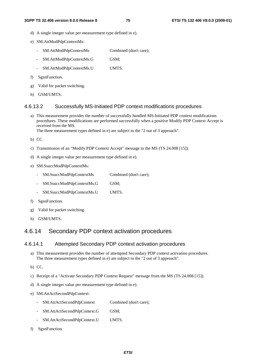- d) A single integer value per measurement type defined in e).
- e) SM.AttModPdpContextMs:
	- SM.AttModPdpContextMs Combined (don't care);
	- SM.AttModPdpContextMs.G GSM;
	- SM.AttModPdpContextMs.U UMTS.
- f) SgsnFunction.
- g) Valid for packet switching.
- h) GSM/UMTS.

#### 4.6.13.2 Successfully MS-Initiated PDP context modifications procedures

a) This measurement provides the number of successfully handled MS-Initiated PDP context modifications procedures. These modifications are performed successfully when a positive Modify PDP Context Accept is received from the MS.

The three measurement types defined in e) are subject to the "2 out of 3 approach".

- b) CC.
- c) Transmission of an "Modify PDP Context Accept" message to the MS (TS 24.008 [15]).
- d) A single integer value per measurement type defined in e).
- e) SM.SsuccModPdpContextMs:
	- SM.SsuccModPdpContextMs Combined (don't care);
	- SM.SsuccModPdpContextMs.G GSM;
	- SM.SsuccModPdpContextMs.U UMTS.
- f) SgsnFunction.
- g) Valid for packet switching.
- h) GSM/UMTS.

## 4.6.14 Secondary PDP context activation procedures

#### 4.6.14.1 Attempted Secondary PDP context activation procedures

- a) This measurement provides the number of attempted Secondary PDP context activation procedures. The three measurement types defined in e) are subject to the "2 out of 3 approach".
- b) CC.
- c) Receipt of a "Activate Secondary PDP Context Request" message from the MS (TS 24.008 [15]).
- d) A single integer value per measurement type defined in e).
- e) SM.AttActSecondPdpContext:
	- SM.AttActSecondPdpContext Combined (don't care);
	- SM.AttActSecondPdpContext.G GSM;
	- SM.AttActSecondPdpContext.U UMTS.
- f) SgsnFunction.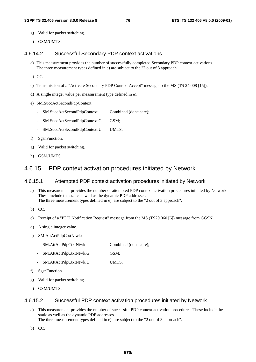- g) Valid for packet switching.
- h) GSM/UMTS.

#### 4.6.14.2 Successful Secondary PDP context activations

- a) This measurement provides the number of successfully completed Secondary PDP context activations. The three measurement types defined in e) are subject to the "2 out of 3 approach".
- b) CC.
- c) Transmission of a "Activate Secondary PDP Context Accept" message to the MS (TS 24.008 [15]).
- d) A single integer value per measurement type defined in e).
- e) SM.SuccActSecondPdpContext:
	- SM.SuccActSecondPdpContext Combined (don't care);
	- SM.SuccActSecondPdpContext.G GSM;
	- SM.SuccActSecondPdpContext.U UMTS.
- f) SgsnFunction.
- g) Valid for packet switching.
- h) GSM/UMTS.

## 4.6.15 PDP context activation procedures initiated by Network

### 4.6.15.1 Attempted PDP context activation procedures initiated by Network

- a) This measurement provides the number of attempted PDP context activation procedures initiated by Network. These include the static as well as the dynamic PDP addresses. The three measurement types defined in e) are subject to the "2 out of 3 approach".
- b) CC.
- c) Receipt of a "PDU Notification Request" message from the MS (TS29.060 [6]) message from GGSN.
- d) A single integer value.
- e) SM.AttActPdpCtxtNtwk:
	- SM.AttActPdpCtxtNtwk Combined (don't care);
	- SM.AttActPdpCtxtNtwk.G GSM;
	- SM.AttActPdpCtxtNtwk.U UMTS.
- f) SgsnFunction.
- g) Valid for packet switching.
- h) GSM/UMTS.

#### 4.6.15.2 Successful PDP context activation procedures initiated by Network

- a) This measurement provides the number of successful PDP context activation procedures. These include the static as well as the dynamic PDP addresses. The three measurement types defined in e) are subject to the "2 out of 3 approach".
- b) CC.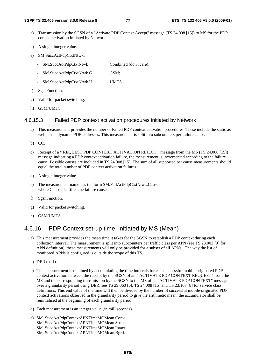- c) Transmission by the SGSN of a "Activate PDP Context Accept" message (TS 24.008 [15]) to MS for the PDP context activation initiated by Network.
- d) A single integer value.
- e) SM.SuccActPdpCtxtNtwk:
	- SM.SuccActPdpCtxtNtwk Combined (don't care);
	- SM.SuccActPdpCtxtNtwk.G GSM;
	- SM.SuccActPdpCtxtNtwk.U UMTS.
- f) SgsnFunction.
- g) Valid for packet switching.
- h) GSM/UMTS.

#### 4.6.15.3 Failed PDP context activation procedures initiated by Network

- a) This measurement provides the number of Failed PDP context activation procedures. These include the static as well as the dynamic PDP addresses. This measurement is split into subcounters per failure cause.
- b) CC.
- c) Receipt of a " REQUEST PDP CONTEXT ACTIVATION REJECT " message from the MS (TS 24.008 [15]) message indicating a PDP context activation failure, the measurement is incremented according to the failure cause. Possible causes are included in TS 24.008 [15]. The sum of all supported per cause measurements should equal the total number of PDP context activation failures.
- d) A single integer value.
- e) The measurement name has the form SM.FailActPdpCtxtNtwk.Cause where Cause identifies the failure cause.
- f) SgsnFunction.
- g) Valid for packet switching.
- h) GSM/UMTS.

## 4.6.16 PDP Context set-up time, initiated by MS (Mean)

- a) This measurement provides the mean time it takes for the SGSN to establish a PDP context during each collection interval. The measurement is split into subcounters per traffic class per APN (see TS 23.003 [9] for APN definition), these measurements will only be provided for a subset of all APNs. The way the list of monitored APNs is configured is outside the scope of this TS.
- b) DER  $(n=1)$ .
- c) This measurement is obtained by accumulating the time intervals for each successful mobile originated PDP context activation between the receipt by the SGSN of an " ACTIVATE PDP CONTEXT REQUEST" from the MS and the corresponding transmission by the SGSN to the MS of an "ACTIVATE PDP CONTEXT" message over a granularity period using DER, see TS 29.060 [6], TS 24.008 [15] and TS 23.107 [8] for service class definitions. This end value of the time will then be divided by the number of successful mobile originated PDP context activations observed in the granularity period to give the arithmetic mean, the accumulator shall be reinitialised at the beginning of each granularity period.
- d) Each measurement is an integer value.(in milliseconds).
- e) SM. SuccActPdpContextAPNTimeMOMean.Conv SM. SuccActPdpContextAPNTimeMOMean.Strm SM. SuccActPdpContextAPNTimeMOMean.Intact SM. SuccActPdpContextAPNTimeMOMean.Bgrd.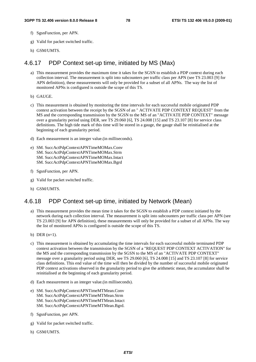- f) SgsnFunction, per APN.
- g) Valid for packet switched traffic.
- h) GSM/UMTS.

## 4.6.17 PDP Context set-up time, initiated by MS (Max)

- a) This measurement provides the maximum time it takes for the SGSN to establish a PDP context during each collection interval. The measurement is split into subcounters per traffic class per APN (see TS 23.003 [9] for APN definition), these measurements will only be provided for a subset of all APNs. The way the list of monitored APNs is configured is outside the scope of this TS.
- b) GAUGE.
- c) This measurement is obtained by monitoring the time intervals for each successful mobile originated PDP context activation between the receipt by the SGSN of an " ACTIVATE PDP CONTEXT REQUEST" from the MS and the corresponding transmission by the SGSN to the MS of an "ACTIVATE PDP CONTEXT" message over a granularity period using DER, see TS 29.060 [6], TS 24.008 [15] and TS 23.107 [8] for service class definitions. The high tide mark of this time will be stored in a gauge, the gauge shall be reinitialised at the beginning of each granularity period.
- d) Each measurement is an integer value.(in milliseconds).
- e) SM. SuccActPdpContextAPNTimeMOMax.Conv SM. SuccActPdpContextAPNTimeMOMax.Strm SM. SuccActPdpContextAPNTimeMOMax.Intact SM. SuccActPdpContextAPNTimeMOMax.Bgrd
- f) SgsnFunction, per APN.
- g) Valid for packet switched traffic.
- h) GSM/UMTS.

## 4.6.18 PDP Context set-up time, initiated by Network (Mean)

- a) This measurement provides the mean time it takes for the SGSN to establish a PDP context initiated by the network during each collection interval. The measurement is split into subcounters per traffic class per APN (see TS 23.003 [9] for APN definition), these measurements will only be provided for a subset of all APNs. The way the list of monitored APNs is configured is outside the scope of this TS.
- b) DER  $(n=1)$ .
- c) This measurement is obtained by accumulating the time intervals for each successful mobile terminated PDP context activation between the transmission by the SGSN of a "REQUEST PDP CONTEXT ACTIVATION" for the MS and the corresponding transmission by the SGSN to the MS of an "ACTIVATE PDP CONTEXT" message over a granularity period using DER, see TS 29.060 [6], TS 24.008 [15] and TS 23.107 [8] for service class definitions. This end value of the time will then be divided by the number of successful mobile originated PDP context activations observed in the granularity period to give the arithmetic mean, the accumulator shall be reinitialised at the beginning of each granularity period.
- d) Each measurement is an integer value.(in milliseconds).
- e) SM. SuccActPdpContextAPNTimeMTMean.Conv SM. SuccActPdpContextAPNTimeMTMean.Strm SM. SuccActPdpContextAPNTimeMTMean.Intact SM. SuccActPdpContextAPNTimeMTMean.Bgrd.
- f) SgsnFunction, per APN.
- g) Valid for packet switched traffic.
- h) GSM/UMTS.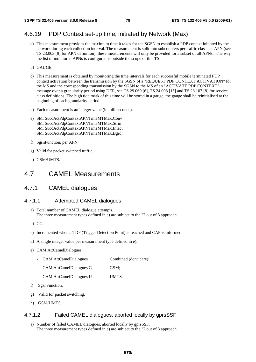## 4.6.19 PDP Context set-up time, initiated by Network (Max)

- a) This measurement provides the maximum time it takes for the SGSN to establish a PDP context initiated by the network during each collection interval. The measurement is split into subcounters per traffic class per APN (see TS 23.003 [9] for APN definition), these measurements will only be provided for a subset of all APNs. The way the list of monitored APNs is configured is outside the scope of this TS.
- b) GAUGE
- c) This measurement is obtained by monitoring the time intervals for each successful mobile terminated PDP context activation between the transmission by the SGSN of a "REQUEST PDP CONTEXT ACTIVATION" for the MS and the corresponding transmission by the SGSN to the MS of an "ACTIVATE PDP CONTEXT" message over a granularity period using DER, see TS 29.060 [6], TS 24.008 [15] and TS 23.107 [8] for service class definitions. The high tide mark of this time will be stored in a gauge, the gauge shall be reinitialised at the beginning of each granularity period.
- d) Each measurement is an integer value.(in milliseconds).
- e) SM. SuccActPdpContextAPNTimeMTMax.Conv SM. SuccActPdpContextAPNTimeMTMax.Strm SM. SuccActPdpContextAPNTimeMTMax.Intact SM. SuccActPdpContextAPNTimeMTMax.Bgrd.
- f) SgsnFunction, per APN.
- g) Valid for packet switched traffic.
- h) GSM/UMTS.

## 4.7 CAMEL Measurements

## 4.7.1 CAMEL dialogues

#### 4.7.1.1 Attempted CAMEL dialogues

- a) Total number of CAMEL dialogue attempts. The three measurement types defined in e) are subject to the "2 out of 3 approach".
- b) CC.
- c) Incremented when a TDP (Trigger Detection Point) is reached and CAP is informed.
- d) A single integer value per measurement type defined in e).
- e) CAM.AttCamelDialogues:
	- CAM.AttCamelDialogues Combined (don't care);
	- CAM.AttCamelDialogues.G GSM;
	- CAM.AttCamelDialogues.U UMTS.
- f) SgsnFunction.
- g) Valid for packet switching.
- h) GSM/UMTS.

### 4.7.1.2 Failed CAMEL dialogues, aborted locally by gprsSSF

a) Number of failed CAMEL dialogues, aborted locally by gprsSSF. The three measurement types defined in e) are subject to the "2 out of 3 approach".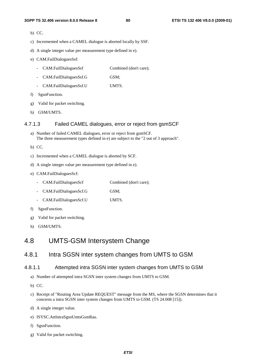- b) CC.
- c) Incremented when a CAMEL dialogue is aborted locally by SSF.
- d) A single integer value per measurement type defined in e).
- e) CAM.FailDialoguesSsf:
	- CAM.FailDialoguesSsf Combined (don't care);
	- CAM.FailDialoguesSsf.G GSM;
	- CAM.FailDialoguesSsf.U UMTS.
- f) SgsnFunction.
- g) Valid for packet switching.
- h) GSM/UMTS.

#### 4.7.1.3 Failed CAMEL dialogues, error or reject from gsmSCF

- a) Number of failed CAMEL dialogues, error or reject from gsmSCF. The three measurement types defined in e) are subject to the "2 out of 3 approach".
- b) CC.
- c) Incremented when a CAMEL dialogue is aborted by SCF.
- d) A single integer value per measurement type defined in e).
- e) CAM.FailDialoguesScf:
	- CAM.FailDialoguesScf Combined (don't care);
	- CAM.FailDialoguesScf.G GSM;
	- CAM.FailDialoguesScf.U UMTS.
- f) SgsnFunction.
- g) Valid for packet switching.
- h) GSM/UMTS.

## 4.8 UMTS-GSM Intersystem Change

## 4.8.1 Intra SGSN inter system changes from UMTS to GSM

#### 4.8.1.1 Attempted intra SGSN inter system changes from UMTS to GSM

- a) Number of attempted intra SGSN inter system changes from UMTS to GSM.
- b) CC.
- c) Receipt of "Routing Area Update REQUEST" message from the MS, where the SGSN determines that it concerns a intra SGSN inter system changes from UMTS to GSM. (TS 24.008 [15]).
- d) A single integer value.
- e) ISYSC.AttIntraSgsnUmtsGsmRau.
- f) SgsnFunction.
- g) Valid for packet switching.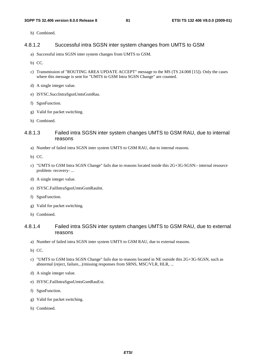h) Combined.

#### 4.8.1.2 Successful intra SGSN inter system changes from UMTS to GSM

- a) Successful intra SGSN inter system changes from UMTS to GSM.
- b) CC.
- c) Transmission of "ROUTING AREA UPDATE ACCEPT" message to the MS (TS 24.008 [15]). Only the cases where this message is sent for "UMTS to GSM Intra SGSN Change" are counted.
- d) A single integer value.
- e) ISYSC.SuccIntraSgsnUmtsGsmRau.
- f) SgsnFunction.
- g) Valid for packet switching.
- h) Combined.

### 4.8.1.3 Failed intra SGSN inter system changes UMTS to GSM RAU, due to internal reasons

- a) Number of failed intra SGSN inter system UMTS to GSM RAU, due to internal reasons.
- b) CC.
- c) "UMTS to GSM Intra SGSN Change" fails due to reasons located inside this 2G+3G-SGSN:- internal resource problem- recovery- ...
- d) A single integer value.
- e) ISYSC.FailIntraSgsnUmtsGsmRauInt.
- f) SgsnFunction.
- g) Valid for packet switching.
- h) Combined.

### 4.8.1.4 Failed intra SGSN inter system changes UMTS to GSM RAU, due to external reasons

- a) Number of failed intra SGSN inter system UMTS to GSM RAU, due to external reasons.
- b) CC.
- c) "UMTS to GSM Intra SGSN Change" fails due to reasons located in NE outside this 2G+3G-SGSN, such as abnormal (reject, failure,..)/missing responses from SRNS, MSC/VLR, HLR, ...
- d) A single integer value.
- e) ISYSC.FailIntraSgsnUmtsGsmRauExt.
- f) SgsnFunction.
- g) Valid for packet switching.
- h) Combined.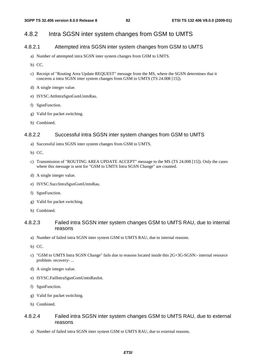## 4.8.2 Intra SGSN inter system changes from GSM to UMTS

### 4.8.2.1 Attempted intra SGSN inter system changes from GSM to UMTS

- a) Number of attempted intra SGSN inter system changes from GSM to UMTS.
- b) CC.
- c) Receipt of "Routing Area Update REQUEST" message from the MS, where the SGSN determines that it concerns a intra SGSN inter system changes from GSM to UMTS (TS 24.008 [15]).
- d) A single integer value.
- e) ISYSC.AttIntraSgsnGsmUmtsRau.
- f) SgsnFunction.
- g) Valid for packet switching.
- h) Combined.

### 4.8.2.2 Successful intra SGSN inter system changes from GSM to UMTS

- a) Successful intra SGSN inter system changes from GSM to UMTS.
- b) CC.
- c) Transmission of "ROUTING AREA UPDATE ACCEPT" message to the MS (TS 24.008 [15]). Only the cases where this message is sent for "GSM to UMTS Intra SGSN Change" are counted.
- d) A single integer value.
- e) ISYSC.SuccIntraSgsnGsmUmtsRau.
- f) SgsnFunction.
- g) Valid for packet switching.
- h) Combined.

### 4.8.2.3 Failed intra SGSN inter system changes GSM to UMTS RAU, due to internal reasons

- a) Number of failed intra SGSN inter system GSM to UMTS RAU, due to internal reasons.
- b) CC.
- c) "GSM to UMTS Intra SGSN Change" fails due to reasons located inside this 2G+3G-SGSN:- internal resource problem- recovery- ...
- d) A single integer value.
- e) ISYSC.FailIntraSgsnGsmUmtsRauInt.
- f) SgsnFunction.
- g) Valid for packet switching.
- h) Combined.

### 4.8.2.4 Failed intra SGSN inter system changes GSM to UMTS RAU, due to external reasons

a) Number of failed intra SGSN inter system GSM to UMTS RAU, due to external reasons.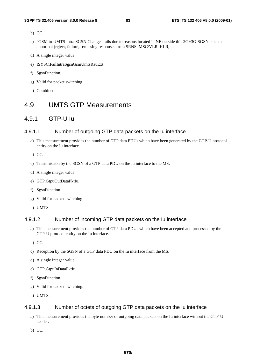- b) CC.
- c) "GSM to UMTS Intra SGSN Change" fails due to reasons located in NE outside this 2G+3G-SGSN, such as abnormal (reject, failure,..)/missing responses from SRNS, MSC/VLR, HLR, ...
- d) A single integer value.
- e) ISYSC.FailIntraSgsnGsmUmtsRauExt.
- f) SgsnFunction.
- g) Valid for packet switching.
- h) Combined.

# 4.9 UMTS GTP Measurements

## 4.9.1 GTP-U Iu

#### 4.9.1.1 Number of outgoing GTP data packets on the Iu interface

- a) This measurement provides the number of GTP data PDUs which have been generated by the GTP-U protocol entity on the Iu interface.
- b) CC.
- c) Transmission by the SGSN of a GTP data PDU on the Iu interface to the MS.
- d) A single integer value.
- e) GTP.GtpuOutDataPktIu.
- f) SgsnFunction.
- g) Valid for packet switching.
- h) UMTS.

### 4.9.1.2 Number of incoming GTP data packets on the Iu interface

- a) This measurement provides the number of GTP data PDUs which have been accepted and processed by the GTP-U protocol entity on the Iu interface.
- b) CC.
- c) Reception by the SGSN of a GTP data PDU on the Iu interface from the MS.
- d) A single integer value.
- e) GTP.GtpuInDataPktIu.
- f) SgsnFunction.
- g) Valid for packet switching.
- h) UMTS.

#### 4.9.1.3 Number of octets of outgoing GTP data packets on the Iu interface

- a) This measurement provides the byte number of outgoing data packets on the Iu interface without the GTP-U header.
- b) CC.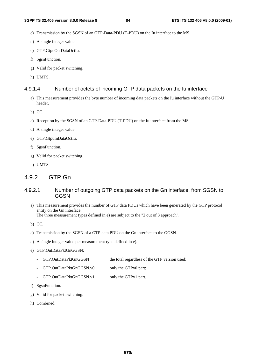- c) Transmission by the SGSN of an GTP-Data-PDU (T-PDU) on the Iu interface to the MS.
- d) A single integer value.
- e) GTP.GtpuOutDataOctIu.
- f) SgsnFunction.
- g) Valid for packet switching.
- h) UMTS.

#### 4.9.1.4 Number of octets of incoming GTP data packets on the Iu interface

- a) This measurement provides the byte number of incoming data packets on the Iu interface without the GTP-U header.
- b) CC.
- c) Reception by the SGSN of an GTP-Data-PDU (T-PDU) on the Iu interface from the MS.
- d) A single integer value.
- e) GTP.GtpuInDataOctIu.
- f) SgsnFunction.
- g) Valid for packet switching.
- h) UMTS.

## 4.9.2 GTP Gn

### 4.9.2.1 Number of outgoing GTP data packets on the Gn interface, from SGSN to **GGSN**

a) This measurement provides the number of GTP data PDUs which have been generated by the GTP protocol entity on the Gn interface. The three measurement types defined in e) are subject to the "2 out of 3 approach".

b) CC.

- c) Transmission by the SGSN of a GTP data PDU on the Gn interface to the GGSN.
- d) A single integer value per measurement type defined in e).
- e) GTP.OutDataPktGnGGSN:
	- GTP.OutDataPktGnGGSN the total regardless of the GTP version used;
	- GTP.OutDataPktGnGGSN.v0 only the GTPv0 part;
	- GTP.OutDataPktGnGGSN.v1 only the GTPv1 part.
- f) SgsnFunction.
- g) Valid for packet switching.
- h) Combined.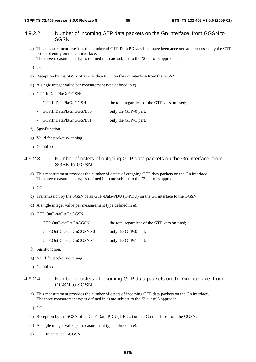### 4.9.2.2 Number of incoming GTP data packets on the Gn interface, from GGSN to **SGSN**

a) This measurement provides the number of GTP Data PDUs which have been accepted and processed by the GTP protocol entity on the Gn interface.

The three measurement types defined in e) are subject to the "2 out of 3 approach".

b) CC.

- c) Reception by the SGSN of a GTP data PDU on the Gn interface from the GGSN.
- d) A single integer value per measurement type defined in e).

#### e) GTP.InDataPktGnGGSN:

- GTP.InDataPktGnGGSN the total regardless of the GTP version used;
- GTP.InDataPktGnGGSN.v0 only the GTPv0 part;
- GTP.InDataPktGnGGSN.v1 only the GTPv1 part.
- f) SgsnFunction.
- g) Valid for packet switching.
- h) Combined.

### 4.9.2.3 Number of octets of outgoing GTP data packets on the Gn interface, from SGSN to GGSN

- a) This measurement provides the number of octets of outgoing GTP data packets on the Gn interface. The three measurement types defined in e) are subject to the "2 out of 3 approach".
- b) CC.
- c) Transmission by the SGSN of an GTP-Data-PDU (T-PDU) on the Gn interface to the GGSN.
- d) A single integer value per measurement type defined in e).

#### e) GTP.OutDataOctGnGGSN:

- GTP.OutDataOctGnGGSN the total regardless of the GTP version used;
- GTP.OutDataOctGnGGSN.v0 only the GTPv0 part;
- GTP.OutDataOctGnGGSN.v1 only the GTPv1 part.
- f) SgsnFunction.
- g) Valid for packet switching.
- h) Combined.

### 4.9.2.4 Number of octets of incoming GTP data packets on the Gn interface, from GGSN to SGSN

- a) This measurement provides the number of octets of incoming GTP data packets on the Gn interface. The three measurement types defined in e) are subject to the "2 out of 3 approach".
- b) CC.
- c) Reception by the SGSN of an GTP-Data-PDU (T-PDU) on the Gn interface from the GGSN.
- d) A single integer value per measurement type defined in e).
- e) GTP.InDataOctGnGGSN: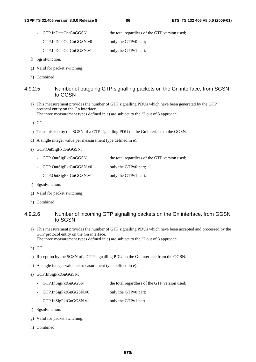- GTP.InDataOctGnGGSN the total regardless of the GTP version used;
- GTP.InDataOctGnGGSN.v0 only the GTPv0 part;
- GTP.InDataOctGnGGSN.v1 only the GTPv1 part.
- f) SgsnFunction.
- g) Valid for packet switching.
- h) Combined.

### 4.9.2.5 Number of outgoing GTP signalling packets on the Gn interface, from SGSN to GGSN

a) This measurement provides the number of GTP signalling PDUs which have been generated by the GTP protocol entity on the Gn interface.

The three measurement types defined in e) are subject to the "2 out of 3 approach".

- b) CC.
- c) Transmission by the SGSN of a GTP signalling PDU on the Gn interface to the GGSN.
- d) A single integer value per measurement type defined in e).
- e) GTP.OutSigPktGnGGSN:
	- GTP.OutSigPktGnGGSN the total regardless of the GTP version used;
	- GTP.OutSigPktGnGGSN.v0 only the GTPv0 part;
	- GTP.OutSigPktGnGGSN.v1 only the GTPv1 part.
- f) SgsnFunction.
- g) Valid for packet switching.
- h) Combined.

### 4.9.2.6 Number of incoming GTP signalling packets on the Gn interface, from GGSN to SGSN

- a) This measurement provides the number of GTP signalling PDUs which have been accepted and processed by the GTP protocol entity on the Gn interface. The three measurement types defined in e) are subject to the "2 out of 3 approach".
- b) CC.
- c) Reception by the SGSN of a GTP signalling PDU on the Gn interface from the GGSN.
- d) A single integer value per measurement type defined in e).
- e) GTP.InSigPktGnGGSN:
	- GTP.InSigPktGnGGSN the total regardless of the GTP version used;
	- GTP.InSigPktGnGGSN.v0 only the GTPv0 part;
	- GTP.InSigPktGnGGSN.v1 only the GTPv1 part.
- f) SgsnFunction.
- g) Valid for packet switching.
- h) Combined.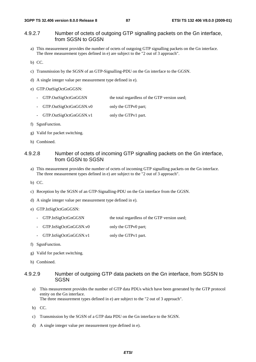### 4.9.2.7 Number of octets of outgoing GTP signalling packets on the Gn interface, from SGSN to GGSN

- a) This measurement provides the number of octets of outgoing GTP signalling packets on the Gn interface. The three measurement types defined in e) are subject to the "2 out of 3 approach".
- b) CC.
- c) Transmission by the SGSN of an GTP-Signalling-PDU on the Gn interface to the GGSN.
- d) A single integer value per measurement type defined in e).
- e) GTP.OutSigOctGnGGSN:
	- GTP.OutSigOctGnGGSN the total regardless of the GTP version used;
	- GTP.OutSigOctGnGGSN.v0 only the GTPv0 part;
	- GTP.OutSigOctGnGGSN.v1 only the GTPv1 part.
- f) SgsnFunction.
- g) Valid for packet switching.
- h) Combined.

### 4.9.2.8 Number of octets of incoming GTP signalling packets on the Gn interface, from GGSN to SGSN

- a) This measurement provides the number of octets of incoming GTP signalling packets on the Gn interface. The three measurement types defined in e) are subject to the "2 out of 3 approach".
- b) CC.
- c) Reception by the SGSN of an GTP-Signalling-PDU on the Gn interface from the GGSN.
- d) A single integer value per measurement type defined in e).
- e) GTP.InSigOctGnGGSN:
	- GTP.InSigOctGnGGSN the total regardless of the GTP version used;
	- GTP.InSigOctGnGGSN.v0 only the GTPv0 part;
	- GTP.InSigOctGnGGSN.v1 only the GTPv1 part.
- f) SgsnFunction.
- g) Valid for packet switching.
- h) Combined.

#### 4.9.2.9 Number of outgoing GTP data packets on the Gn interface, from SGSN to **SGSN**

- a) This measurement provides the number of GTP data PDUs which have been generated by the GTP protocol entity on the Gn interface. The three measurement types defined in e) are subject to the "2 out of 3 approach".
- b) CC.
- c) Transmission by the SGSN of a GTP data PDU on the Gn interface to the SGSN.
- d) A single integer value per measurement type defined in e).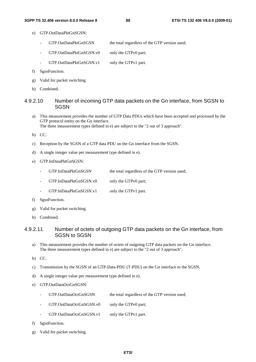- e) GTP.OutDataPktGnSGSN:
	- GTP.OutDataPktGnSGSN the total regardless of the GTP version used;
	- GTP.OutDataPktGnSGSN.v0 only the GTPv0 part;
	- GTP.OutDataPktGnSGSN.v1 only the GTPv1 part.
- f) SgsnFunction.
- g) Valid for packet switching.
- h) Combined.

### 4.9.2.10 Number of incoming GTP data packets on the Gn interface, from SGSN to **SGSN**

a) This measurement provides the number of GTP Data PDUs which have been accepted and processed by the GTP protocol entity on the Gn interface. The three measurement types defined in e) are subject to the "2 out of 3 approach".

b) CC.

- c) Reception by the SGSN of a GTP data PDU on the Gn interface from the SGSN.
- d) A single integer value per measurement type defined in e).
- e) GTP.InDataPktGnSGSN:
	- GTP.InDataPktGnSGSN the total regardless of the GTP version used;
	- GTP.InDataPktGnSGSN.v0 only the GTPv0 part;
	- GTP.InDataPktGnSGSN.v1 only the GTPv1 part.
- f) SgsnFunction.
- g) Valid for packet switching.
- h) Combined.

### 4.9.2.11 Number of octets of outgoing GTP data packets on the Gn interface, from SGSN to SGSN

- a) This measurement provides the number of octets of outgoing GTP data packets on the Gn interface. The three measurement types defined in e) are subject to the "2 out of 3 approach".
- b) CC.
- c) Transmission by the SGSN of an GTP-Data-PDU (T-PDU) on the Gn interface to the SGSN.
- d) A single integer value per measurement type defined in e).
- e) GTP.OutDataOctGnSGSN:
	- GTP.OutDataOctGnSGSN the total regardless of the GTP version used:
	- GTP.OutDataOctGnSGSN.v0 only the GTPv0 part;
	- GTP.OutDataOctGnSGSN.v1 only the GTPv1 part.
- f) SgsnFunction.
- g) Valid for packet switching.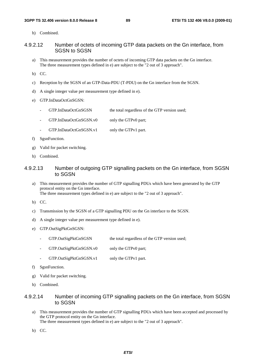h) Combined.

#### 4.9.2.12 Number of octets of incoming GTP data packets on the Gn interface, from SGSN to SGSN

- a) This measurement provides the number of octets of incoming GTP data packets on the Gn interface. The three measurement types defined in e) are subject to the "2 out of 3 approach".
- b) CC.
- c) Reception by the SGSN of an GTP-Data-PDU (T-PDU) on the Gn interface from the SGSN.
- d) A single integer value per measurement type defined in e).
- e) GTP.InDataOctGnSGSN:
	- GTP.InDataOctGnSGSN the total regardless of the GTP version used;
	- GTP.InDataOctGnSGSN.v0 only the GTPv0 part;
	- GTP.InDataOctGnSGSN.v1 only the GTPv1 part.
- f) SgsnFunction.
- g) Valid for packet switching.
- h) Combined.

### 4.9.2.13 Number of outgoing GTP signalling packets on the Gn interface, from SGSN to SGSN

- a) This measurement provides the number of GTP signalling PDUs which have been generated by the GTP protocol entity on the Gn interface. The three measurement types defined in e) are subject to the "2 out of 3 approach".
- b) CC.
- c) Transmission by the SGSN of a GTP signalling PDU on the Gn interface to the SGSN.
- d) A single integer value per measurement type defined in e).
- e) GTP.OutSigPktGnSGSN:
	- GTP.OutSigPktGnSGSN the total regardless of the GTP version used;
	- GTP.OutSigPktGnSGSN.v0 only the GTPv0 part;
	- GTP.OutSigPktGnSGSN.v1 only the GTPv1 part.
- f) SgsnFunction.
- g) Valid for packet switching.
- h) Combined.

### 4.9.2.14 Number of incoming GTP signalling packets on the Gn interface, from SGSN to SGSN

- a) This measurement provides the number of GTP signalling PDUs which have been accepted and processed by the GTP protocol entity on the Gn interface. The three measurement types defined in e) are subject to the "2 out of 3 approach".
- b) CC.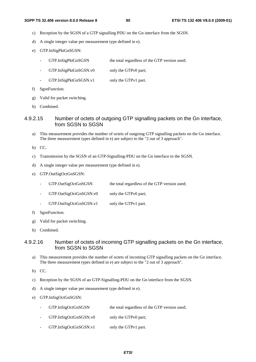- c) Reception by the SGSN of a GTP signalling PDU on the Gn interface from the SGSN.
- d) A single integer value per measurement type defined in e).
- e) GTP.InSigPktGnSGSN:
	- GTP.InSigPktGnSGSN the total regardless of the GTP version used;
	- GTP.InSigPktGnSGSN.v0 only the GTPv0 part;
	- GTP.InSigPktGnSGSN.v1 only the GTPv1 part.
- f) SgsnFunction.
- g) Valid for packet switching.
- h) Combined.

### 4.9.2.15 Number of octets of outgoing GTP signalling packets on the Gn interface, from SGSN to SGSN

- a) This measurement provides the number of octets of outgoing GTP signalling packets on the Gn interface. The three measurement types defined in e) are subject to the "2 out of 3 approach".
- b) CC.
- c) Transmission by the SGSN of an GTP-Signalling-PDU on the Gn interface to the SGSN.
- d) A single integer value per measurement type defined in e).
- e) GTP.OutSigOctGnSGSN:
	- GTP.OutSigOctGnSGSN the total regardless of the GTP version used;
	- GTP.OutSigOctGnSGSN.v0 only the GTPv0 part;
	- GTP.OutSigOctGnSGSN.v1 only the GTPv1 part.
- f) SgsnFunction.
- g) Valid for packet switching.
- h) Combined.

### 4.9.2.16 Number of octets of incoming GTP signalling packets on the Gn interface, from SGSN to SGSN

- a) This measurement provides the number of octets of incoming GTP signalling packets on the Gn interface. The three measurement types defined in e) are subject to the "2 out of 3 approach".
- b) CC.
- c) Reception by the SGSN of an GTP-Signalling-PDU on the Gn interface from the SGSN.
- d) A single integer value per measurement type defined in e).
- e) GTP.InSigOctGnSGSN:
	- GTP.InSigOctGnSGSN the total regardless of the GTP version used;
	- GTP.InSigOctGnSGSN.v0 only the GTPv0 part;
	- GTP.InSigOctGnSGSN.v1 only the GTPv1 part.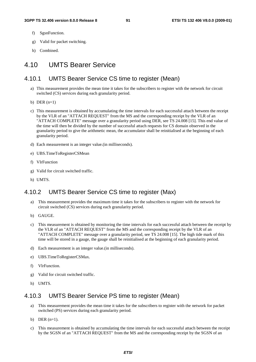- f) SgsnFunction.
- g) Valid for packet switching.
- h) Combined.

# 4.10 UMTS Bearer Service

## 4.10.1 UMTS Bearer Service CS time to register (Mean)

- a) This measurement provides the mean time it takes for the subscribers to register with the network for circuit switched (CS) services during each granularity period.
- b) DER  $(n=1)$
- c) This measurement is obtained by accumulating the time intervals for each successful attach between the receipt by the VLR of an "ATTACH REQUEST" from the MS and the corresponding receipt by the VLR of an "ATTACH COMPLETE" message over a granularity period using DER, see TS 24.008 [15]. This end value of the time will then be divided by the number of successful attach requests for CS domain observed in the granularity period to give the arithmetic mean, the accumulator shall be reinitialised at the beginning of each granularity period.
- d) Each measurement is an integer value.(in milliseconds).
- e) UBS.TimeToRegisterCSMean
- f) VlrFunction
- g) Valid for circuit switched traffic.
- h) UMTS.

## 4.10.2 UMTS Bearer Service CS time to register (Max)

- a) This measurement provides the maximum time it takes for the subscribers to register with the network for circuit switched (CS) services during each granularity period.
- b) GAUGE.
- c) This measurement is obtained by monitoring the time intervals for each successful attach between the receipt by the VLR of an "ATTACH REQUEST" from the MS and the corresponding receipt by the VLR of an "ATTACH COMPLETE" message over a granularity period, see TS 24.008 [15]. The high tide mark of this time will be stored in a gauge, the gauge shall be reinitialised at the beginning of each granularity period.
- d) Each measurement is an integer value.(in milliseconds).
- e) UBS.TimeToRegisterCSMax.
- f) VlrFunction.
- g) Valid for circuit switched traffic.
- h) UMTS.

## 4.10.3 UMTS Bearer Service PS time to register (Mean)

- a) This measurement provides the mean time it takes for the subscribers to register with the network for packet switched (PS) services during each granularity period.
- b) DER  $(n=1)$ .
- c) This measurement is obtained by accumulating the time intervals for each successful attach between the receipt by the SGSN of an "ATTACH REQUEST" from the MS and the corresponding receipt by the SGSN of an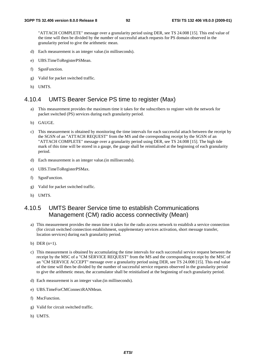"ATTACH COMPLETE" message over a granularity period using DER, see TS 24.008 [15]. This end value of the time will then be divided by the number of successful attach requests for PS domain observed in the granularity period to give the arithmetic mean.

- d) Each measurement is an integer value.(in milliseconds).
- e) UBS.TimeToRegisterPSMean.
- f) SgsnFunction.
- g) Valid for packet switched traffic.
- h) UMTS.

## 4.10.4 UMTS Bearer Service PS time to register (Max)

- a) This measurement provides the maximum time it takes for the subscribers to register with the network for packet switched (PS) services during each granularity period.
- b) GAUGE.
- c) This measurement is obtained by monitoring the time intervals for each successful attach between the receipt by the SGSN of an "ATTACH REQUEST" from the MS and the corresponding receipt by the SGSN of an "ATTACH COMPLETE" message over a granularity period using DER, see TS 24.008 [15]. The high tide mark of this time will be stored in a gauge, the gauge shall be reinitialised at the beginning of each granularity period.
- d) Each measurement is an integer value.(in milliseconds).
- e) UBS.TimeToRegisterPSMax.
- f) SgsnFunction.
- g) Valid for packet switched traffic.
- h) UMTS.

## 4.10.5 UMTS Bearer Service time to establish Communications Management (CM) radio access connectivity (Mean)

- a) This measurement provides the mean time it takes for the radio access network to establish a service connection (for circuit switched connection establishment, supplementary services activation, short message transfer, location services) during each granularity period.
- b) DER  $(n=1)$ .
- c) This measurement is obtained by accumulating the time intervals for each successful service request between the receipt by the MSC of a "CM SERVICE REQUEST" from the MS and the corresponding receipt by the MSC of an "CM SERVICE ACCEPT" message over a granularity period using DER, see TS 24.008 [15]. This end value of the time will then be divided by the number of successful service requests observed in the granularity period to give the arithmetic mean, the accumulator shall be reinitialised at the beginning of each granularity period.
- d) Each measurement is an integer value.(in milliseconds).
- e) UBS.TimeForCMConnectRANMean.
- f) MscFunction.
- g) Valid for circuit switched traffic.
- h) UMTS.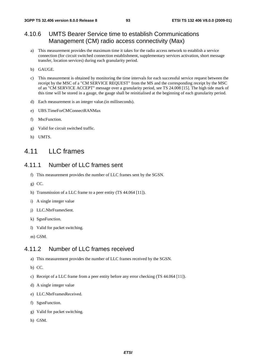## 4.10.6 UMTS Bearer Service time to establish Communications Management (CM) radio access connectivity (Max)

- a) This measurement provides the maximum time it takes for the radio access network to establish a service connection (for circuit switched connection establishment, supplementary services activation, short message transfer, location services) during each granularity period.
- b) GAUGE.
- c) This measurement is obtained by monitoring the time intervals for each successful service request between the receipt by the MSC of a "CM SERVICE REQUEST" from the MS and the corresponding receipt by the MSC of an "CM SERVICE ACCEPT" message over a granularity period, see TS 24.008 [15]. The high tide mark of this time will be stored in a gauge, the gauge shall be reinitialised at the beginning of each granularity period.
- d) Each measurement is an integer value.(in milliseconds).
- e) UBS.TimeForCMConnectRANMax
- f) MscFunction.
- g) Valid for circuit switched traffic.
- h) UMTS.

# 4.11 LLC frames

## 4.11.1 Number of LLC frames sent

- f) This measurement provides the number of LLC frames sent by the SGSN.
- g) CC.
- h) Transmission of a LLC frame to a peer entity (TS 44.064 [11]).
- i) A single integer value
- j) LLC.NbrFramesSent.
- k) SgsnFunction.
- l) Valid for packet switching.
- m) GSM.

## 4.11.2 Number of LLC frames received

- a) This measurement provides the number of LLC frames received by the SGSN.
- b) CC.
- c) Receipt of a LLC frame from a peer entity before any error checking (TS 44.064 [11]).
- d) A single integer value
- e) LLC.NbrFramesReceived.
- f) SgsnFunction.
- g) Valid for packet switching.
- h) GSM.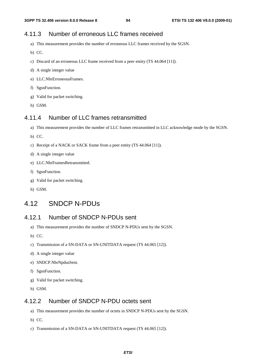## 4.11.3 Number of erroneous LLC frames received

- a) This measurement provides the number of erroneous LLC frames received by the SGSN.
- b) CC.
- c) Discard of an erroneous LLC frame received from a peer entity (TS 44.064 [11]).
- d) A single integer value
- e) LLC.NbrErroneousFrames.
- f) SgsnFunction.
- g) Valid for packet switching.
- h) GSM.

## 4.11.4 Number of LLC frames retransmitted

- a) This measurement provides the number of LLC frames retransmitted in LLC acknowledge mode by the SGSN.
- b) CC.
- c) Receipt of a NACK or SACK frame from a peer entity (TS 44.064 [11]).
- d) A single integer value
- e) LLC.NbrFramesRetransmitted.
- f) SgsnFunction.
- g) Valid for packet switching.
- h) GSM.

## 4.12 SNDCP N-PDUs

## 4.12.1 Number of SNDCP N-PDUs sent

- a) This measurement provides the number of SNDCP N-PDUs sent by the SGSN.
- b) CC.
- c) Transmission of a SN-DATA or SN-UNITDATA request (TS 44.065 [12]).
- d) A single integer value
- e) SNDCP.NbrNpdusSent.
- f) SgsnFunction.
- g) Valid for packet switching.
- h) GSM.

## 4.12.2 Number of SNDCP N-PDU octets sent

- a) This measurement provides the number of octets in SNDCP N-PDUs sent by the SGSN.
- b) CC.
- c) Transmission of a SN-DATA or SN-UNITDATA request (TS 44.065 [12]).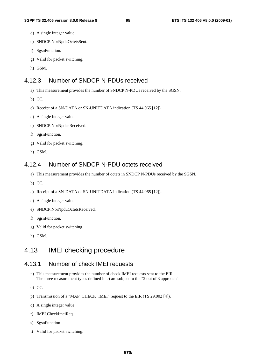- d) A single integer value
- e) SNDCP.NbrNpduOctetsSent.
- f) SgsnFunction.
- g) Valid for packet switching.
- h) GSM.

## 4.12.3 Number of SNDCP N-PDUs received

- a) This measurement provides the number of SNDCP N-PDUs received by the SGSN.
- b) CC.
- c) Receipt of a SN-DATA or SN-UNITDATA indication (TS 44.065 [12]).
- d) A single integer value
- e) SNDCP.NbrNpdusReceived.
- f) SgsnFunction.
- g) Valid for packet switching.
- h) GSM.

## 4.12.4 Number of SNDCP N-PDU octets received

- a) This measurement provides the number of octets in SNDCP N-PDUs received by the SGSN.
- b) CC.
- c) Receipt of a SN-DATA or SN-UNITDATA indication (TS 44.065 [12]).
- d) A single integer value
- e) SNDCP.NbrNpduOctetsReceived.
- f) SgsnFunction.
- g) Valid for packet switching.
- h) GSM.

# 4.13 IMEI checking procedure

## 4.13.1 Number of check IMEI requests

- n) This measurement provides the number of check IMEI requests sent to the EIR. The three measurement types defined in e) are subject to the "2 out of 3 approach".
- o) CC.
- p) Transmission of a "MAP\_CHECK\_IMEI" request to the EIR (TS 29.002 [4]).
- q) A single integer value.
- r) IMEI.CheckImeiReq.
- s) SgsnFunction.
- t) Valid for packet switching.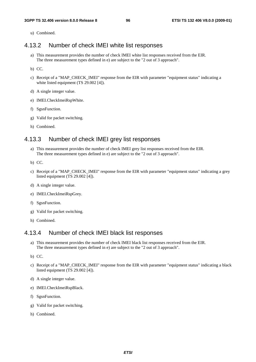u) Combined.

## 4.13.2 Number of check IMEI white list responses

- a) This measurement provides the number of check IMEI white list responses received from the EIR. The three measurement types defined in e) are subject to the "2 out of 3 approach".
- b) CC.
- c) Receipt of a "MAP\_CHECK\_IMEI" response from the EIR with parameter "equipment status" indicating a white listed equipment (TS 29.002 [4]).
- d) A single integer value.
- e) IMEI.CheckImeiRspWhite.
- f) SgsnFunction.
- g) Valid for packet switching.
- h) Combined.

## 4.13.3 Number of check IMEI grey list responses

- a) This measurement provides the number of check IMEI grey list responses received from the EIR. The three measurement types defined in e) are subject to the "2 out of 3 approach".
- b) CC.
- c) Receipt of a "MAP\_CHECK\_IMEI" response from the EIR with parameter "equipment status" indicating a grey listed equipment (TS 29.002 [4]).
- d) A single integer value.
- e) IMEI.CheckImeiRspGrey.
- f) SgsnFunction.
- g) Valid for packet switching.
- h) Combined.

## 4.13.4 Number of check IMEI black list responses

- a) This measurement provides the number of check IMEI black list responses received from the EIR. The three measurement types defined in e) are subject to the "2 out of 3 approach".
- b) CC.
- c) Receipt of a "MAP\_CHECK\_IMEI" response from the EIR with parameter "equipment status" indicating a black listed equipment (TS 29.002 [4]).
- d) A single integer value.
- e) IMEI.CheckImeiRspBlack.
- f) SgsnFunction.
- g) Valid for packet switching.
- h) Combined.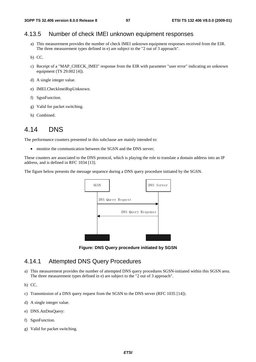## 4.13.5 Number of check IMEI unknown equipment responses

- a) This measurement provides the number of check IMEI unknown equipment responses received from the EIR. The three measurement types defined in e) are subject to the "2 out of 3 approach".
- b) CC.
- c) Receipt of a "MAP\_CHECK\_IMEI" response from the EIR with parameter "user error" indicating an unknown equipment (TS 29.002 [4]).
- d) A single integer value.
- e) IMEI.CheckImeiRspUnknown.
- f) SgsnFunction.
- g) Valid for packet switching.
- h) Combined.

# 4.14 DNS

The performance counters presented in this subclause are mainly intended to:

• monitor the communication between the SGSN and the DNS server:

These counters are associated to the DNS protocol, which is playing the role to translate a domain address into an IP address, and is defined in RFC 1034 [13].

The figure below presents the message sequence during a DNS query procedure initiated by the SGSN.



**Figure: DNS Query procedure initiated by SGSN** 

## 4.14.1 Attempted DNS Query Procedures

a) This measurement provides the number of attempted DNS query procedures SGSN-initiated within this SGSN area. The three measurement types defined in e) are subject to the "2 out of 3 approach".

b) CC.

- c) Transmission of a DNS query request from the SGSN to the DNS server (RFC 1035 [14]).
- d) A single integer value.
- e) DNS.AttDnsQuery:
- f) SgsnFunction.
- g) Valid for packet switching.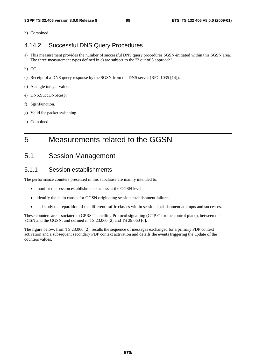h) Combined.

## 4.14.2 Successful DNS Query Procedures

- a) This measurement provides the number of successful DNS query procedures SGSN-initiated within this SGSN area. The three measurement types defined in e) are subject to the "2 out of 3 approach".
- b) CC.
- c) Receipt of a DNS query response by the SGSN from the DNS server (RFC 1035 [14]).
- d) A single integer value.
- e) DNS.SuccDNSResp:
- f) SgsnFunction.
- g) Valid for packet switching.
- h) Combined.

# 5 Measurements related to the GGSN

# 5.1 Session Management

## 5.1.1 Session establishments

The performance counters presented in this subclause are mainly intended to:

- monitor the session establishment success at the GGSN level;
- identify the main causes for GGSN originating session establishment failures;
- and study the repartition of the different traffic classes within session establishment attempts and successes.

These counters are associated to GPRS Tunnelling Protocol signalling (GTP-C for the control plane), between the SGSN and the GGSN, and defined in TS 23.060 [2] and TS 29.060 [6].

The figure below, from TS 23.060 [2], recalls the sequence of messages exchanged for a primary PDP context activation and a subsequent secondary PDP context activation and details the events triggering the update of the counters values.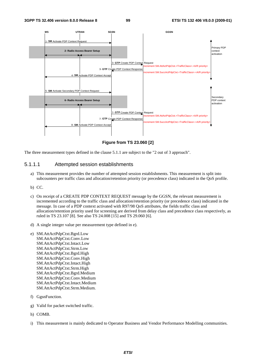

**Figure from TS 23.060 [2]** 

The three measurement types defined in the clause 5.1.1 are subject to the "2 out of 3 approach".

#### 5.1.1.1 Attempted session establishments

- a) This measurement provides the number of attempted session establishments. This measurement is split into subcounters per traffic class and allocation/retention priority (or precedence class) indicated in the QoS profile.
- b) CC.
- c) On receipt of a CREATE PDP CONTEXT REQUEST message by the GGSN, the relevant measurement is incremented according to the traffic class and allocation/retention priority (or precedence class) indicated in the message. In case of a PDP context activated with R97/98 QoS attributes, the fields traffic class and allocation/retention priority used for screening are derived from delay class and precedence class respectively, as ruled in TS 23.107 [8]. See also TS 24.008 [15] and TS 29.060 [6].
- d) A single integer value per measurement type defined in e).
- e) SM.AttActPdpCtxt.Bgrd.Low SM.AttActPdpCtxt.Conv.Low SM.AttActPdpCtxt.Intact.Low SM.AttActPdpCtxt.Strm.Low SM.AttActPdpCtxt.Bgrd.High SM.AttActPdpCtxt.Conv.High SM.AttActPdpCtxt.Intact.High SM.AttActPdpCtxt.Strm.High SM.AttActPdpCtxt.Bgrd.Medium SM.AttActPdpCtxt.Conv.Medium SM.AttActPdpCtxt.Intact.Medium SM.AttActPdpCtxt.Strm.Medium.
- f) GgsnFunction.
- g) Valid for packet switched traffic.
- h) COMB.
- i) This measurement is mainly dedicated to Operator Business and Vendor Performance Modelling communities.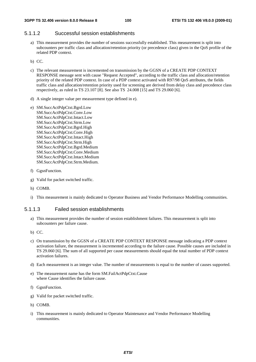#### 5.1.1.2 Successful session establishments

- a) This measurement provides the number of sessions successfully established. This measurement is split into subcounters per traffic class and allocation/retention priority (or precedence class) given in the QoS profile of the related PDP context.
- b) CC.
- c) The relevant measurement is incremented on transmission by the GGSN of a CREATE PDP CONTEXT RESPONSE message sent with cause "Request Accepted", according to the traffic class and allocation/retention priority of the related PDP context. In case of a PDP context activated with R97/98 QoS attributes, the fields traffic class and allocation/retention priority used for screening are derived from delay class and precedence class respectively, as ruled in TS 23.107 [8]. See also TS 24.008 [15] and TS 29.060 [6].
- d) A single integer value per measurement type defined in e).
- e) SM.SuccActPdpCtxt.Bgrd.Low SM.SuccActPdpCtxt.Conv.Low SM.SuccActPdpCtxt.Intact.Low SM.SuccActPdpCtxt.Strm.Low SM.SuccActPdpCtxt.Bgrd.High SM.SuccActPdpCtxt.Conv.High SM.SuccActPdpCtxt.Intact.High SM.SuccActPdpCtxt.Strm.High SM.SuccActPdpCtxt.Bgrd.Medium SM.SuccActPdpCtxt.Conv.Medium SM.SuccActPdpCtxt.Intact.Medium SM.SuccActPdpCtxt.Strm.Medium.
- f) GgsnFunction.
- g) Valid for packet switched traffic.
- h) COMB.
- i) This measurement is mainly dedicated to Operator Business and Vendor Performance Modelling communities.

#### 5.1.1.3 Failed session establishments

- a) This measurement provides the number of session establishment failures. This measurement is split into subcounters per failure cause.
- b) CC.
- c) On transmission by the GGSN of a CREATE PDP CONTEXT RESPONSE message indicating a PDP context activation failure, the measurement is incremented according to the failure cause. Possible causes are included in TS 29.060 [6]. The sum of all supported per cause measurements should equal the total number of PDP context activation failures.
- d) Each measurement is an integer value. The number of measurements is equal to the number of causes supported.
- e) The measurement name has the form SM.FailActPdpCtxt.Cause where Cause identifies the failure cause.
- f) GgsnFunction.
- g) Valid for packet switched traffic.
- h) COMB.
- i) This measurement is mainly dedicated to Operator Maintenance and Vendor Performance Modelling communities.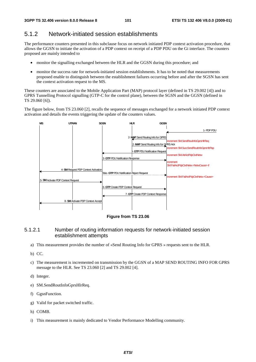## 5.1.2 Network-initiated session establishments

The performance counters presented in this subclause focus on network initiated PDP context activation procedure, that allows the GGSN to initiate the activation of a PDP context on receipt of a PDP PDU on the Gi interface. The counters proposed are mainly intended to

- monitor the signalling exchanged between the HLR and the GGSN during this procedure; and
- monitor the success rate for network-initiated session establishments. It has to be noted that measurements proposed enable to distinguish between the establishment failures occurring before and after the SGSN has sent the context activation request to the MS.

These counters are associated to the Mobile Application Part (MAP) protocol layer (defined in TS 29.002 [4]) and to GPRS Tunnelling Protocol signalling (GTP-C for the control plane), between the SGSN and the GGSN (defined in TS 29.060 [6]).

The figure below, from TS 23.060 [2], recalls the sequence of messages exchanged for a network initiated PDP context activation and details the events triggering the update of the counters values.



**Figure from TS 23.06** 

### 5.1.2.1 Number of routing information requests for network-initiated session establishment attempts

- a) This measurement provides the number of «Send Routing Info for GPRS » requests sent to the HLR.
- b) CC.
- c) The measurement is incremented on transmission by the GGSN of a MAP SEND ROUTING INFO FOR GPRS message to the HLR. See TS 23.060 [2] and TS 29.002 [4].
- d) Integer.
- e) SM.SendRoutInfoGprsHlrReq.
- f) GgsnFunction.
- g) Valid for packet switched traffic.
- h) COMB.
- i) This measurement is mainly dedicated to Vendor Performance Modelling community.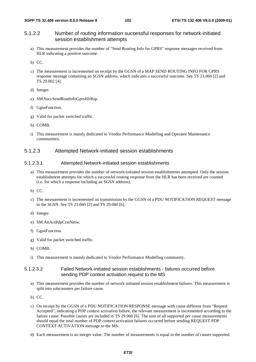### 5.1.2.2 Number of routing information successful responses for network-initiated session establishment attempts

- a) This measurement provides the number of "Send Routing Info for GPRS" response messages received from HLR indicating a positive outcome.
- b) CC.
- c) The measurement is incremented on receipt by the GGSN of a MAP SEND ROUTING INFO FOR GPRS response message containing an SGSN address, which indicates a successful outcome. See TS 23.060 [2] and TS 29.002 [4].
- d) Integer.
- e) SM.SuccSendRoutInfoGprsHlrRsp.
- f) GgsnFunction.
- g) Valid for packet switched traffic.
- h) COMB.
- i) This measurement is mainly dedicated to Vendor Performance Modelling and Operator Maintenance communities.

#### 5.1.2.3 Attempted Network-initiated session establishments

#### 5.1.2.3.1 Attempted Network-initiated session establishments

- a) This measurement provides the number of network-initiated session establishments attempted. Only the session establishment attempts for which a successful routing response from the HLR has been received are counted (i.e. for which a response including an SGSN address).
- b) CC.
- c) The measurement is incremented on transmission by the GGSN of a PDU NOTIFICATION REQUEST message to the SGSN. See TS 23.060 [2] and TS 29.060 [6].
- d) Integer.
- e) SM.AttActPdpCtxtNetw.
- f) GgsnFunction.
- g) Valid for packet switched traffic.
- h) COMB.
- i) This measurement is mainly dedicated to Vendor Performance Modelling community.

#### 5.1.2.3.2 Failed Network-initiated session establishments - failures occurred before sending PDP context activation request to the MS

- a) This measurement provides the number of network initiated session establishment failures. This measurement is split into subcounters per failure cause.
- b) CC.
- c) On receipt by the GGSN of a PDU NOTIFICATION RESPONSE message with cause different from "Request Accepted", indicating a PDP context activation failure, the relevant measurement is incremented according to the failure cause. Possible causes are included in TS 29.060 [6]. The sum of all supported per cause measurements should equal the total number of PDP context activation failures occurred before sending REQUEST PDP CONTEXT ACTIVATION message to the MS.
- d) Each measurement is an integer value. The number of measurements is equal to the number of causes supported.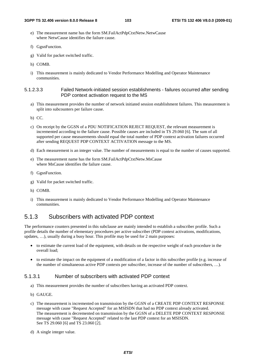- e) The measurement name has the form SM.FailActPdpCtxtNetw.NetwCause where NetwCause identifies the failure cause.
- f) GgsnFunction.
- g) Valid for packet switched traffic.
- h) COMB.
- i) This measurement is mainly dedicated to Vendor Performance Modelling and Operator Maintenance communities.

#### 5.1.2.3.3 Failed Network-initiated session establishments - failures occurred after sending PDP context activation request to the MS

- a) This measurement provides the number of network initiated session establishment failures. This measurement is split into subcounters per failure cause.
- b) CC.
- c) On receipt by the GGSN of a PDU NOTIFICATION REJECT REQUEST, the relevant measurement is incremented according to the failure cause. Possible causes are included in TS 29.060 [6]. The sum of all supported per cause measurements should equal the total number of PDP context activation failures occurred after sending REQUEST PDP CONTEXT ACTIVATION message to the MS.
- d) Each measurement is an integer value. The number of measurements is equal to the number of causes supported.
- e) The measurement name has the form SM.FailActPdpCtxtNetw.MsCause where MsCause identifies the failure cause.
- f) GgsnFunction.
- g) Valid for packet switched traffic.
- h) COMB.
- i) This measurement is mainly dedicated to Vendor Performance Modelling and Operator Maintenance communities.

## 5.1.3 Subscribers with activated PDP context

The performance counters presented in this subclause are mainly intended to establish a subscriber profile. Such a profile details the number of elementary procedures per active subscriber (PDP context activations, modifications, updates, …), usually during a busy hour. This profile may be used for 2 main purposes:

- to estimate the current load of the equipment, with details on the respective weight of each procedure in the overall load;
- to estimate the impact on the equipment of a modification of a factor in this subscriber profile (e.g. increase of the number of simultaneous active PDP contexts per subscriber, increase of the number of subscribers, …).

#### 5.1.3.1 Number of subscribers with activated PDP context

- a) This measurement provides the number of subscribers having an activated PDP context.
- b) GAUGE.
- c) The measurement is incremented on transmission by the GGSN of a CREATE PDP CONTEXT RESPONSE message with cause "Request Accepted" for an MSISDN that had no PDP context already activated. The measurement is decremented on transmission by the GGSN of a DELETE PDP CONTEXT RESPONSE message with cause "Request Accepted" related to the last PDP context for an MSISDN. See TS 29.060 [6] and TS 23.060 [2].
- d) A single integer value.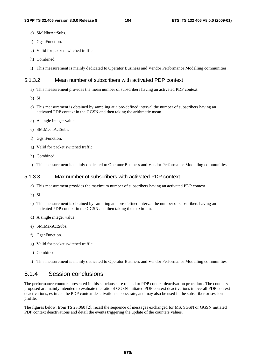- e) SM.NbrActSubs.
- f) GgsnFunction.
- g) Valid for packet switched traffic.
- h) Combined.
- i) This measurement is mainly dedicated to Operator Business and Vendor Performance Modelling communities.

### 5.1.3.2 Mean number of subscribers with activated PDP context

- a) This measurement provides the mean number of subscribers having an activated PDP context.
- b) SI.
- c) This measurement is obtained by sampling at a pre-defined interval the number of subscribers having an activated PDP context in the GGSN and then taking the arithmetic mean.
- d) A single integer value.
- e) SM.MeanActSubs.
- f) GgsnFunction.
- g) Valid for packet switched traffic.
- h) Combined.
- i) This measurement is mainly dedicated to Operator Business and Vendor Performance Modelling communities.

### 5.1.3.3 Max number of subscribers with activated PDP context

- a) This measurement provides the maximum number of subscribers having an activated PDP context.
- b) SI.
- c) This measurement is obtained by sampling at a pre-defined interval the number of subscribers having an activated PDP context in the GGSN and then taking the maximum.
- d) A single integer value.
- e) SM.MaxActSubs.
- f) GgsnFunction.
- g) Valid for packet switched traffic.
- h) Combined.
- i) This measurement is mainly dedicated to Operator Business and Vendor Performance Modelling communities.

## 5.1.4 Session conclusions

The performance counters presented in this subclause are related to PDP context deactivation procedure. The counters proposed are mainly intended to evaluate the ratio of GGSN-initiated PDP context deactivations in overall PDP context deactivations, estimate the PDP context deactivation success rate, and may also be used in the subscriber or session profile.

The figures below, from TS 23.060 [2], recall the sequence of messages exchanged for MS, SGSN or GGSN initiated PDP context deactivations and detail the events triggering the update of the counters values.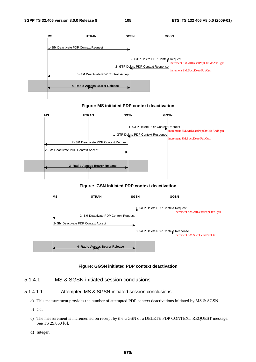

#### **Figure: MS initiated PDP context deactivation**



#### **Figure: GSN initiated PDP context deactivation**



#### **Figure: GGSN initiated PDP context deactivation**

#### 5.1.4.1 MS & SGSN-initiated session conclusions

#### 5.1.4.1.1 Attempted MS & SGSN-initiated session conclusions

- a) This measurement provides the number of attempted PDP context deactivations initiated by MS & SGSN.
- b) CC.
- c) The measurement is incremented on receipt by the GGSN of a DELETE PDP CONTEXT REQUEST message. See TS 29.060 [6].
- d) Integer.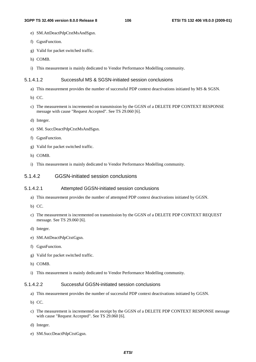- e) SM.AttDeactPdpCtxtMsAndSgsn.
- f) GgsnFunction.
- g) Valid for packet switched traffic.
- h) COMB.
- i) This measurement is mainly dedicated to Vendor Performance Modelling community.

#### 5.1.4.1.2 Successful MS & SGSN-initiated session conclusions

- a) This measurement provides the number of successful PDP context deactivations initiated by MS & SGSN.
- b) CC.
- c) The measurement is incremented on transmission by the GGSN of a DELETE PDP CONTEXT RESPONSE message with cause "Request Accepted". See TS 29.060 [6].
- d) Integer.
- e) SM. SuccDeactPdpCtxtMsAndSgsn.
- f) GgsnFunction.
- g) Valid for packet switched traffic.
- h) COMB.
- i) This measurement is mainly dedicated to Vendor Performance Modelling community.

#### 5.1.4.2 GGSN-initiated session conclusions

#### 5.1.4.2.1 Attempted GGSN-initiated session conclusions

- a) This measurement provides the number of attempted PDP context deactivations initiated by GGSN.
- b) CC.
- c) The measurement is incremented on transmission by the GGSN of a DELETE PDP CONTEXT REQUEST message. See TS 29.060 [6].
- d) Integer.
- e) SM.AttDeactPdpCtxtGgsn.
- f) GgsnFunction.
- g) Valid for packet switched traffic.
- h) COMB.
- i) This measurement is mainly dedicated to Vendor Performance Modelling community.

#### 5.1.4.2.2 Successful GGSN-initiated session conclusions

- a) This measurement provides the number of successful PDP context deactivations initiated by GGSN.
- b) CC.
- c) The measurement is incremented on receipt by the GGSN of a DELETE PDP CONTEXT RESPONSE message with cause "Request Accepted". See TS 29.060 [6].
- d) Integer.
- e) SM.SuccDeactPdpCtxtGgsn.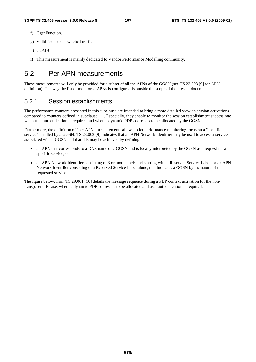- f) GgsnFunction.
- g) Valid for packet switched traffic.
- h) COMB.
- i) This measurement is mainly dedicated to Vendor Performance Modelling community.

# 5.2 Per APN measurements

These measurements will only be provided for a subset of all the APNs of the GGSN (see TS 23.003 [9] for APN definition). The way the list of monitored APNs is configured is outside the scope of the present document.

## 5.2.1 Session establishments

The performance counters presented in this subclause are intended to bring a more detailed view on session activations compared to counters defined in subclause 1.1. Especially, they enable to monitor the session establishment success rate when user authentication is required and when a dynamic PDP address is to be allocated by the GGSN.

Furthermore, the definition of "per APN" measurements allows to let performance monitoring focus on a "specific service" handled by a GGSN: TS 23.003 [9] indicates that an APN Network Identifier may be used to access a service associated with a GGSN and that this may be achieved by defining:

- an APN that corresponds to a DNS name of a GGSN and is locally interpreted by the GGSN as a request for a specific service; or
- an APN Network Identifier consisting of 3 or more labels and starting with a Reserved Service Label, or an APN Network Identifier consisting of a Reserved Service Label alone, that indicates a GGSN by the nature of the requested service.

The figure below, from TS 29.061 [10] details the message sequence during a PDP context activation for the nontransparent IP case, where a dynamic PDP address is to be allocated and user authentication is required.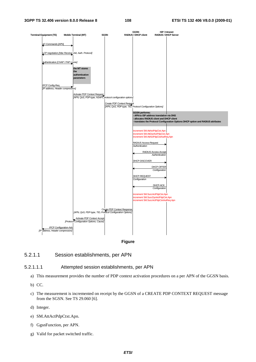



#### 5.2.1.1 Session establishments, per APN

#### 5.2.1.1.1 Attempted session establishments, per APN

- a) This measurement provides the number of PDP context activation procedures on a per APN of the GGSN basis.
- b) CC.
- c) The measurement is incremented on receipt by the GGSN of a CREATE PDP CONTEXT REQUEST message from the SGSN. See TS 29.060 [6].
- d) Integer.
- e) SM.AttActPdpCtxt.Apn.
- f) GgsnFunction, per APN.
- g) Valid for packet switched traffic.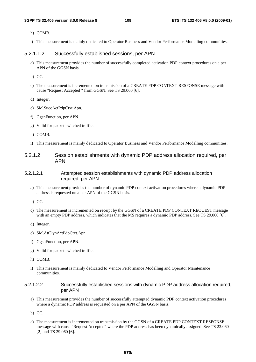- h) COMB.
- i) This measurement is mainly dedicated to Operator Business and Vendor Performance Modelling communities.

#### 5.2.1.1.2 Successfully established sessions, per APN

- a) This measurement provides the number of successfully completed activation PDP context procedures on a per APN of the GGSN basis.
- b) CC.
- c) The measurement is incremented on transmission of a CREATE PDP CONTEXT RESPONSE message with cause "Request Accepted " from GGSN. See TS 29.060 [6].
- d) Integer.
- e) SM.SuccActPdpCtxt.Apn.
- f) GgsnFunction, per APN.
- g) Valid for packet switched traffic.
- h) COMB.
- i) This measurement is mainly dedicated to Operator Business and Vendor Performance Modelling communities.
- 5.2.1.2 Session establishments with dynamic PDP address allocation required, per APN
- 5.2.1.2.1 Attempted session establishments with dynamic PDP address allocation required, per APN
	- a) This measurement provides the number of dynamic PDP context activation procedures where a dynamic PDP address is requested on a per APN of the GGSN basis.
	- b) CC.
	- c) The measurement is incremented on receipt by the GGSN of a CREATE PDP CONTEXT REQUEST message with an empty PDP address, which indicates that the MS requires a dynamic PDP address. See TS 29.060 [6].
	- d) Integer.
	- e) SM.AttDynActPdpCtxt.Apn.
	- f) GgsnFunction, per APN.
	- g) Valid for packet switched traffic.
	- h) COMB.
	- i) This measurement is mainly dedicated to Vendor Performance Modelling and Operator Maintenance communities.

#### 5.2.1.2.2 Successfully established sessions with dynamic PDP address allocation required, per APN

- a) This measurement provides the number of successfully attempted dynamic PDP context activation procedures where a dynamic PDP address is requested on a per APN of the GGSN basis.
- b) CC.
- c) The measurement is incremented on transmission by the GGSN of a CREATE PDP CONTEXT RESPONSE message with cause "Request Accepted" where the PDP address has been dynamically assigned. See TS 23.060 [2] and TS 29.060 [6].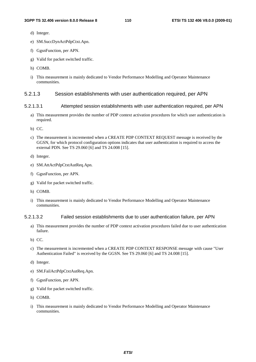- d) Integer.
- e) SM.SuccDynActPdpCtxt.Apn.
- f) GgsnFunction, per APN.
- g) Valid for packet switched traffic.
- h) COMB.
- i) This measurement is mainly dedicated to Vendor Performance Modelling and Operator Maintenance communities.

#### 5.2.1.3 Session establishments with user authentication required, per APN

#### 5.2.1.3.1 Attempted session establishments with user authentication required, per APN

- a) This measurement provides the number of PDP context activation procedures for which user authentication is required.
- b) CC.
- c) The measurement is incremented when a CREATE PDP CONTEXT REQUEST message is received by the GGSN, for which protocol configuration options indicates that user authentication is required to access the external PDN. See TS 29.060 [6] and TS 24.008 [15].
- d) Integer.
- e) SM.AttActPdpCtxtAutReq.Apn.
- f) GgsnFunction, per APN.
- g) Valid for packet switched traffic.
- h) COMB.
- i) This measurement is mainly dedicated to Vendor Performance Modelling and Operator Maintenance communities.

#### 5.2.1.3.2 Failed session establishments due to user authentication failure, per APN

- a) This measurement provides the number of PDP context activation procedures failed due to user authentication failure.
- b) CC.
- c) The measurement is incremented when a CREATE PDP CONTEXT RESPONSE message with cause "User Authentication Failed" is received by the GGSN. See TS 29.060 [6] and TS 24.008 [15].
- d) Integer.
- e) SM.FailActPdpCtxtAutReq.Apn.
- f) GgsnFunction, per APN.
- g) Valid for packet switched traffic.
- h) COMB.
- i) This measurement is mainly dedicated to Vendor Performance Modelling and Operator Maintenance communities.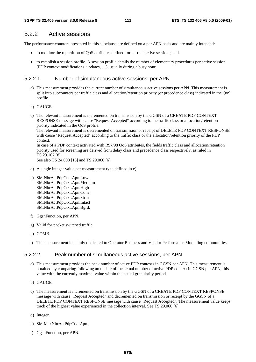# 5.2.2 Active sessions

The performance counters presented in this subclause are defined on a per APN basis and are mainly intended:

- to monitor the repartition of QoS attributes defined for current active sessions; and
- to establish a session profile. A session profile details the number of elementary procedures per active session (PDP context modifications, updates, …), usually during a busy hour.

## 5.2.2.1 Number of simultaneous active sessions, per APN

- a) This measurement provides the current number of simultaneous active sessions per APN. This measurement is split into subcounters per traffic class and allocation/retention priority (or precedence class) indicated in the QoS profile.
- b) GAUGE.
- c) The relevant measurement is incremented on transmission by the GGSN of a CREATE PDP CONTEXT RESPONSE message with cause "Request Accepted" according to the traffic class or allocation/retention priority indicated in the QoS profile.

The relevant measurement is decremented on transmission or receipt of DELETE PDP CONTEXT RESPONSE with cause "Request Accepted" according to the traffic class or the allocation/retention priority of the PDP context.

In case of a PDP context activated with R97/98 QoS attributes, the fields traffic class and allocation/retention priority used for screening are derived from delay class and precedence class respectively, as ruled in TS 23.107 [8].

See also TS 24.008 [15] and TS 29.060 [6].

- d) A single integer value per measurement type defined in e).
- e) SM.NbrActPdpCtxt.Apn.Low SM.NbrActPdpCtxt.Apn.Medium SM.NbrActPdpCtxt.Apn.High SM.NbrActPdpCtxt.Apn.Conv SM.NbrActPdpCtxt.Apn.Strm SM.NbrActPdpCtxt.Apn.Intact SM.NbrActPdpCtxt.Apn.Bgrd.
- f) GgsnFunction, per APN.
- g) Valid for packet switched traffic.
- h) COMB.
- i) This measurement is mainly dedicated to Operator Business and Vendor Performance Modelling communities.

#### 5.2.2.2 Peak number of simultaneous active sessions, per APN

- a) This measurement provides the peak number of active PDP contexts in GGSN per APN. This measurement is obtained by comparing following an update of the actual number of active PDP context in GGSN per APN, this value with the currently maximal value within the actual granularity period.
- b) GAUGE.
- c) The measurement is incremented on transmission by the GGSN of a CREATE PDP CONTEXT RESPONSE message with cause "Request Accepted" and decremented on transmission or receipt by the GGSN of a DELETE PDP CONTEXT RESPONSE message with cause "Request Accepted". The measurement value keeps track of the highest value experienced in the collection interval. See TS 29.060 [6].
- d) Integer.
- e) SM.MaxNbrActPdpCtxt.Apn.
- f) GgsnFunction, per APN.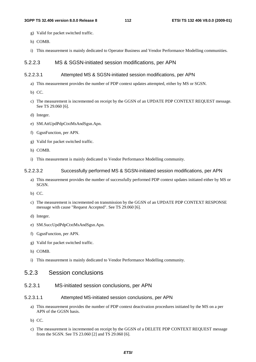- g) Valid for packet switched traffic.
- h) COMB.
- i) This measurement is mainly dedicated to Operator Business and Vendor Performance Modelling communities.

#### 5.2.2.3 MS & SGSN-initiated session modifications, per APN

#### 5.2.2.3.1 Attempted MS & SGSN-initiated session modifications, per APN

- a) This measurement provides the number of PDP context updates attempted, either by MS or SGSN.
- b) CC.
- c) The measurement is incremented on receipt by the GGSN of an UPDATE PDP CONTEXT REQUEST message. See TS 29.060 [6].
- d) Integer.
- e) SM.AttUpdPdpCtxtMsAndSgsn.Apn.
- f) GgsnFunction, per APN.
- g) Valid for packet switched traffic.
- h) COMB.
- i) This measurement is mainly dedicated to Vendor Performance Modelling community.

#### 5.2.2.3.2 Successfully performed MS & SGSN-initiated session modifications, per APN

- a) This measurement provides the number of successfully performed PDP context updates initiated either by MS or SGSN.
- b) CC.
- c) The measurement is incremented on transmission by the GGSN of an UPDATE PDP CONTEXT RESPONSE message with cause "Request Accepted". See TS 29.060 [6].
- d) Integer.
- e) SM.SuccUpdPdpCtxtMsAndSgsn.Apn.
- f) GgsnFunction, per APN.
- g) Valid for packet switched traffic.
- h) COMB.
- i) This measurement is mainly dedicated to Vendor Performance Modelling community.

## 5.2.3 Session conclusions

5.2.3.1 MS-initiated session conclusions, per APN

#### 5.2.3.1.1 Attempted MS-initiated session conclusions, per APN

- a) This measurement provides the number of PDP context deactivation procedures initiated by the MS on a per APN of the GGSN basis.
- b) CC.
- c) The measurement is incremented on receipt by the GGSN of a DELETE PDP CONTEXT REQUEST message from the SGSN. See TS 23.060 [2] and TS 29.060 [6].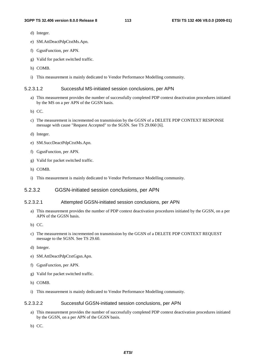- d) Integer.
- e) SM.AttDeactPdpCtxtMs.Apn.
- f) GgsnFunction, per APN.
- g) Valid for packet switched traffic.
- h) COMB.
- i) This measurement is mainly dedicated to Vendor Performance Modelling community.

#### 5.2.3.1.2 Successful MS-initiated session conclusions, per APN

- a) This measurement provides the number of successfully completed PDP context deactivation procedures initiated by the MS on a per APN of the GGSN basis.
- b) CC.
- c) The measurement is incremented on transmission by the GGSN of a DELETE PDP CONTEXT RESPONSE message with cause "Request Accepted" to the SGSN. See TS 29.060 [6].
- d) Integer.
- e) SM.SuccDeactPdpCtxtMs.Apn.
- f) GgsnFunction, per APN.
- g) Valid for packet switched traffic.
- h) COMB.
- i) This measurement is mainly dedicated to Vendor Performance Modelling community.

#### 5.2.3.2 GGSN-initiated session conclusions, per APN

#### 5.2.3.2.1 Attempted GGSN-initiated session conclusions, per APN

- a) This measurement provides the number of PDP context deactivation procedures initiated by the GGSN, on a per APN of the GGSN basis.
- b) CC.
- c) The measurement is incremented on transmission by the GGSN of a DELETE PDP CONTEXT REQUEST message to the SGSN. See TS 29.60.
- d) Integer.
- e) SM.AttDeactPdpCtxtGgsn.Apn.
- f) GgsnFunction, per APN.
- g) Valid for packet switched traffic.
- h) COMB.
- i) This measurement is mainly dedicated to Vendor Performance Modelling community.

#### 5.2.3.2.2 Successful GGSN-initiated session conclusions, per APN

- a) This measurement provides the number of successfully completed PDP context deactivation procedures initiated by the GGSN, on a per APN of the GGSN basis.
- b) CC.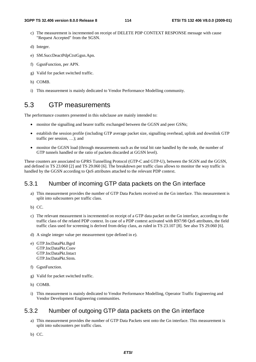- c) The measurement is incremented on receipt of DELETE PDP CONTEXT RESPONSE message with cause "Request Accepted" from the SGSN.
- d) Integer.
- e) SM.SuccDeactPdpCtxtGgsn.Apn.
- f) GgsnFunction, per APN.
- g) Valid for packet switched traffic.
- h) COMB.
- i) This measurement is mainly dedicated to Vendor Performance Modelling community.

# 5.3 GTP measurements

The performance counters presented in this subclause are mainly intended to:

- monitor the signalling and bearer traffic exchanged between the GGSN and peer GSNs;
- establish the session profile (including GTP average packet size, signalling overhead, uplink and downlink GTP traffic per session, …); and
- monitor the GGSN load (through measurements such as the total bit rate handled by the node, the number of GTP tunnels handled or the ratio of packets discarded at GGSN level).

These counters are associated to GPRS Tunnelling Protocol (GTP-C and GTP-U), between the SGSN and the GGSN, and defined in TS 23.060 [2] and TS 29.060 [6]. The breakdown per traffic class allows to monitor the way traffic is handled by the GGSN according to QoS attributes attached to the relevant PDP context.

#### 5.3.1 Number of incoming GTP data packets on the Gn interface

- a) This measurement provides the number of GTP Data Packets received on the Gn interface. This measurement is split into subcounters per traffic class.
- b) CC.
- c) The relevant measurement is incremented on receipt of a GTP data packet on the Gn interface, according to the traffic class of the related PDP context. In case of a PDP context activated with R97/98 QoS attributes, the field traffic class used for screening is derived from delay class, as ruled in TS 23.107 [8]. See also TS 29.060 [6].
- d) A single integer value per measurement type defined in e).
- e) GTP.IncDataPkt.Bgrd GTP.IncDataPkt.Conv GTP.IncDataPkt.Intact GTP.IncDataPkt.Strm.
- f) GgsnFunction.
- g) Valid for packet switched traffic.
- h) COMB.
- i) This measurement is mainly dedicated to Vendor Performance Modelling, Operator Traffic Engineering and Vendor Development Engineering communities.

#### 5.3.2 Number of outgoing GTP data packets on the Gn interface

- a) This measurement provides the number of GTP Data Packets sent onto the Gn interface. This measurement is split into subcounters per traffic class.
- b) CC.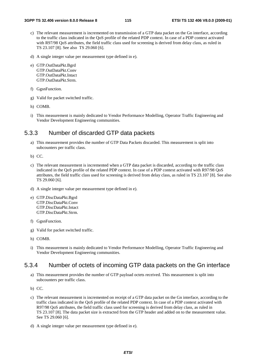- c) The relevant measurement is incremented on transmission of a GTP data packet on the Gn interface, according to the traffic class indicated in the QoS profile of the related PDP context. In case of a PDP context activated with R97/98 QoS attributes, the field traffic class used for screening is derived from delay class, as ruled in TS 23.107 [8]. See also TS 29.060 [6].
- d) A single integer value per measurement type defined in e).
- e) GTP.OutDataPkt.Bgrd GTP.OutDataPkt.Conv GTP.OutDataPkt.Intact GTP.OutDataPkt.Strm.
- f) GgsnFunction.
- g) Valid for packet switched traffic.
- h) COMB.
- i) This measurement is mainly dedicated to Vendor Performance Modelling, Operator Traffic Engineering and Vendor Development Engineering communities.

#### 5.3.3 Number of discarded GTP data packets

- a) This measurement provides the number of GTP Data Packets discarded. This measurement is split into subcounters per traffic class.
- b) CC.
- c) The relevant measurement is incremented when a GTP data packet is discarded, according to the traffic class indicated in the QoS profile of the related PDP context. In case of a PDP context activated with R97/98 QoS attributes, the field traffic class used for screening is derived from delay class, as ruled in TS 23.107 [8]. See also TS 29.060 [6].
- d) A single integer value per measurement type defined in e).
- e) GTP.DiscDataPkt.Bgrd GTP.DiscDataPkt.Conv GTP.DiscDataPkt.Intact GTP.DiscDataPkt.Strm.
- f) GgsnFunction.
- g) Valid for packet switched traffic.
- h) COMB.
- i) This measurement is mainly dedicated to Vendor Performance Modelling, Operator Traffic Engineering and Vendor Development Engineering communities.

# 5.3.4 Number of octets of incoming GTP data packets on the Gn interface

- a) This measurement provides the number of GTP payload octets received. This measurement is split into subcounters per traffic class.
- b) CC.
- c) The relevant measurement is incremented on receipt of a GTP data packet on the Gn interface, according to the traffic class indicated in the QoS profile of the related PDP context. In case of a PDP context activated with R97/98 QoS attributes, the field traffic class used for screening is derived from delay class, as ruled in TS 23.107 [8]. The data packet size is extracted from the GTP header and added on to the measurement value. See TS 29.060 [6].
- d) A single integer value per measurement type defined in e).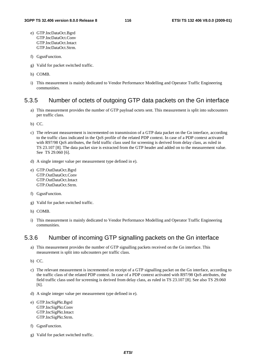- e) GTP.IncDataOct.Bgrd GTP.IncDataOct.Conv GTP.IncDataOct.Intact GTP.IncDataOct.Strm.
- f) GgsnFunction.
- g) Valid for packet switched traffic.
- h) COMB.
- i) This measurement is mainly dedicated to Vendor Performance Modelling and Operator Traffic Engineering communities.

#### 5.3.5 Number of octets of outgoing GTP data packets on the Gn interface

- a) This measurement provides the number of GTP payload octets sent. This measurement is split into subcounters per traffic class.
- b) CC.
- c) The relevant measurement is incremented on transmission of a GTP data packet on the Gn interface, according to the traffic class indicated in the QoS profile of the related PDP context. In case of a PDP context activated with R97/98 QoS attributes, the field traffic class used for screening is derived from delay class, as ruled in TS 23.107 [8]. The data packet size is extracted from the GTP header and added on to the measurement value. See TS 29.060 [6].
- d) A single integer value per measurement type defined in e).
- e) GTP.OutDataOct.Bgrd GTP.OutDataOct.Conv GTP.OutDataOct.Intact GTP.OutDataOct.Strm.
- f) GgsnFunction.
- g) Valid for packet switched traffic.
- h) COMB.
- i) This measurement is mainly dedicated to Vendor Performance Modelling and Operator Traffic Engineering communities.

# 5.3.6 Number of incoming GTP signalling packets on the Gn interface

- a) This measurement provides the number of GTP signalling packets received on the Gn interface. This measurement is split into subcounters per traffic class.
- b) CC.
- c) The relevant measurement is incremented on receipt of a GTP signalling packet on the Gn interface, according to the traffic class of the related PDP context. In case of a PDP context activated with R97/98 QoS attributes, the field traffic class used for screening is derived from delay class, as ruled in TS 23.107 [8]. See also TS 29.060 [6].
- d) A single integer value per measurement type defined in e).
- e) GTP.IncSigPkt.Bgrd GTP.IncSigPkt.Conv GTP.IncSigPkt.Intact GTP.IncSigPkt.Strm.
- f) GgsnFunction.
- g) Valid for packet switched traffic.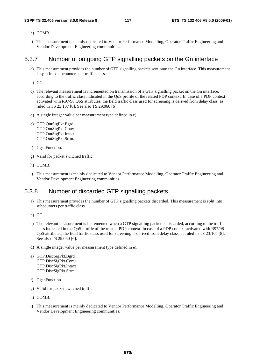- h) COMB.
- i) This measurement is mainly dedicated to Vendor Performance Modelling, Operator Traffic Engineering and Vendor Development Engineering communities.

#### 5.3.7 Number of outgoing GTP signalling packets on the Gn interface

- a) This measurement provides the number of GTP signalling packets sent onto the Gn interface. This measurement is split into subcounters per traffic class.
- b) CC.
- c) The relevant measurement is incremented on transmission of a GTP signalling packet on the Gn interface, according to the traffic class indicated in the QoS profile of the related PDP context. In case of a PDP context activated with R97/98 QoS attributes, the field traffic class used for screening is derived from delay class, as ruled in TS 23.107 [8]. See also TS 29.060 [6].
- d) A single integer value per measurement type defined in e).
- e) GTP.OutSigPkt.Bgrd GTP.OutSigPkt.Conv GTP.OutSigPkt.Intact GTP.OutSigPkt.Strm.
- f) GgsnFunction.
- g) Valid for packet switched traffic.
- h) COMB.
- i) This measurement is mainly dedicated to Vendor Performance Modelling, Operator Traffic Engineering and Vendor Development Engineering communities.

#### 5.3.8 Number of discarded GTP signalling packets

- a) This measurement provides the number of GTP signalling packets discarded. This measurement is split into subcounters per traffic class.
- b) CC.
- c) The relevant measurement is incremented when a GTP signalling packet is discarded, according to the traffic class indicated in the QoS profile of the related PDP context. In case of a PDP context activated with R97/98 QoS attributes, the field traffic class used for screening is derived from delay class, as ruled in TS 23.107 [8]. See also TS 29.060 [6].
- d) A single integer value per measurement type defined in e).
- e) GTP.DiscSigPkt.Bgrd GTP.DiscSigPkt.Conv GTP.DiscSigPkt.Intact GTP.DiscSigPkt.Strm.
- f) GgsnFunction.
- g) Valid for packet switched traffic.
- h) COMB.
- i) This measurement is mainly dedicated to Vendor Performance Modelling, Operator Traffic Engineering and Vendor Development Engineering communities.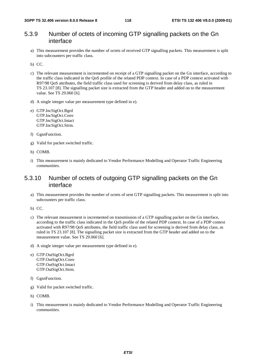## 5.3.9 Number of octets of incoming GTP signalling packets on the Gn interface

a) This measurement provides the number of octets of received GTP signalling packets. This measurement is split into subcounters per traffic class.

b) CC.

- c) The relevant measurement is incremented on receipt of a GTP signalling packet on the Gn interface, according to the traffic class indicated in the QoS profile of the related PDP context. In case of a PDP context activated with R97/98 QoS attributes, the field traffic class used for screening is derived from delay class, as ruled in TS 23.107 [8]. The signalling packet size is extracted from the GTP header and added on to the measurement value. See TS 29.060 [6].
- d) A single integer value per measurement type defined in e).
- e) GTP.IncSigOct.Bgrd GTP.IncSigOct.Conv GTP.IncSigOct.Intact GTP.IncSigOct.Strm.
- f) GgsnFunction.
- g) Valid for packet switched traffic.
- h) COMB.
- i) This measurement is mainly dedicated to Vendor Performance Modelling and Operator Traffic Engineering communities.

## 5.3.10 Number of octets of outgoing GTP signalling packets on the Gn interface

- a) This measurement provides the number of octets of sent GTP signalling packets. This measurement is split into subcounters per traffic class.
- b) CC.
- c) The relevant measurement is incremented on transmission of a GTP signalling packet on the Gn interface, according to the traffic class indicated in the QoS profile of the related PDP context. In case of a PDP context activated with R97/98 QoS attributes, the field traffic class used for screening is derived from delay class, as ruled in TS 23.107 [8]. The signalling packet size is extracted from the GTP header and added on to the measurement value. See TS 29.060 [6].
- d) A single integer value per measurement type defined in e).
- e) GTP.OutSigOct.Bgrd GTP.OutSigOct.Conv GTP.OutSigOct.Intact GTP.OutSigOct.Strm.
- f) GgsnFunction.
- g) Valid for packet switched traffic.
- h) COMB.
- i) This measurement is mainly dedicated to Vendor Performance Modelling and Operator Traffic Engineering communities.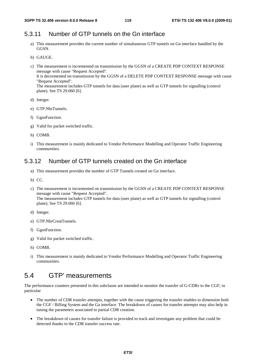# 5.3.11 Number of GTP tunnels on the Gn interface

- a) This measurement provides the current number of simultaneous GTP tunnels on Gn interface handled by the GGSN.
- b) GAUGE.
- c) The measurement is incremented on transmission by the GGSN of a CREATE PDP CONTEXT RESPONSE message with cause "Request Accepted". It is decremented on transmission by the GGSN of a DELETE PDP CONTEXT RESPONSE message with cause "Request Accepted". The measurement includes GTP tunnels for data (user plane) as well as GTP tunnels for signalling (control plane). See TS 29.060 [6].
- d) Integer.
- e) GTP.NbrTunnels.
- f) GgsnFunction.
- g) Valid for packet switched traffic.
- h) COMB.
- i) This measurement is mainly dedicated to Vendor Performance Modelling and Operator Traffic Engineering communities.

# 5.3.12 Number of GTP tunnels created on the Gn interface

- a) This measurement provides the number of GTP Tunnels created on Gn interface.
- b) CC.
- c) The measurement is incremented on transmission by the GGSN of a CREATE PDP CONTEXT RESPONSE message with cause "Request Accepted". The measurement includes GTP tunnels for data (user plane) as well as GTP tunnels for signalling (control plane). See TS 29.060 [6].
- d) Integer.
- e) GTP.NbrCreatTunnels.
- f) GgsnFunction.
- g) Valid for packet switched traffic.
- h) COMB.
- i) This measurement is mainly dedicated to Vendor Performance Modelling and Operator Traffic Engineering communities.

# 5.4 GTP' measurements

The performance counters presented in this subclause are intended to monitor the transfer of G-CDRs to the CGF; in particular

- The number of CDR transfer attempts, together with the cause triggering the transfer enables to dimension both the CGF / Billing System and the Ga interface. The breakdown of causes for transfer attempts may also help in tuning the parameters associated to partial CDR creation.
- The breakdown of causes for transfer failure is provided to track and investigate any problem that could be detected thanks to the CDR transfer success rate.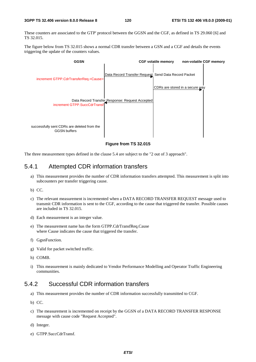These counters are associated to the GTP' protocol between the GGSN and the CGF, as defined in TS 29.060 [6] and TS 32.015.

The figure below from TS 32.015 shows a normal CDR transfer between a GSN and a CGF and details the events triggering the update of the counters values.



**Figure from TS 32.015** 

The three measurement types defined in the clause 5.4 are subject to the "2 out of 3 approach".

# 5.4.1 Attempted CDR information transfers

- a) This measurement provides the number of CDR information transfers attempted. This measurement is split into subcounters per transfer triggering cause.
- b) CC.
- c) The relevant measurement is incremented when a DATA RECORD TRANSFER REQUEST message used to transmit CDR information is sent to the CGF, according to the cause that triggered the transfer. Possible causes are included in TS 32.015.
- d) Each measurement is an integer value.
- e) The measurement name has the form GTPP.CdrTransfReq.Cause where Cause indicates the cause that triggered the transfer.
- f) GgsnFunction.
- g) Valid for packet switched traffic.
- h) COMB.
- i) This measurement is mainly dedicated to Vendor Performance Modelling and Operator Traffic Engineering communities.

# 5.4.2 Successful CDR information transfers

- a) This measurement provides the number of CDR information successfully transmitted to CGF.
- b) CC.
- c) The measurement is incremented on receipt by the GGSN of a DATA RECORD TRANSFER RESPONSE message with cause code "Request Accepted".
- d) Integer.
- e) GTPP.SuccCdrTransf.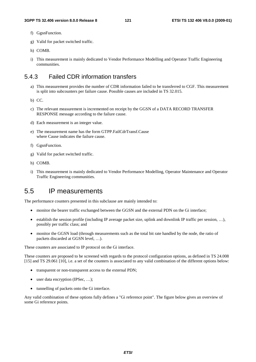- f) GgsnFunction.
- g) Valid for packet switched traffic.
- h) COMB.
- i) This measurement is mainly dedicated to Vendor Performance Modelling and Operator Traffic Engineering communities.

# 5.4.3 Failed CDR information transfers

- a) This measurement provides the number of CDR information failed to be transferred to CGF. This measurement is split into subcounters per failure cause. Possible causes are included in TS 32.015.
- b) CC.
- c) The relevant measurement is incremented on receipt by the GGSN of a DATA RECORD TRANSFER RESPONSE message according to the failure cause.
- d) Each measurement is an integer value.
- e) The measurement name has the form GTPP.FailCdrTransf.Cause where Cause indicates the failure cause.
- f) GgsnFunction.
- g) Valid for packet switched traffic.
- h) COMB.
- i) This measurement is mainly dedicated to Vendor Performance Modelling, Operator Maintenance and Operator Traffic Engineering communities.

# 5.5 IP measurements

The performance counters presented in this subclause are mainly intended to:

- monitor the bearer traffic exchanged between the GGSN and the external PDN on the Gi interface;
- establish the session profile (including IP average packet size, uplink and downlink IP traffic per session, …), possibly per traffic class; and
- monitor the GGSN load (through measurements such as the total bit rate handled by the node, the ratio of packets discarded at GGSN level, …).

These counters are associated to IP protocol on the Gi interface.

These counters are proposed to be screened with regards to the protocol configuration options, as defined in TS 24.008 [15] and TS 29.061 [10], i.e. a set of the counters is associated to any valid combination of the different options below:

- transparent or non-transparent access to the external PDN;
- user data encryption (IPSec, ...);
- tunnelling of packets onto the Gi interface.

Any valid combination of these options fully defines a "Gi reference point". The figure below gives an overview of some Gi reference points.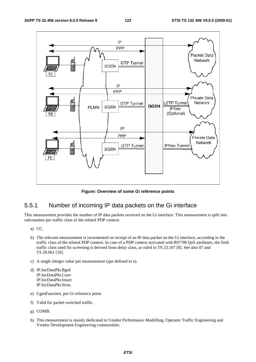

**Figure: Overview of some Gi reference points** 

# 5.5.1 Number of incoming IP data packets on the Gi interface

This measurement provides the number of IP data packets received on the Gi interface. This measurement is split into subcounters per traffic class of the related PDP context.

- a) CC.
- b) The relevant measurement is incremented on receipt of an IP data packet on the Gi interface, according to the traffic class of the related PDP context. In case of a PDP context activated with R97/98 QoS attributes, the field traffic class used for screening is derived from delay class, as ruled in TS 23.107 [8]. See also 07 and TS 29.061 [10].
- c) A single integer value per measurement type defined in e).
- d) IP.IncDataPkt.Bgrd IP.IncDataPkt.Conv IP.IncDataPkt.Intact IP.IncDataPkt.Strm.
- e) GgsnFunction, per Gi reference point.
- f) Valid for packet switched traffic.
- g) COMB.
- h) This measurement is mainly dedicated to Vendor Performance Modelling, Operator Traffic Engineering and Vendor Development Engineering communities.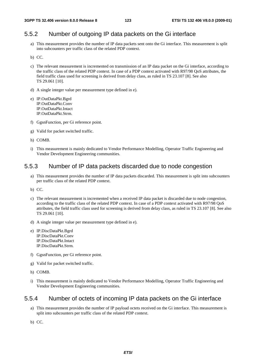# 5.5.2 Number of outgoing IP data packets on the Gi interface

- a) This measurement provides the number of IP data packets sent onto the Gi interface. This measurement is split into subcounters per traffic class of the related PDP context.
- b) CC.
- c) The relevant measurement is incremented on transmission of an IP data packet on the Gi interface, according to the traffic class of the related PDP context. In case of a PDP context activated with R97/98 QoS attributes, the field traffic class used for screening is derived from delay class, as ruled in TS 23.107 [8]. See also TS 29.061 [10].
- d) A single integer value per measurement type defined in e).
- e) IP.OutDataPkt.Bgrd IP.OutDataPkt.Conv IP.OutDataPkt.Intact IP.OutDataPkt.Strm.
- f) GgsnFunction, per Gi reference point.
- g) Valid for packet switched traffic.
- h) COMB.
- i) This measurement is mainly dedicated to Vendor Performance Modelling, Operator Traffic Engineering and Vendor Development Engineering communities.

## 5.5.3 Number of IP data packets discarded due to node congestion

- a) This measurement provides the number of IP data packets discarded. This measurement is split into subcounters per traffic class of the related PDP context.
- b) CC.
- c) The relevant measurement is incremented when a received IP data packet is discarded due to node congestion, according to the traffic class of the related PDP context. In case of a PDP context activated with R97/98 QoS attributes, the field traffic class used for screening is derived from delay class, as ruled in TS 23.107 [8]. See also TS 29.061 [10].
- d) A single integer value per measurement type defined in e).
- e) IP.DiscDataPkt.Bgrd IP.DiscDataPkt.Conv IP.DiscDataPkt.Intact IP.DiscDataPkt.Strm.
- f) GgsnFunction, per Gi reference point.
- g) Valid for packet switched traffic.
- h) COMB.
- i) This measurement is mainly dedicated to Vendor Performance Modelling, Operator Traffic Engineering and Vendor Development Engineering communities.

#### 5.5.4 Number of octets of incoming IP data packets on the Gi interface

a) This measurement provides the number of IP payload octets received on the Gi interface. This measurement is split into subcounters per traffic class of the related PDP context.

b) CC.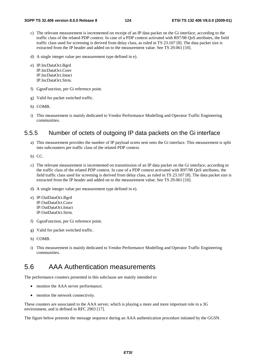- c) The relevant measurement is incremented on receipt of an IP data packet on the Gi interface, according to the traffic class of the related PDP context. In case of a PDP context activated with R97/98 QoS attributes, the field traffic class used for screening is derived from delay class, as ruled in TS 23.107 [8]. The data packet size is extracted from the IP header and added on to the measurement value. See TS 29.061 [10].
- d) A single integer value per measurement type defined in e).
- e) IP.IncDataOct.Bgrd IP.IncDataOct.Conv IP.IncDataOct.Intact IP.IncDataOct.Strm.
- f) GgsnFunction, per Gi reference point.
- g) Valid for packet switched traffic.
- h) COMB.
- i) This measurement is mainly dedicated to Vendor Performance Modelling and Operator Traffic Engineering communities.

## 5.5.5 Number of octets of outgoing IP data packets on the Gi interface

- a) This measurement provides the number of IP payload octets sent onto the Gi interface. This measurement is split into subcounters per traffic class of the related PDP context.
- b) CC.
- c) The relevant measurement is incremented on transmission of an IP data packet on the Gi interface, according to the traffic class of the related PDP context. In case of a PDP context activated with R97/98 QoS attributes, the field traffic class used for screening is derived from delay class, as ruled in TS 23.107 [8]. The data packet size is extracted from the IP header and added on to the measurement value. See TS 29.061 [10].
- d) A single integer value per measurement type defined in e).
- e) IP.OutDataOct.Bgrd IP.OutDataOct.Conv IP.OutDataOct.Intact IP.OutDataOct.Strm.
- f) GgsnFunction, per Gi reference point.
- g) Valid for packet switched traffic.
- h) COMB.
- i) This measurement is mainly dedicated to Vendor Performance Modelling and Operator Traffic Engineering communities.

# 5.6 AAA Authentication measurements

The performance counters presented in this subclause are mainly intended to:

- monitor the AAA server performance;
- monitor the network connectivity.

These counters are associated to the AAA server, which is playing a more and more important role in a 3G environment, and is defined in RFC 2903 [17].

The figure below presents the message sequence during an AAA authentication procedure initiated by the GGSN.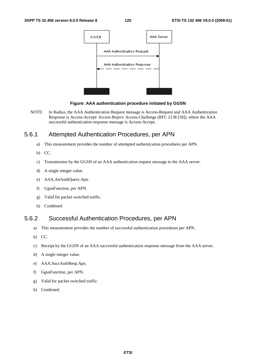

#### **Figure: AAA authentication procedure initiated by GGSN**

NOTE: In Radius, the AAA Authentication Request message is Access-Request and AAA Authentication Response is Access-Accept/ Access-Reject/ Access-Challenge (RFC 2138 [18]), where the AAA successful authentication response message is Access-Accept.

## 5.6.1 Attempted Authentication Procedures, per APN

- a) This measurement provides the number of attempted authentication procedures per APN.
- b) CC.
- c) Transmission by the GGSN of an AAA authentication request message to the AAA server.
- d) A single integer value.
- e) AAA.AttAuthQuery.Apn.
- f) GgsnFunction, per APN.
- g) Valid for packet switched traffic.
- h) Combined

# 5.6.2 Successful Authentication Procedures, per APN

- a) This measurement provides the number of successful authentication procedures per APN.
- b) CC.
- c) Receipt by the GGSN of an AAA successful authentication response message from the AAA server.
- d) A single integer value.
- e) AAA.SuccAuthResp.Apn.
- f) GgsnFunction, per APN.
- g) Valid for packet switched traffic.
- h) Combined.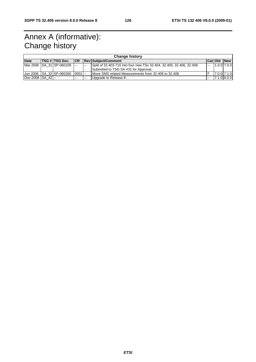# Annex A (informative): Change history

| <b>Change history</b> |  |                            |            |                          |                                                                       |                          |             |                 |  |  |
|-----------------------|--|----------------------------|------------|--------------------------|-----------------------------------------------------------------------|--------------------------|-------------|-----------------|--|--|
| <b>Date</b>           |  | TSG # TSG Doc.             |            |                          | <b>Rev Subject/Comment</b>                                            | <b>Cat Old</b>           |             | <b>New</b>      |  |  |
|                       |  | Mar 2006 SA 31 SP-060109 - |            | $\overline{\phantom{a}}$ | Split of 32.403-710 into four new TSs 32.404, 32.405, 32.406, 32.408. | $\overline{\phantom{a}}$ |             | $1.0.0$ $7.0.0$ |  |  |
|                       |  |                            |            |                          | Submitted to TSG SA #31 for Approval.                                 |                          |             |                 |  |  |
|                       |  | Uun 2006 SA 32 SP-060260   | $ 0001  -$ |                          | Move SMS related Measurements from 32,406 to 32,408                   |                          | 7.0.0 7.1.0 |                 |  |  |
| Dec 2008 SA 42 --     |  |                            | $- -$      | <b>1444</b>              | Upgrade to Release 8                                                  | $\sim$                   |             | $7.1.0$ 8.0.0   |  |  |